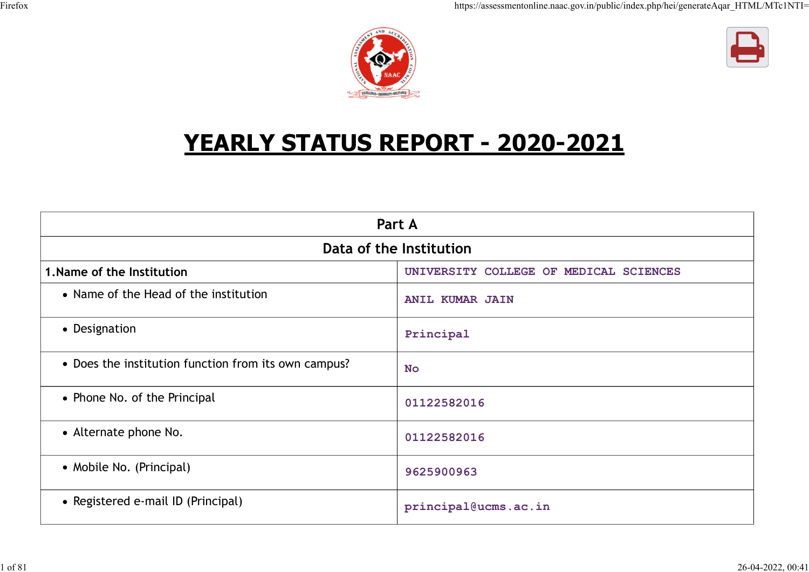



# YEARLY STATUS REPORT - 2020-2021

 $UETC$ <sub>\*</sub>  $CFTCETT$  +  $R$ 

|                                                      | Part A                                 |
|------------------------------------------------------|----------------------------------------|
|                                                      | Data of the Institution                |
| 1. Name of the Institution                           | UNIVERSITY COLLEGE OF MEDICAL SCIENCES |
| • Name of the Head of the institution                | <b>ANIL KUMAR JAIN</b>                 |
| • Designation                                        | Principal                              |
| • Does the institution function from its own campus? | <b>No</b>                              |
| • Phone No. of the Principal                         | 01122582016                            |
| • Alternate phone No.                                | 01122582016                            |
| • Mobile No. (Principal)                             | 9625900963                             |
| • Registered e-mail ID (Principal)                   | principal@ucms.ac.in                   |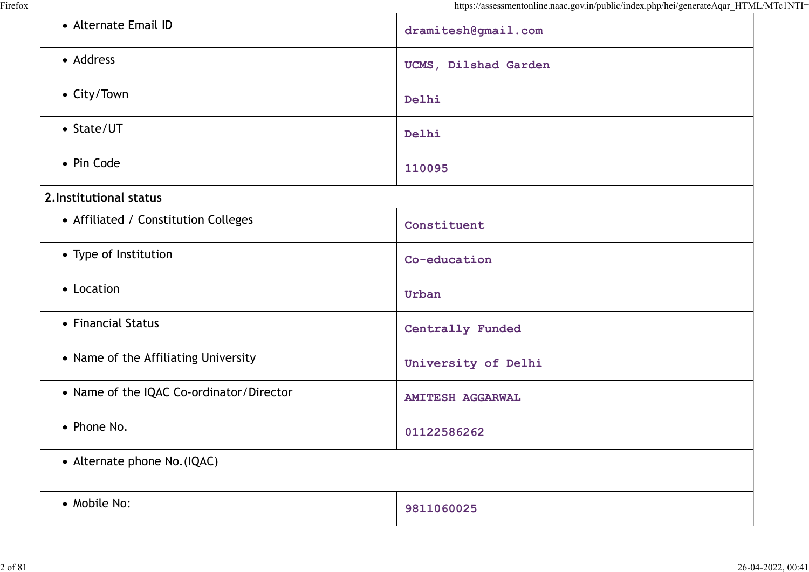| • Alternate Email ID                     | dramitesh@gmail.com     |
|------------------------------------------|-------------------------|
| • Address                                | UCMS, Dilshad Garden    |
| • City/Town                              | Delhi                   |
| • State/UT                               | Delhi                   |
| • Pin Code                               | 110095                  |
| 2. Institutional status                  |                         |
| • Affiliated / Constitution Colleges     | Constituent             |
| • Type of Institution                    | Co-education            |
| • Location                               | Urban                   |
| • Financial Status                       | Centrally Funded        |
| • Name of the Affiliating University     | University of Delhi     |
| • Name of the IQAC Co-ordinator/Director | <b>AMITESH AGGARWAL</b> |
| • Phone No.                              | 01122586262             |
| • Alternate phone No. (IQAC)             |                         |
| • Mobile No:                             | 9811060025              |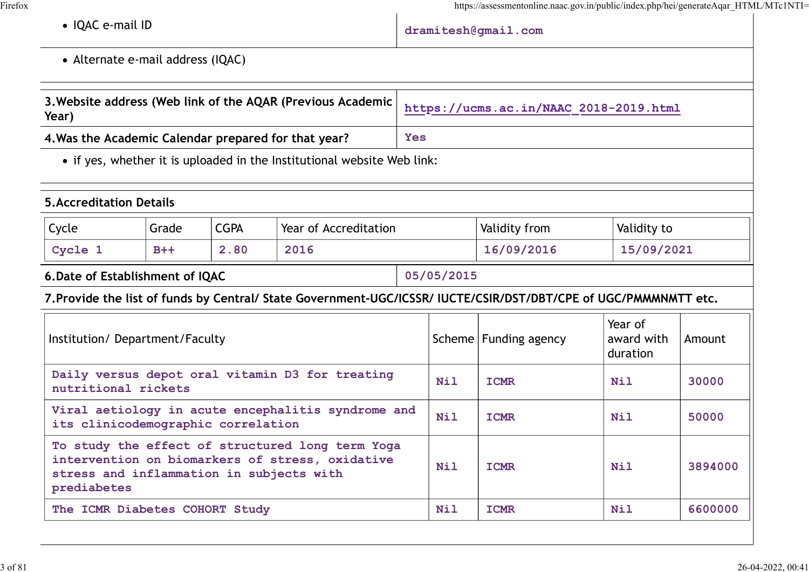|                                                         |                                                             |             |                                                                                                                  |            |                                        | https://assessmentonline.naac.gov.in/public/index.php/hei/generateAqar_HTML/MTc1NTI= |                                   |         |
|---------------------------------------------------------|-------------------------------------------------------------|-------------|------------------------------------------------------------------------------------------------------------------|------------|----------------------------------------|--------------------------------------------------------------------------------------|-----------------------------------|---------|
| • IQAC e-mail ID                                        |                                                             |             |                                                                                                                  |            |                                        | dramitesh@gmail.com                                                                  |                                   |         |
| • Alternate e-mail address (IQAC)                       |                                                             |             |                                                                                                                  |            |                                        |                                                                                      |                                   |         |
| Year)                                                   | 3. Website address (Web link of the AQAR (Previous Academic |             |                                                                                                                  |            | https://ucms.ac.in/NAAC 2018-2019.html |                                                                                      |                                   |         |
| 4. Was the Academic Calendar prepared for that year?    |                                                             |             |                                                                                                                  | <b>Yes</b> |                                        |                                                                                      |                                   |         |
|                                                         |                                                             |             | • if yes, whether it is uploaded in the Institutional website Web link:                                          |            |                                        |                                                                                      |                                   |         |
| <b>5.Accreditation Details</b>                          |                                                             |             |                                                                                                                  |            |                                        |                                                                                      |                                   |         |
| Cycle                                                   | Grade                                                       | <b>CGPA</b> | Year of Accreditation                                                                                            |            |                                        | Validity from                                                                        | Validity to                       |         |
|                                                         |                                                             | 2.80        | 2016                                                                                                             |            |                                        | 16/09/2016                                                                           | 15/09/2021                        |         |
| Cycle 1                                                 | $B++$                                                       |             |                                                                                                                  |            |                                        |                                                                                      |                                   |         |
|                                                         |                                                             |             |                                                                                                                  |            | 05/05/2015                             |                                                                                      |                                   |         |
| 6. Date of Establishment of IQAC                        |                                                             |             | 7. Provide the list of funds by Central/ State Government-UGC/ICSSR/ IUCTE/CSIR/DST/DBT/CPE of UGC/PMMMNMTT etc. |            |                                        |                                                                                      |                                   |         |
| Institution/Department/Faculty                          |                                                             |             |                                                                                                                  |            |                                        | Scheme   Funding agency                                                              | Year of<br>award with<br>duration | Amount  |
| nutritional rickets                                     |                                                             |             | Daily versus depot oral vitamin D3 for treating                                                                  |            | <b>Nil</b>                             | <b>ICMR</b>                                                                          | Nil                               | 30000   |
| its clinicodemographic correlation                      |                                                             |             | Viral aetiology in acute encephalitis syndrome and                                                               |            | <b>Nil</b>                             | <b>ICMR</b>                                                                          | <b>Nil</b>                        | 50000   |
| stress and inflammation in subjects with<br>prediabetes |                                                             |             | To study the effect of structured long term Yoga<br>intervention on biomarkers of stress, oxidative              |            | <b>Nil</b>                             | <b>ICMR</b>                                                                          | <b>Nil</b>                        | 3894000 |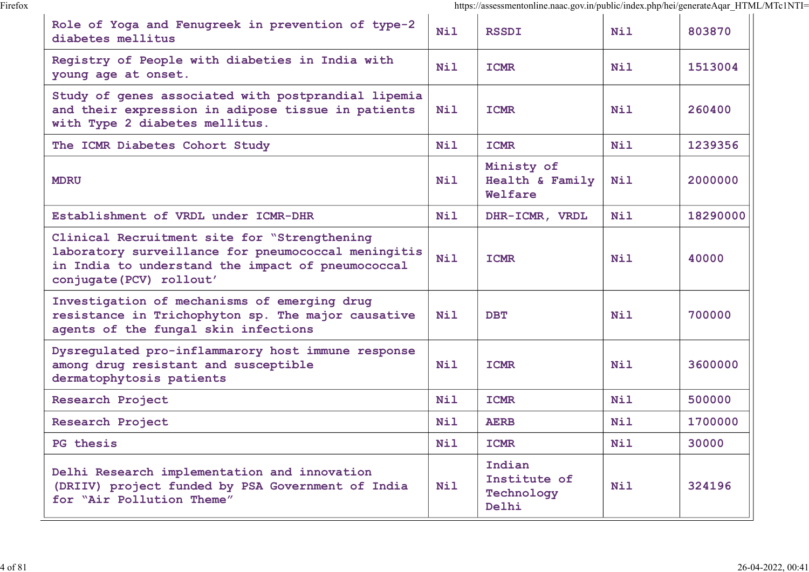|                                                                                                                                                                                      |            | https://assessmentonline.naac.gov.in/public/index.php/hei/generateAqar_HTML/MTc1NTI= |            |          |
|--------------------------------------------------------------------------------------------------------------------------------------------------------------------------------------|------------|--------------------------------------------------------------------------------------|------------|----------|
| Role of Yoga and Fenugreek in prevention of type-2<br>diabetes mellitus                                                                                                              | <b>Nil</b> | <b>RSSDI</b>                                                                         | <b>Nil</b> | 803870   |
| Registry of People with diabeties in India with<br>young age at onset.                                                                                                               | <b>Nil</b> | <b>ICMR</b>                                                                          | <b>Nil</b> | 1513004  |
| Study of genes associated with postprandial lipemia<br>and their expression in adipose tissue in patients<br>with Type 2 diabetes mellitus.                                          | Nil        | <b>ICMR</b>                                                                          | <b>Nil</b> | 260400   |
| The ICMR Diabetes Cohort Study                                                                                                                                                       | <b>Nil</b> | <b>ICMR</b>                                                                          | <b>Nil</b> | 1239356  |
| <b>MDRU</b>                                                                                                                                                                          | <b>Nil</b> | Ministy of<br>Health & Family<br>Welfare                                             | Nil        | 2000000  |
| Establishment of VRDL under ICMR-DHR                                                                                                                                                 | <b>Nil</b> | DHR-ICMR, VRDL                                                                       | <b>Nil</b> | 18290000 |
| Clinical Recruitment site for "Strengthening<br>laboratory surveillance for pneumococcal meningitis<br>in India to understand the impact of pneumococcal<br>conjugate (PCV) rollout' | <b>Nil</b> | <b>ICMR</b>                                                                          | Nil        | 40000    |
| Investigation of mechanisms of emerging drug<br>resistance in Trichophyton sp. The major causative<br>agents of the fungal skin infections                                           | Nil        | <b>DBT</b>                                                                           | <b>Nil</b> | 700000   |
| Dysregulated pro-inflammarory host immune response<br>among drug resistant and susceptible<br>dermatophytosis patients                                                               | <b>Nil</b> | <b>ICMR</b>                                                                          | <b>Nil</b> | 3600000  |
| Research Project                                                                                                                                                                     | <b>Nil</b> | <b>ICMR</b>                                                                          | Nil        | 500000   |
| Research Project                                                                                                                                                                     | Nil        | <b>AERB</b>                                                                          | <b>Nil</b> | 1700000  |
| PG thesis                                                                                                                                                                            | <b>Nil</b> | <b>ICMR</b>                                                                          | <b>Nil</b> | 30000    |
| Delhi Research implementation and innovation<br>(DRIIV) project funded by PSA Government of India<br>for "Air Pollution Theme"                                                       | Nil        | Indian<br>Institute of<br>Technology<br>Delhi                                        | Nil        | 324196   |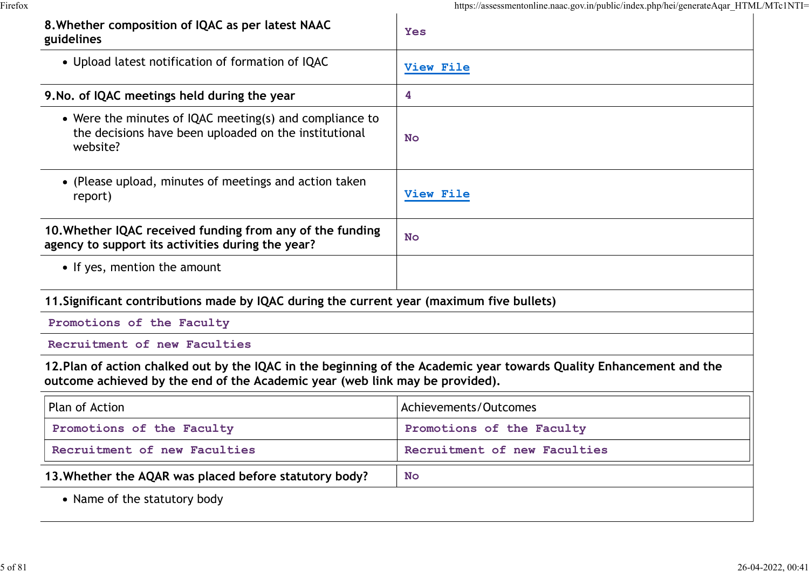| 8. Whether composition of IQAC as per latest NAAC<br>guidelines                                                                                                                                      | <b>Yes</b>                   |  |
|------------------------------------------------------------------------------------------------------------------------------------------------------------------------------------------------------|------------------------------|--|
| • Upload latest notification of formation of IQAC                                                                                                                                                    | View File                    |  |
| 9. No. of IQAC meetings held during the year                                                                                                                                                         | 4                            |  |
| • Were the minutes of IQAC meeting(s) and compliance to<br>the decisions have been uploaded on the institutional<br>website?                                                                         | <b>No</b>                    |  |
| • (Please upload, minutes of meetings and action taken<br>report)                                                                                                                                    | View File                    |  |
| 10. Whether IQAC received funding from any of the funding<br>agency to support its activities during the year?                                                                                       | <b>No</b>                    |  |
| • If yes, mention the amount                                                                                                                                                                         |                              |  |
| 11. Significant contributions made by IQAC during the current year (maximum five bullets)                                                                                                            |                              |  |
| Promotions of the Faculty                                                                                                                                                                            |                              |  |
| Recruitment of new Faculties                                                                                                                                                                         |                              |  |
| 12. Plan of action chalked out by the IQAC in the beginning of the Academic year towards Quality Enhancement and the<br>outcome achieved by the end of the Academic year (web link may be provided). |                              |  |
| Plan of Action                                                                                                                                                                                       | Achievements/Outcomes        |  |
| Promotions of the Faculty                                                                                                                                                                            | Promotions of the Faculty    |  |
| Recruitment of new Faculties                                                                                                                                                                         | Recruitment of new Faculties |  |
| 13. Whether the AQAR was placed before statutory body?                                                                                                                                               | <b>No</b>                    |  |
| • Name of the statutory body                                                                                                                                                                         |                              |  |
|                                                                                                                                                                                                      |                              |  |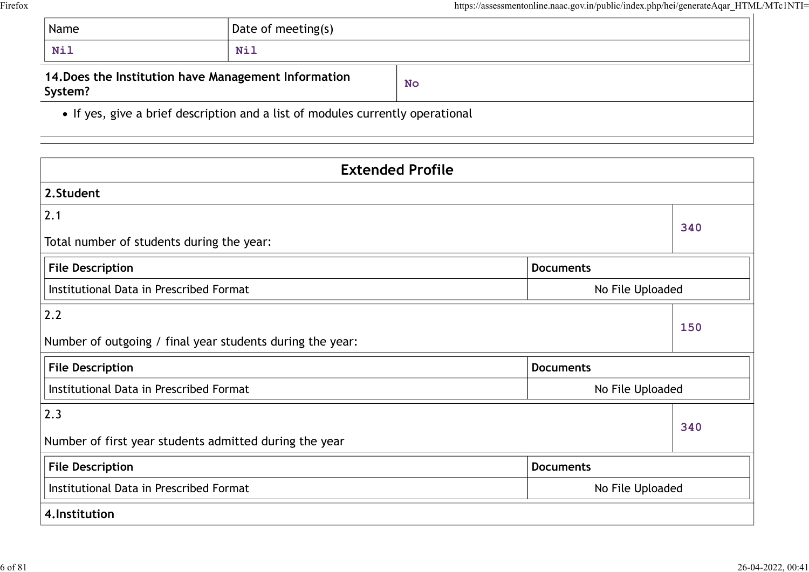|                                                                 |                                                                                | https://assessmentonline.naac.gov.in/public/index.php/hei/generateAqar_HTM |
|-----------------------------------------------------------------|--------------------------------------------------------------------------------|----------------------------------------------------------------------------|
| Name                                                            | Date of meeting(s)                                                             |                                                                            |
| <b>Nil</b>                                                      | <b>Nil</b>                                                                     |                                                                            |
| 14. Does the Institution have Management Information<br>System? |                                                                                | <b>No</b>                                                                  |
|                                                                 | • If yes, give a brief description and a list of modules currently operational |                                                                            |

| Name                                      | Date of meeting(s)                                                             |                         |                  |
|-------------------------------------------|--------------------------------------------------------------------------------|-------------------------|------------------|
| Nil                                       | <b>Nil</b>                                                                     |                         |                  |
| System?                                   | 14. Does the Institution have Management Information                           | <b>No</b>               |                  |
|                                           | • If yes, give a brief description and a list of modules currently operational |                         |                  |
|                                           |                                                                                | <b>Extended Profile</b> |                  |
| 2.Student                                 |                                                                                |                         |                  |
| 2.1                                       |                                                                                |                         | 340              |
| Total number of students during the year: |                                                                                |                         |                  |
| <b>File Description</b>                   |                                                                                | <b>Documents</b>        |                  |
| Institutional Data in Prescribed Format   |                                                                                |                         | No File Uploaded |
| 2.2                                       |                                                                                |                         | 150              |
|                                           | Number of outgoing / final year students during the year:                      |                         |                  |
| <b>File Description</b>                   |                                                                                | <b>Documents</b>        |                  |
| Institutional Data in Prescribed Format   |                                                                                |                         | No File Uploaded |
| $ 2.3\rangle$                             |                                                                                |                         |                  |
|                                           | Number of first year students admitted during the year                         |                         | 340              |
| <b>File Description</b>                   |                                                                                | <b>Documents</b>        |                  |
| Institutional Data in Prescribed Format   |                                                                                |                         | No File Uploaded |
| 4.Institution                             |                                                                                |                         |                  |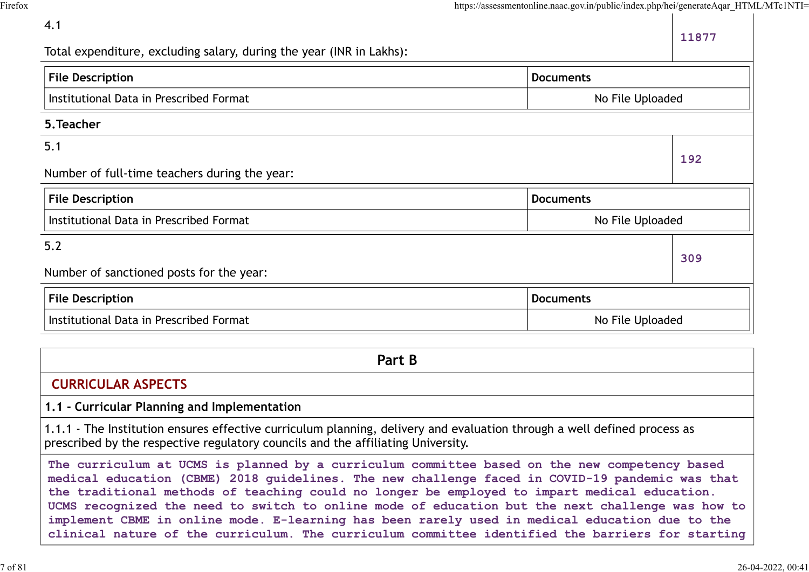|                                                                      | https://assessmentonline.naac.gov.in/public/index.php/hei/generateAqar_HTML/MTc1NTI= |       |
|----------------------------------------------------------------------|--------------------------------------------------------------------------------------|-------|
| 4.1                                                                  |                                                                                      | 11877 |
| Total expenditure, excluding salary, during the year (INR in Lakhs): |                                                                                      |       |
| <b>File Description</b>                                              | <b>Documents</b>                                                                     |       |
| Institutional Data in Prescribed Format                              | No File Uploaded                                                                     |       |
| 5. Teacher                                                           |                                                                                      |       |
| 5.1                                                                  |                                                                                      | 192   |
| Number of full-time teachers during the year:                        |                                                                                      |       |
| <b>File Description</b>                                              | <b>Documents</b>                                                                     |       |
| Institutional Data in Prescribed Format                              | No File Uploaded                                                                     |       |
| $5.2$                                                                |                                                                                      |       |
| Number of sanctioned posts for the year:                             |                                                                                      | 309   |
| <b>File Description</b>                                              | <b>Documents</b>                                                                     |       |
| Institutional Data in Prescribed Format                              | No File Uploaded                                                                     |       |

| Part B                                                                                                                                                                                                                                                                                                                                                                                                                                                                                                                                                                                                     |
|------------------------------------------------------------------------------------------------------------------------------------------------------------------------------------------------------------------------------------------------------------------------------------------------------------------------------------------------------------------------------------------------------------------------------------------------------------------------------------------------------------------------------------------------------------------------------------------------------------|
| <b>CURRICULAR ASPECTS</b>                                                                                                                                                                                                                                                                                                                                                                                                                                                                                                                                                                                  |
| 1.1 - Curricular Planning and Implementation                                                                                                                                                                                                                                                                                                                                                                                                                                                                                                                                                               |
| 1.1.1 - The Institution ensures effective curriculum planning, delivery and evaluation through a well defined process as<br>prescribed by the respective regulatory councils and the affiliating University.                                                                                                                                                                                                                                                                                                                                                                                               |
| The curriculum at UCMS is planned by a curriculum committee based on the new competency based<br>medical education (CBME) 2018 guidelines. The new challenge faced in COVID-19 pandemic was that<br>the traditional methods of teaching could no longer be employed to impart medical education.<br>UCMS recognized the need to switch to online mode of education but the next challenge was how to<br>implement CBME in online mode. E-learning has been rarely used in medical education due to the<br>clinical nature of the curriculum. The curriculum committee identified the barriers for starting |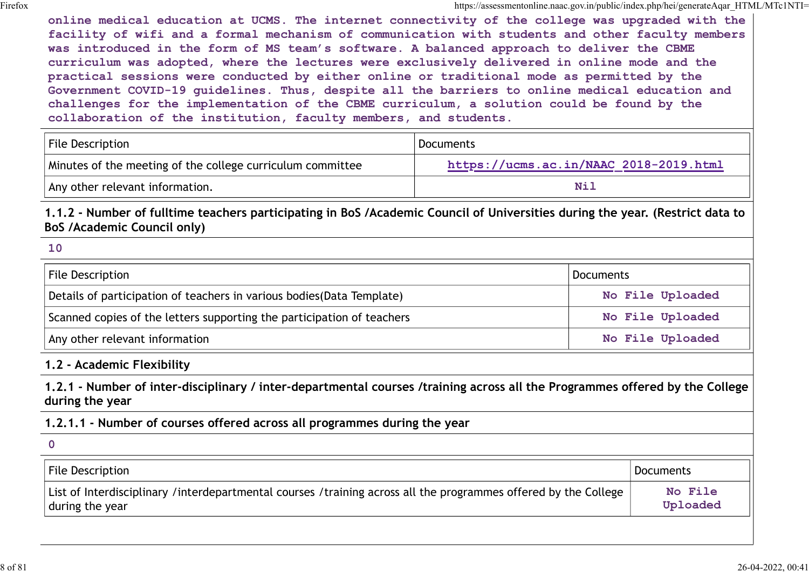online medical education at UCMS. The internet connectivity of the college was upgraded with the facility of wifi and a formal mechanism of communication with students and other faculty members was introduced in the form of MS team's software. A balanced approach to deliver the CBME curriculum was adopted, where the lectures were exclusively delivered in online mode and the practical sessions were conducted by either online or traditional mode as permitted by the Government COVID-19 guidelines. Thus, despite all the barriers to online medical education and challenges for the implementation of the CBME curriculum, a solution could be found by the collaboration of the institution, faculty members, and students. online medical education at UCMS. The internet connectivity of the college was uppositionexphatigent<br>
facility of wifi and a formal mechanism of communication with students and other faculty members<br>
was introduced in the Facility of wifi and a formal mechanism of communication with students and other faculty members<br>was introduced in the form of MS team's software. A balanced approach to deliver the CBME<br>curriculum was adopted, where the l

| File Description                                           | <b>Documents</b>                       |
|------------------------------------------------------------|----------------------------------------|
| Minutes of the meeting of the college curriculum committee | https://ucms.ac.in/NAAC 2018-2019.html |
| Any other relevant information.                            | Nil                                    |

1.1.2 - Number of fulltime teachers participating in BoS /Academic Council of Universities during the year. (Restrict data to BoS /Academic Council only)

#### 10

| <b>Documents</b>                                                                                                             |
|------------------------------------------------------------------------------------------------------------------------------|
| No File Uploaded                                                                                                             |
| No File Uploaded                                                                                                             |
| No File Uploaded                                                                                                             |
|                                                                                                                              |
| 1.2.1 - Number of inter-disciplinary / inter-departmental courses /training across all the Programmes offered by the College |
|                                                                                                                              |
|                                                                                                                              |
| <b>Documents</b>                                                                                                             |
| No File<br>Uploaded                                                                                                          |
|                                                                                                                              |

#### 1.2 - Academic Flexibility

#### 1.2.1.1 - Number of courses offered across all programmes during the year

| List of Interdisciplinary /interdepartmental courses /training across all the programmes offered by the College<br>No File<br>Uploaded<br>during the year | File Description | <b>Documents</b> |
|-----------------------------------------------------------------------------------------------------------------------------------------------------------|------------------|------------------|
|                                                                                                                                                           |                  |                  |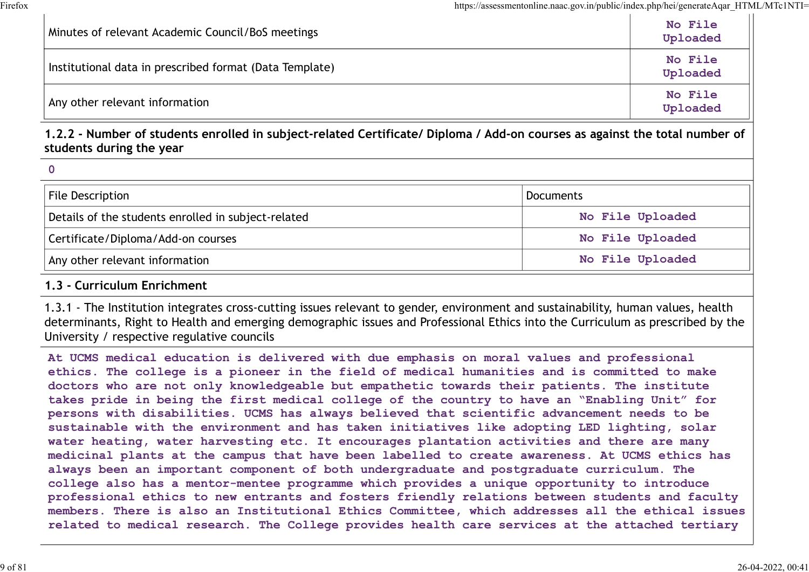| Minutes of relevant Academic Council/BoS meetings                                                                                                       | https://assessmentonline.naac.gov.in/public/index.php/hei/generateAqar_HTML/MTc1NTI=<br>No File<br>Uploaded |
|---------------------------------------------------------------------------------------------------------------------------------------------------------|-------------------------------------------------------------------------------------------------------------|
| Institutional data in prescribed format (Data Template)                                                                                                 | No File<br>Uploaded                                                                                         |
| Any other relevant information                                                                                                                          | No File<br>Uploaded                                                                                         |
| 1.2.2 - Number of students enrolled in subject-related Certificate/ Diploma / Add-on courses as against the total number of<br>students during the year |                                                                                                             |
|                                                                                                                                                         |                                                                                                             |
|                                                                                                                                                         |                                                                                                             |
| <b>File Description</b>                                                                                                                                 | <b>Documents</b>                                                                                            |
| Details of the students enrolled in subject-related                                                                                                     | No File Uploaded                                                                                            |
| Certificate/Diploma/Add-on courses                                                                                                                      | No File Uploaded                                                                                            |

#### 1.2.2 - Number of students enrolled in subject-related Certificate/ Diploma / Add-on courses as against the total number of students during the year

| $\mathbf 0$ |
|-------------|
|-------------|

| File Description                                    | Documents        |  |
|-----------------------------------------------------|------------------|--|
| Details of the students enrolled in subject-related | No File Uploaded |  |
| Certificate/Diploma/Add-on courses                  | No File Uploaded |  |
| Any other relevant information                      | No File Uploaded |  |

#### 1.3 - Curriculum Enrichment

1.3.1 - The Institution integrates cross-cutting issues relevant to gender, environment and sustainability, human values, health determinants, Right to Health and emerging demographic issues and Professional Ethics into the Curriculum as prescribed by the University / respective regulative councils

At UCMS medical education is delivered with due emphasis on moral values and professional ethics. The college is a pioneer in the field of medical humanities and is committed to make doctors who are not only knowledgeable but empathetic towards their patients. The institute takes pride in being the first medical college of the country to have an "Enabling Unit" for persons with disabilities. UCMS has always believed that scientific advancement needs to be sustainable with the environment and has taken initiatives like adopting LED lighting, solar water heating, water harvesting etc. It encourages plantation activities and there are many medicinal plants at the campus that have been labelled to create awareness. At UCMS ethics has always been an important component of both undergraduate and postgraduate curriculum. The college also has a mentor-mentee programme which provides a unique opportunity to introduce professional ethics to new entrants and fosters friendly relations between students and faculty members. There is also an Institutional Ethics Committee, which addresses all the ethical issues related to medical research. The College provides health care services at the attached tertiary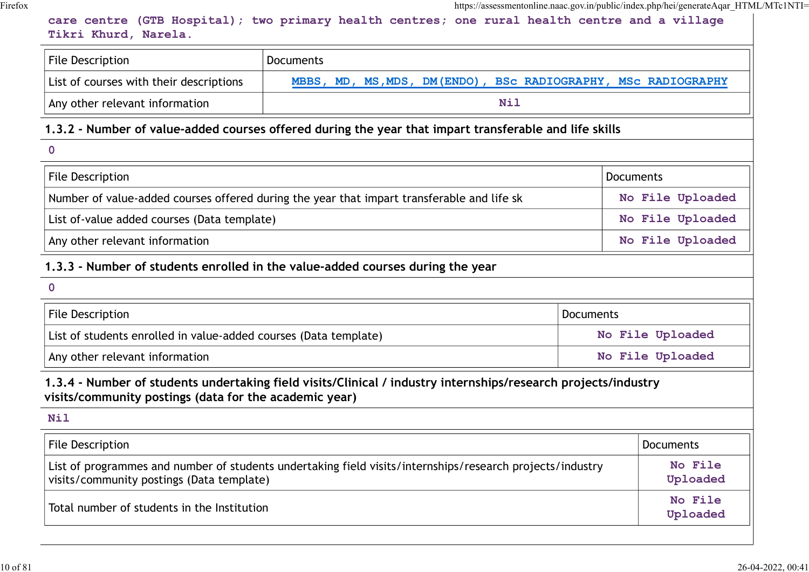| care centre (GTB Hospital); two primary health centres; one rural health centre and a village<br>Tikri Khurd, Narela.                                                    |           | https://assessmentonline.naac.gov.in/public/index.php/hei/generateAqar_HTML/MTc1NTI= |
|--------------------------------------------------------------------------------------------------------------------------------------------------------------------------|-----------|--------------------------------------------------------------------------------------|
| <b>File Description</b><br><b>Documents</b>                                                                                                                              |           |                                                                                      |
| List of courses with their descriptions<br>MBBS, MD, MS, MDS, DM(ENDO), BSC RADIOGRAPHY, MSC RADIOGRAPHY                                                                 |           |                                                                                      |
| <b>Nil</b><br>Any other relevant information                                                                                                                             |           |                                                                                      |
| 1.3.2 - Number of value-added courses offered during the year that impart transferable and life skills                                                                   |           |                                                                                      |
| $\mathbf 0$                                                                                                                                                              |           |                                                                                      |
| <b>File Description</b>                                                                                                                                                  |           | <b>Documents</b>                                                                     |
| Number of value-added courses offered during the year that impart transferable and life sk                                                                               |           | No File Uploaded                                                                     |
| List of-value added courses (Data template)                                                                                                                              |           | No File Uploaded                                                                     |
| Any other relevant information                                                                                                                                           |           | No File Uploaded                                                                     |
| 1.3.3 - Number of students enrolled in the value-added courses during the year                                                                                           |           |                                                                                      |
| $\mathbf 0$                                                                                                                                                              |           |                                                                                      |
| <b>File Description</b>                                                                                                                                                  | Documents |                                                                                      |
| List of students enrolled in value-added courses (Data template)                                                                                                         |           | No File Uploaded                                                                     |
| Any other relevant information                                                                                                                                           |           | No File Uploaded                                                                     |
| 1.3.4 - Number of students undertaking field visits/Clinical / industry internships/research projects/industry<br>visits/community postings (data for the academic year) |           |                                                                                      |
| <b>Nil</b>                                                                                                                                                               |           |                                                                                      |
| File Description                                                                                                                                                         |           | <b>Documents</b>                                                                     |
| List of programmes and number of students undertaking field visits/internships/research projects/industry<br>visits/community postings (Data template)                   |           | No File<br>Uploaded                                                                  |
| Total number of students in the Institution                                                                                                                              |           | No File<br>Uploaded                                                                  |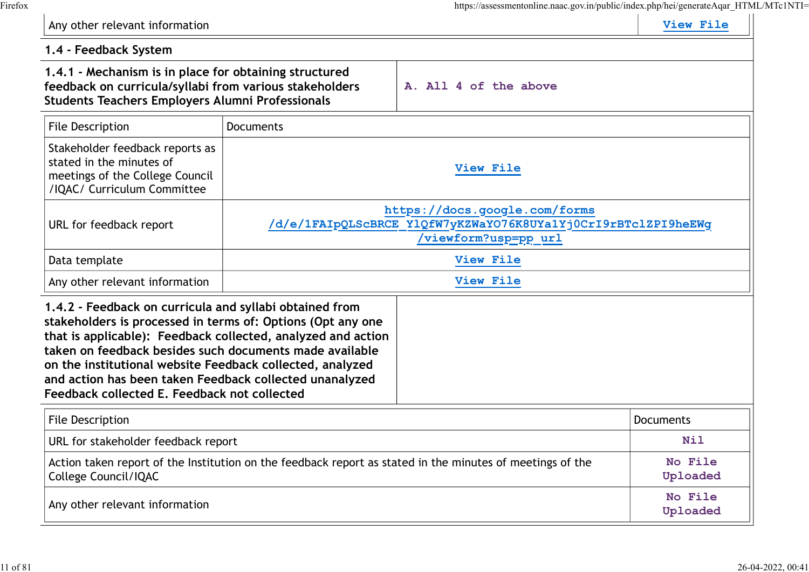|                                                                                                                                                                                                                                                                                                                                                                                                                           |                  | https://assessmentonline.naac.gov.in/public/index.php/hei/generateAqar_HTML/MTc1NTI=                                          | View File           |
|---------------------------------------------------------------------------------------------------------------------------------------------------------------------------------------------------------------------------------------------------------------------------------------------------------------------------------------------------------------------------------------------------------------------------|------------------|-------------------------------------------------------------------------------------------------------------------------------|---------------------|
| Any other relevant information                                                                                                                                                                                                                                                                                                                                                                                            |                  |                                                                                                                               |                     |
| 1.4 - Feedback System<br>1.4.1 - Mechanism is in place for obtaining structured<br>feedback on curricula/syllabi from various stakeholders<br><b>Students Teachers Employers Alumni Professionals</b>                                                                                                                                                                                                                     |                  | A. All 4 of the above                                                                                                         |                     |
| <b>File Description</b>                                                                                                                                                                                                                                                                                                                                                                                                   | <b>Documents</b> |                                                                                                                               |                     |
| Stakeholder feedback reports as<br>stated in the minutes of<br>meetings of the College Council<br>/IQAC/ Curriculum Committee                                                                                                                                                                                                                                                                                             |                  | View File                                                                                                                     |                     |
| URL for feedback report                                                                                                                                                                                                                                                                                                                                                                                                   |                  | https://docs.google.com/forms<br>/d/e/1FAIpQLScBRCE Y1QfW7yKZWaYO76K8UYa1Yj0CrI9rBTclZPI9heEWg<br><u>'viewform?usp=pp_url</u> |                     |
| Data template                                                                                                                                                                                                                                                                                                                                                                                                             |                  | View File                                                                                                                     |                     |
| Any other relevant information                                                                                                                                                                                                                                                                                                                                                                                            |                  | View File                                                                                                                     |                     |
| 1.4.2 - Feedback on curricula and syllabi obtained from<br>stakeholders is processed in terms of: Options (Opt any one<br>that is applicable): Feedback collected, analyzed and action<br>taken on feedback besides such documents made available<br>on the institutional website Feedback collected, analyzed<br>and action has been taken Feedback collected unanalyzed<br>Feedback collected E. Feedback not collected |                  |                                                                                                                               |                     |
| <b>File Description</b>                                                                                                                                                                                                                                                                                                                                                                                                   |                  |                                                                                                                               | <b>Documents</b>    |
| URL for stakeholder feedback report                                                                                                                                                                                                                                                                                                                                                                                       |                  |                                                                                                                               | <b>Nil</b>          |
| College Council/IQAC                                                                                                                                                                                                                                                                                                                                                                                                      |                  | Action taken report of the Institution on the feedback report as stated in the minutes of meetings of the                     | No File<br>Uploaded |
| Any other relevant information                                                                                                                                                                                                                                                                                                                                                                                            |                  |                                                                                                                               | No File             |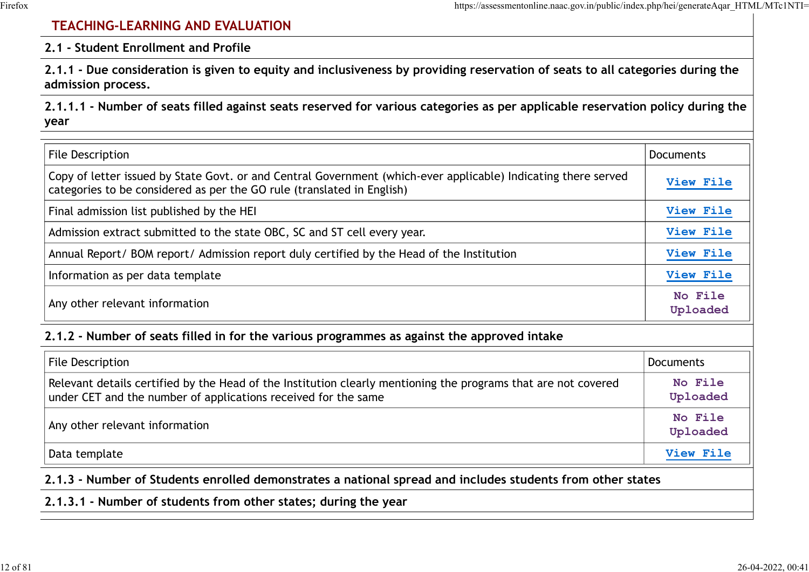### TEACHING-LEARNING AND EVALUATION

#### 2.1 - Student Enrollment and Profile

| https://assessmentonline.naac.gov.in/public/index.php/hei/generateAqar HTML/MTc1NTI=<br><b>TEACHING-LEARNING AND EVALUATION</b>                                                          |                     |
|------------------------------------------------------------------------------------------------------------------------------------------------------------------------------------------|---------------------|
| 2.1 - Student Enrollment and Profile                                                                                                                                                     |                     |
| 2.1.1 - Due consideration is given to equity and inclusiveness by providing reservation of seats to all categories during the<br>admission process.                                      |                     |
| 2.1.1.1 - Number of seats filled against seats reserved for various categories as per applicable reservation policy during the<br>year                                                   |                     |
| <b>File Description</b>                                                                                                                                                                  | <b>Documents</b>    |
| Copy of letter issued by State Govt. or and Central Government (which-ever applicable) Indicating there served<br>categories to be considered as per the GO rule (translated in English) | View File           |
| Final admission list published by the HEI                                                                                                                                                | View File           |
| Admission extract submitted to the state OBC, SC and ST cell every year.                                                                                                                 | View File           |
| Annual Report/ BOM report/ Admission report duly certified by the Head of the Institution                                                                                                | View File           |
| Information as per data template                                                                                                                                                         | View File           |
| Any other relevant information                                                                                                                                                           | No File<br>Uploaded |
| 2.1.2 - Number of seats filled in for the various programmes as against the approved intake                                                                                              |                     |
| <b>File Description</b>                                                                                                                                                                  | Documents           |
| Relevant details certified by the Head of the Institution clearly mentioning the programs that are not covered<br>under CET and the number of applications received for the same         | No File<br>Uploaded |
| Any other relevant information                                                                                                                                                           | No File             |

#### 2.1.2 - Number of seats filled in for the various programmes as against the approved intake

| File Description                                                                                                                                                                 | Documents           |
|----------------------------------------------------------------------------------------------------------------------------------------------------------------------------------|---------------------|
| Relevant details certified by the Head of the Institution clearly mentioning the programs that are not covered<br>under CET and the number of applications received for the same | No File<br>Uploaded |
| Any other relevant information                                                                                                                                                   | No File<br>Uploaded |
| Data template                                                                                                                                                                    | View File           |

2.1.3 - Number of Students enrolled demonstrates a national spread and includes students from other states

#### 2.1.3.1 - Number of students from other states; during the year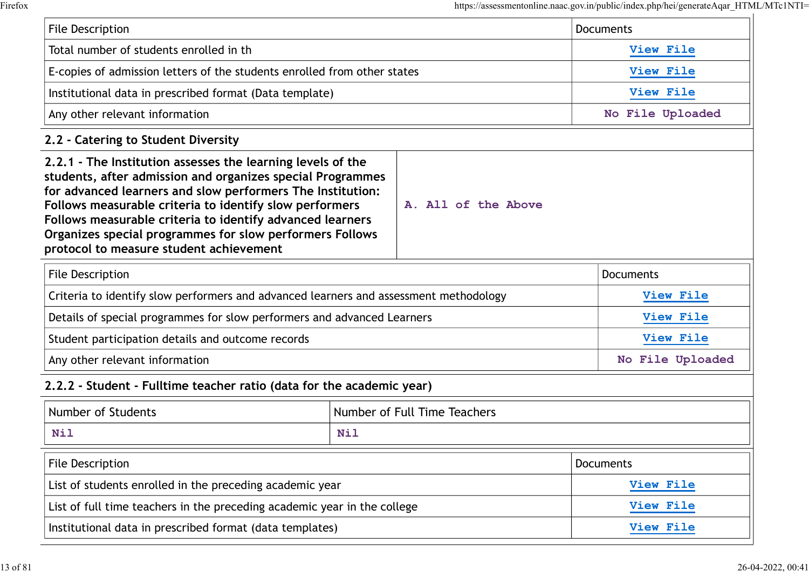|                                                                                                                                                                                                                                                                                                                                                                                                                        |                              |                     | https://assessmentonline.naac.gov.in/public/index.php/hei/generateAqar HTML/MTc1NTI= |
|------------------------------------------------------------------------------------------------------------------------------------------------------------------------------------------------------------------------------------------------------------------------------------------------------------------------------------------------------------------------------------------------------------------------|------------------------------|---------------------|--------------------------------------------------------------------------------------|
| File Description                                                                                                                                                                                                                                                                                                                                                                                                       |                              |                     | <b>Documents</b>                                                                     |
| Total number of students enrolled in th                                                                                                                                                                                                                                                                                                                                                                                |                              |                     | View File                                                                            |
| E-copies of admission letters of the students enrolled from other states                                                                                                                                                                                                                                                                                                                                               |                              |                     | View File                                                                            |
| Institutional data in prescribed format (Data template)                                                                                                                                                                                                                                                                                                                                                                |                              | View File           |                                                                                      |
| Any other relevant information                                                                                                                                                                                                                                                                                                                                                                                         |                              |                     | No File Uploaded                                                                     |
| 2.2 - Catering to Student Diversity                                                                                                                                                                                                                                                                                                                                                                                    |                              |                     |                                                                                      |
| 2.2.1 - The Institution assesses the learning levels of the<br>students, after admission and organizes special Programmes<br>for advanced learners and slow performers The Institution:<br>Follows measurable criteria to identify slow performers<br>Follows measurable criteria to identify advanced learners<br>Organizes special programmes for slow performers Follows<br>protocol to measure student achievement |                              | A. All of the Above |                                                                                      |
| File Description                                                                                                                                                                                                                                                                                                                                                                                                       |                              |                     | <b>Documents</b>                                                                     |
| Criteria to identify slow performers and advanced learners and assessment methodology                                                                                                                                                                                                                                                                                                                                  |                              |                     | View File                                                                            |
| Details of special programmes for slow performers and advanced Learners                                                                                                                                                                                                                                                                                                                                                |                              |                     | View File                                                                            |
| Student participation details and outcome records                                                                                                                                                                                                                                                                                                                                                                      |                              |                     | View File                                                                            |
| Any other relevant information                                                                                                                                                                                                                                                                                                                                                                                         |                              |                     | No File Uploaded                                                                     |
| 2.2.2 - Student - Fulltime teacher ratio (data for the academic year)                                                                                                                                                                                                                                                                                                                                                  |                              |                     |                                                                                      |
| Number of Students                                                                                                                                                                                                                                                                                                                                                                                                     | Number of Full Time Teachers |                     |                                                                                      |
| <b>Nil</b>                                                                                                                                                                                                                                                                                                                                                                                                             | Nil                          |                     |                                                                                      |
| File Description                                                                                                                                                                                                                                                                                                                                                                                                       |                              |                     | Documents                                                                            |
| List of students enrolled in the preceding academic year                                                                                                                                                                                                                                                                                                                                                               |                              |                     | View File                                                                            |
| List of full time teachers in the preceding academic year in the college                                                                                                                                                                                                                                                                                                                                               |                              |                     | View File                                                                            |
| Institutional data in prescribed format (data templates)                                                                                                                                                                                                                                                                                                                                                               |                              | View File           |                                                                                      |
|                                                                                                                                                                                                                                                                                                                                                                                                                        |                              |                     |                                                                                      |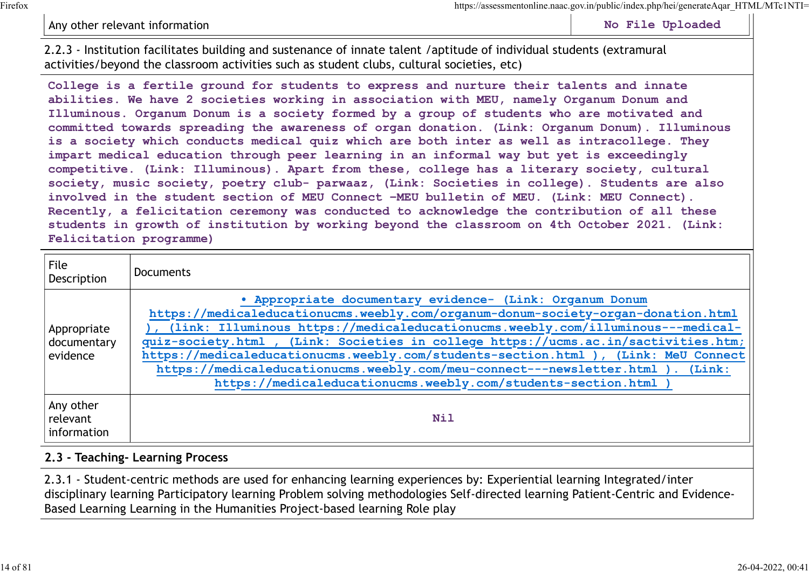#### Any other relevant information and the state of the state of the Mondon State Uploaded No File Uploaded

2.2.3 - Institution facilitates building and sustenance of innate talent /aptitude of individual students (extramural activities/beyond the classroom activities such as student clubs, cultural societies, etc)

College is a fertile ground for students to express and nurture their talents and innate abilities. We have 2 societies working in association with MEU, namely Organum Donum and Illuminous. Organum Donum is a society formed by a group of students who are motivated and committed towards spreading the awareness of organ donation. (Link: Organum Donum). Illuminous is a society which conducts medical quiz which are both inter as well as intracollege. They impart medical education through peer learning in an informal way but yet is exceedingly competitive. (Link: Illuminous). Apart from these, college has a literary society, cultural society, music society, poetry club- parwaaz, (Link: Societies in college). Students are also involved in the student section of MEU Connect –MEU bulletin of MEU. (Link: MEU Connect). Recently, a felicitation ceremony was conducted to acknowledge the contribution of all these students in growth of institution by working beyond the classroom on 4th October 2021. (Link: Felicitation programme)

| File<br>Description                    | <b>Documents</b>                                                                                                                                                                                                                                                                                                                                                                                                                                                                                                                                                     |
|----------------------------------------|----------------------------------------------------------------------------------------------------------------------------------------------------------------------------------------------------------------------------------------------------------------------------------------------------------------------------------------------------------------------------------------------------------------------------------------------------------------------------------------------------------------------------------------------------------------------|
| Appropriate<br>documentary<br>evidence | . Appropriate documentary evidence- (Link: Organum Donum<br>https://medicaleducationucms.weebly.com/organum-donum-society-organ-donation.html<br>(link: Illuminous https://medicaleducationucms.weebly.com/illuminous---medical-<br>quiz-society.html , (Link: Societies in college https://ucms.ac.in/sactivities.htm;<br>https://medicaleducationucms.weebly.com/students-section.html ), (Link: MeU Connect<br>https://medicaleducationucms.weebly.com/meu-connect---newsletter.html ). (Link:<br>https://medicaleducationucms.weebly.com/students-section.html ) |
| Any other<br>relevant<br>information   | <b>Nil</b>                                                                                                                                                                                                                                                                                                                                                                                                                                                                                                                                                           |

#### 2.3 - Teaching- Learning Process

2.3.1 - Student-centric methods are used for enhancing learning experiences by: Experiential learning Integrated/inter disciplinary learning Participatory learning Problem solving methodologies Self-directed learning Patient-Centric and Evidence-Based Learning Learning in the Humanities Project-based learning Role play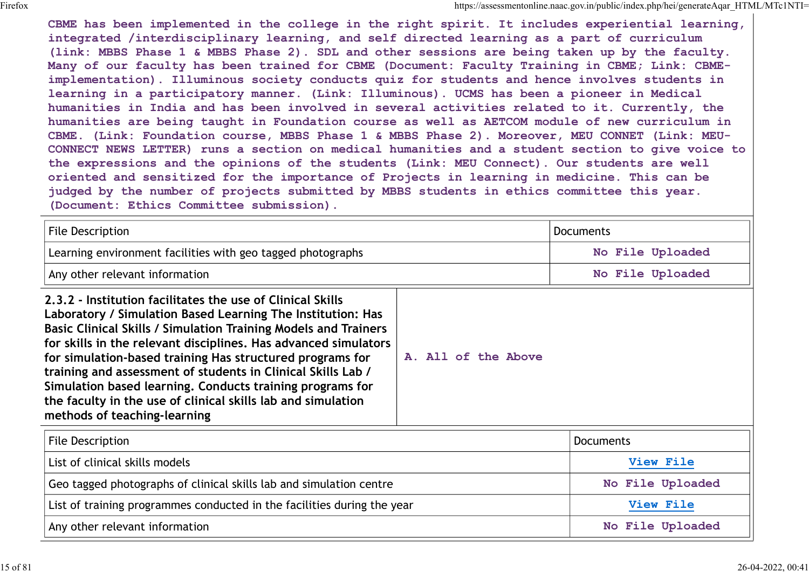CBME has been implemented in the college in the right spirit. It includes experiential learning, integrated /interdisciplinary learning, and self directed learning as a part of curriculum (link: MBBS Phase 1 & MBBS Phase 2). SDL and other sessions are being taken up by the faculty. Many of our faculty has been trained for CBME (Document: Faculty Training in CBME; Link: CBMEimplementation). Illuminous society conducts quiz for students and hence involves students in learning in a participatory manner. (Link: Illuminous). UCMS has been a pioneer in Medical humanities in India and has been involved in several activities related to it. Currently, the humanities are being taught in Foundation course as well as AETCOM module of new curriculum in CBME. (Link: Foundation course, MBBS Phase 1 & MBBS Phase 2). Moreover, MEU CONNET (Link: MEU-CONNECT NEWS LETTER) runs a section on medical humanities and a student section to give voice to the expressions and the opinions of the students (Link: MEU Connect). Our students are well oriented and sensitized for the importance of Projects in learning in medicine. This can be judged by the number of projects submitted by MBBS students in ethics committee this year. (Document: Ethics Committee submission). CBME has been implemented in the college in the right spirit. It includes a<br>implemented interaction interaction of the right spirit. It includes experimental learning,<br>integrated /interaction Diamons and self directed lear

| ladded by the number of brolects submitted by mops students in ethics committee this year.<br>(Document: Ethics Committee submission).                                                                                                                                                                                                                                                                                                                                                                                                                    |                     |                                      |  |
|-----------------------------------------------------------------------------------------------------------------------------------------------------------------------------------------------------------------------------------------------------------------------------------------------------------------------------------------------------------------------------------------------------------------------------------------------------------------------------------------------------------------------------------------------------------|---------------------|--------------------------------------|--|
| <b>File Description</b><br>Learning environment facilities with geo tagged photographs                                                                                                                                                                                                                                                                                                                                                                                                                                                                    |                     | <b>Documents</b><br>No File Uploaded |  |
|                                                                                                                                                                                                                                                                                                                                                                                                                                                                                                                                                           |                     |                                      |  |
| 2.3.2 - Institution facilitates the use of Clinical Skills<br>Laboratory / Simulation Based Learning The Institution: Has<br>Basic Clinical Skills / Simulation Training Models and Trainers<br>for skills in the relevant disciplines. Has advanced simulators<br>for simulation-based training Has structured programs for<br>training and assessment of students in Clinical Skills Lab /<br>Simulation based learning. Conducts training programs for<br>the faculty in the use of clinical skills lab and simulation<br>methods of teaching-learning | A. All of the Above |                                      |  |
| File Description                                                                                                                                                                                                                                                                                                                                                                                                                                                                                                                                          |                     | <b>Documents</b>                     |  |
| List of clinical skills models                                                                                                                                                                                                                                                                                                                                                                                                                                                                                                                            |                     | View File                            |  |
| Geo tagged photographs of clinical skills lab and simulation centre                                                                                                                                                                                                                                                                                                                                                                                                                                                                                       |                     | No File Uploaded                     |  |
| List of training programmes conducted in the facilities during the year                                                                                                                                                                                                                                                                                                                                                                                                                                                                                   |                     | View File                            |  |
| Any other relevant information                                                                                                                                                                                                                                                                                                                                                                                                                                                                                                                            |                     | No File Uploaded                     |  |
|                                                                                                                                                                                                                                                                                                                                                                                                                                                                                                                                                           |                     |                                      |  |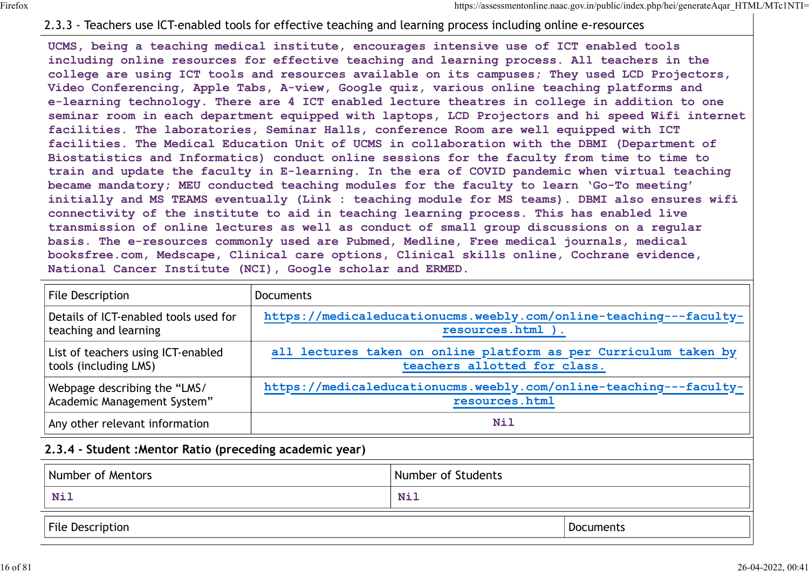#### 2.3.3 - Teachers use ICT-enabled tools for effective teaching and learning process including online e-resources

UCMS, being a teaching medical institute, encourages intensive use of ICT enabled tools including online resources for effective teaching and learning process. All teachers in the college are using ICT tools and resources available on its campuses; They used LCD Projectors, Video Conferencing, Apple Tabs, A-view, Google quiz, various online teaching platforms and e-learning technology. There are 4 ICT enabled lecture theatres in college in addition to one seminar room in each department equipped with laptops, LCD Projectors and hi speed Wifi internet facilities. The laboratories, Seminar Halls, conference Room are well equipped with ICT facilities. The Medical Education Unit of UCMS in collaboration with the DBMI (Department of Biostatistics and Informatics) conduct online sessions for the faculty from time to time to train and update the faculty in E-learning. In the era of COVID pandemic when virtual teaching became mandatory; MEU conducted teaching modules for the faculty to learn 'Go-To meeting' initially and MS TEAMS eventually (Link : teaching module for MS teams). DBMI also ensures wifi connectivity of the institute to aid in teaching learning process. This has enabled live transmission of online lectures as well as conduct of small group discussions on a regular basis. The e-resources commonly used are Pubmed, Medline, Free medical journals, medical booksfree.com, Medscape, Clinical care options, Clinical skills online, Cochrane evidence, National Cancer Institute (NCI), Google scholar and ERMED. Usias, Denig a teaching medicial institute, encourages intensive use or including online resources for effective teaching and learning process.<br>
college are using ICT tools and resources available on its campuses; The<br>
Vid

| transmission of online lectures as well as conduct of small group discussions on a regular<br>basis. The e-resources commonly used are Pubmed, Medline, Free medical journals, medical<br>booksfree.com, Medscape, Clinical care options, Clinical skills online, Cochrane evidence,<br>National Cancer Institute (NCI), Google scholar and ERMED. |                                                                                                  |                    |  |                   |
|----------------------------------------------------------------------------------------------------------------------------------------------------------------------------------------------------------------------------------------------------------------------------------------------------------------------------------------------------|--------------------------------------------------------------------------------------------------|--------------------|--|-------------------|
| File Description                                                                                                                                                                                                                                                                                                                                   | <b>Documents</b>                                                                                 |                    |  |                   |
| Details of ICT-enabled tools used for<br>teaching and learning                                                                                                                                                                                                                                                                                     | https://medicaleducationucms.weebly.com/online-teaching---faculty-<br>resources.html ).          |                    |  |                   |
| List of teachers using ICT-enabled<br>tools (including LMS)                                                                                                                                                                                                                                                                                        | all lectures taken on online platform as per Curriculum taken by<br>teachers allotted for class. |                    |  |                   |
| Webpage describing the "LMS/<br>Academic Management System"                                                                                                                                                                                                                                                                                        | https://medicaleducationucms.weebly.com/online-teaching---faculty-<br>resources.html             |                    |  |                   |
| Any other relevant information                                                                                                                                                                                                                                                                                                                     | <b>Nil</b>                                                                                       |                    |  |                   |
| 2.3.4 - Student : Mentor Ratio (preceding academic year)                                                                                                                                                                                                                                                                                           |                                                                                                  |                    |  |                   |
| Number of Mentors                                                                                                                                                                                                                                                                                                                                  |                                                                                                  | Number of Students |  |                   |
| <b>Nil</b>                                                                                                                                                                                                                                                                                                                                         |                                                                                                  | <b>Nil</b>         |  |                   |
| File Description                                                                                                                                                                                                                                                                                                                                   |                                                                                                  |                    |  | <b>Documents</b>  |
|                                                                                                                                                                                                                                                                                                                                                    |                                                                                                  |                    |  | 26-04-2022, 00:41 |

#### 2.3.4 - Student :Mentor Ratio (preceding academic year)

| Number of Mentors | Number of Students |           |  |
|-------------------|--------------------|-----------|--|
| Nil               | <b>Nil</b>         |           |  |
| File Description  |                    | Documents |  |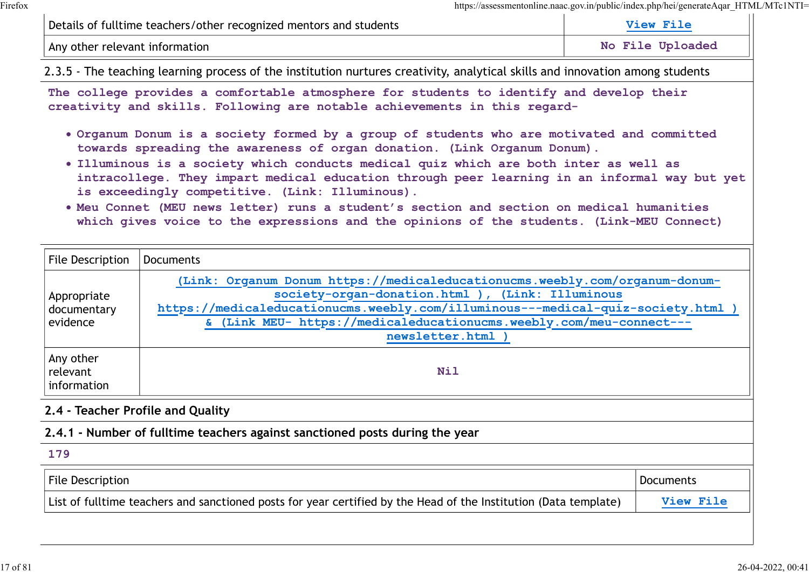| Details of fulltime teachers/other recognized mentors and students |                      |
|--------------------------------------------------------------------|----------------------|
| I Any other relevant information                                   | Loaded<br>Tm L<br>NC |

- Organum Donum is a society formed by a group of students who are motivated and committed towards spreading the awareness of organ donation. (Link Organum Donum).
- Illuminous is a society which conducts medical quiz which are both inter as well as intracollege. They impart medical education through peer learning in an informal way but yet is exceedingly competitive. (Link: Illuminous).
- Meu Connet (MEU news letter) runs a student's section and section on medical humanities which gives voice to the expressions and the opinions of the students. (Link-MEU Connect)

| Details of fulltime teachers/other recognized mentors and students | View File                                                                                                                                                                                                                                                                                                                                                                                                                                                                                                                                                                                                    |                  |  |
|--------------------------------------------------------------------|--------------------------------------------------------------------------------------------------------------------------------------------------------------------------------------------------------------------------------------------------------------------------------------------------------------------------------------------------------------------------------------------------------------------------------------------------------------------------------------------------------------------------------------------------------------------------------------------------------------|------------------|--|
|                                                                    | No File Uploaded<br>Any other relevant information                                                                                                                                                                                                                                                                                                                                                                                                                                                                                                                                                           |                  |  |
|                                                                    | 2.3.5 - The teaching learning process of the institution nurtures creativity, analytical skills and innovation among students                                                                                                                                                                                                                                                                                                                                                                                                                                                                                |                  |  |
|                                                                    | The college provides a comfortable atmosphere for students to identify and develop their<br>creativity and skills. Following are notable achievements in this regard-                                                                                                                                                                                                                                                                                                                                                                                                                                        |                  |  |
|                                                                    | . Organum Donum is a society formed by a group of students who are motivated and committed<br>towards spreading the awareness of organ donation. (Link Organum Donum).<br>. Illuminous is a society which conducts medical quiz which are both inter as well as<br>intracollege. They impart medical education through peer learning in an informal way but yet<br>is exceedingly competitive. (Link: Illuminous).<br>. Meu Connet (MEU news letter) runs a student's section and section on medical humanities<br>which gives voice to the expressions and the opinions of the students. (Link-MEU Connect) |                  |  |
| File Description                                                   | <b>Documents</b>                                                                                                                                                                                                                                                                                                                                                                                                                                                                                                                                                                                             |                  |  |
| Appropriate<br>documentary<br>evidence                             | (Link: Organum Donum https://medicaleducationucms.weebly.com/organum-donum-<br>society-organ-donation.html ), (Link: Illuminous<br>https://medicaleducationucms.weebly.com/illuminous---medical-quiz-society.html )<br>& (Link MEU- https://medicaleducationucms.weebly.com/meu-connect---<br>newsletter.html                                                                                                                                                                                                                                                                                                |                  |  |
| Any other<br>relevant<br>information                               | <b>Nil</b>                                                                                                                                                                                                                                                                                                                                                                                                                                                                                                                                                                                                   |                  |  |
|                                                                    | 2.4 - Teacher Profile and Quality                                                                                                                                                                                                                                                                                                                                                                                                                                                                                                                                                                            |                  |  |
|                                                                    | 2.4.1 - Number of fulltime teachers against sanctioned posts during the year                                                                                                                                                                                                                                                                                                                                                                                                                                                                                                                                 |                  |  |
| 179                                                                |                                                                                                                                                                                                                                                                                                                                                                                                                                                                                                                                                                                                              |                  |  |
| File Description                                                   |                                                                                                                                                                                                                                                                                                                                                                                                                                                                                                                                                                                                              | <b>Documents</b> |  |
|                                                                    | List of fulltime teachers and sanctioned posts for year certified by the Head of the Institution (Data template)                                                                                                                                                                                                                                                                                                                                                                                                                                                                                             | View File        |  |

#### 2.4 - Teacher Profile and Quality

#### 2.4.1 - Number of fulltime teachers against sanctioned posts during the year

| List of fulltime teachers and sanctioned posts for year certified by the Head of the Institution (Data template)<br>זמם ד | File<br>Description | cuments |
|---------------------------------------------------------------------------------------------------------------------------|---------------------|---------|
|                                                                                                                           |                     |         |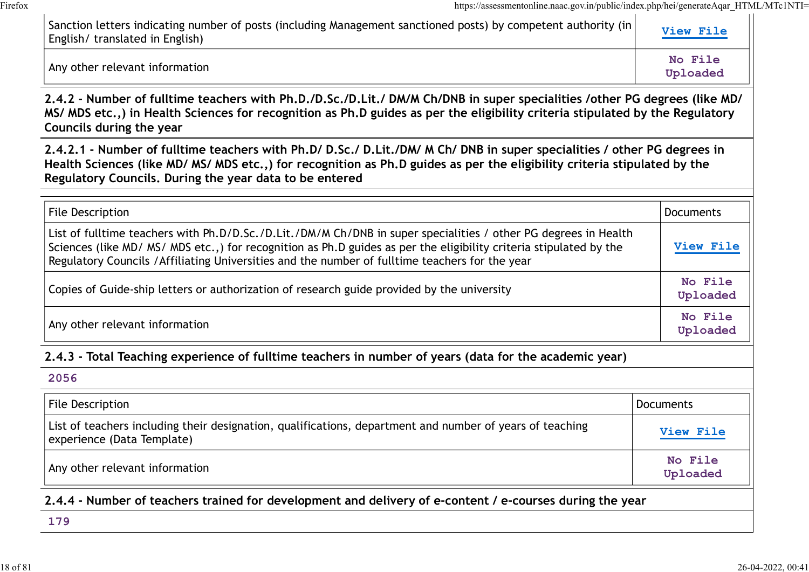| https://assessmentonline.naac.gov.in/public/index.php/hei/generateAqar_HTML/MTc1NTI=<br>Sanction letters indicating number of posts (including Management sanctioned posts) by competent authority (in<br>English/ translated in English)                                                                                                | View File           |
|------------------------------------------------------------------------------------------------------------------------------------------------------------------------------------------------------------------------------------------------------------------------------------------------------------------------------------------|---------------------|
| Any other relevant information                                                                                                                                                                                                                                                                                                           | No File<br>Uploaded |
| 2.4.2 - Number of fulltime teachers with Ph.D./D.Sc./D.Lit./ DM/M Ch/DNB in super specialities /other PG degrees (like MD/<br>MS/ MDS etc.,) in Health Sciences for recognition as Ph.D guides as per the eligibility criteria stipulated by the Regulatory<br>Councils during the year                                                  |                     |
| 2.4.2.1 - Number of fulltime teachers with Ph.D/ D.Sc./ D.Lit./DM/ M Ch/ DNB in super specialities / other PG degrees in<br>Health Sciences (like MD/ MS/ MDS etc.,) for recognition as Ph.D guides as per the eligibility criteria stipulated by the<br>Regulatory Councils. During the year data to be entered                         |                     |
| <b>File Description</b>                                                                                                                                                                                                                                                                                                                  | <b>Documents</b>    |
| List of fulltime teachers with Ph.D/D.Sc./D.Lit./DM/M Ch/DNB in super specialities / other PG degrees in Health<br>Sciences (like MD/ MS/ MDS etc.,) for recognition as Ph.D guides as per the eligibility criteria stipulated by the<br>Regulatory Councils / Affiliating Universities and the number of fulltime teachers for the year |                     |
| Copies of Guide-ship letters or authorization of research guide provided by the university                                                                                                                                                                                                                                               |                     |
| Any other relevant information                                                                                                                                                                                                                                                                                                           | No File<br>Uploaded |
| 2.4.3 - Total Teaching experience of fulltime teachers in number of years (data for the academic year)                                                                                                                                                                                                                                   |                     |
| 2056                                                                                                                                                                                                                                                                                                                                     |                     |
| <b>File Description</b>                                                                                                                                                                                                                                                                                                                  | <b>Documents</b>    |
| List of teachers including their designation, qualifications, department and number of years of teaching<br>experience (Data Template)                                                                                                                                                                                                   | View File           |
| Any other relevant information                                                                                                                                                                                                                                                                                                           | No File<br>Uploaded |

2.4.4 - Number of teachers trained for development and delivery of e-content / e-courses during the year

179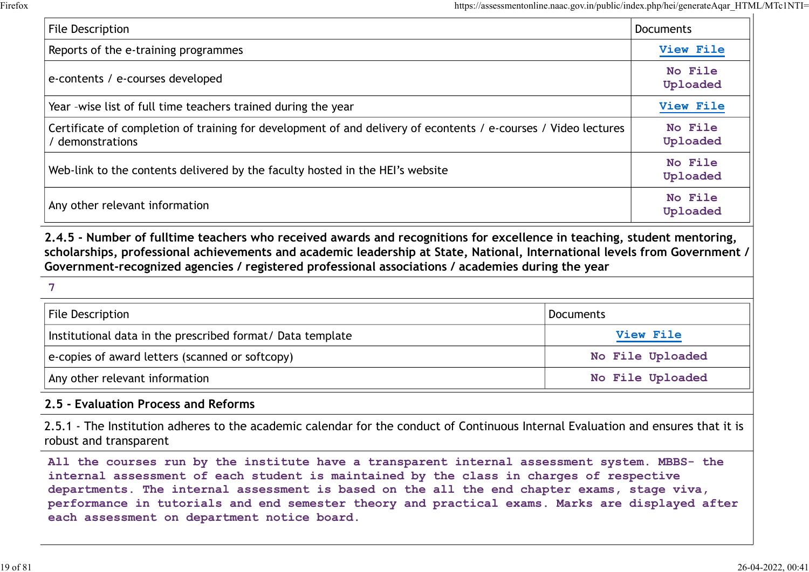|                                                                                                                                                                                                                                                                                                                                                            |                  | https://assessmentonline.naac.gov.in/public/index.php/hei/generateAqar HTML/MTc1NTI= |
|------------------------------------------------------------------------------------------------------------------------------------------------------------------------------------------------------------------------------------------------------------------------------------------------------------------------------------------------------------|------------------|--------------------------------------------------------------------------------------|
| File Description                                                                                                                                                                                                                                                                                                                                           |                  | <b>Documents</b>                                                                     |
| Reports of the e-training programmes                                                                                                                                                                                                                                                                                                                       |                  | View File                                                                            |
| e-contents / e-courses developed                                                                                                                                                                                                                                                                                                                           |                  | No File<br>Uploaded                                                                  |
| Year -wise list of full time teachers trained during the year                                                                                                                                                                                                                                                                                              |                  | View File                                                                            |
| Certificate of completion of training for development of and delivery of econtents / e-courses / Video lectures<br>demonstrations                                                                                                                                                                                                                          |                  | No File<br>Uploaded                                                                  |
| Web-link to the contents delivered by the faculty hosted in the HEI's website                                                                                                                                                                                                                                                                              |                  | No File<br>Uploaded                                                                  |
| Any other relevant information                                                                                                                                                                                                                                                                                                                             |                  | No File<br>Uploaded                                                                  |
| 2.4.5 - Number of fulltime teachers who received awards and recognitions for excellence in teaching, student mentoring,<br>scholarships, professional achievements and academic leadership at State, National, International levels from Government /<br>Government-recognized agencies / registered professional associations / academies during the year |                  |                                                                                      |
| 7                                                                                                                                                                                                                                                                                                                                                          |                  |                                                                                      |
| File Description                                                                                                                                                                                                                                                                                                                                           | <b>Documents</b> |                                                                                      |
| Institutional data in the prescribed format/ Data template                                                                                                                                                                                                                                                                                                 |                  | View File                                                                            |
| e-copies of award letters (scanned or softcopy)                                                                                                                                                                                                                                                                                                            |                  | No File Uploaded                                                                     |
| Any other relevant information                                                                                                                                                                                                                                                                                                                             | No File Unloaded |                                                                                      |

| $\overline{7}$ |  |  |  |
|----------------|--|--|--|
|                |  |  |  |

| File Description                                           | Documents        |
|------------------------------------------------------------|------------------|
| Institutional data in the prescribed format/ Data template | <b>View File</b> |
| $ e$ -copies of award letters (scanned or softcopy)        | No File Uploaded |
| Any other relevant information                             | No File Uploaded |

#### 2.5 - Evaluation Process and Reforms

2.5.1 - The Institution adheres to the academic calendar for the conduct of Continuous Internal Evaluation and ensures that it is robust and transparent

All the courses run by the institute have a transparent internal assessment system. MBBS- the internal assessment of each student is maintained by the class in charges of respective departments. The internal assessment is based on the all the end chapter exams, stage viva, performance in tutorials and end semester theory and practical exams. Marks are displayed after each assessment on department notice board.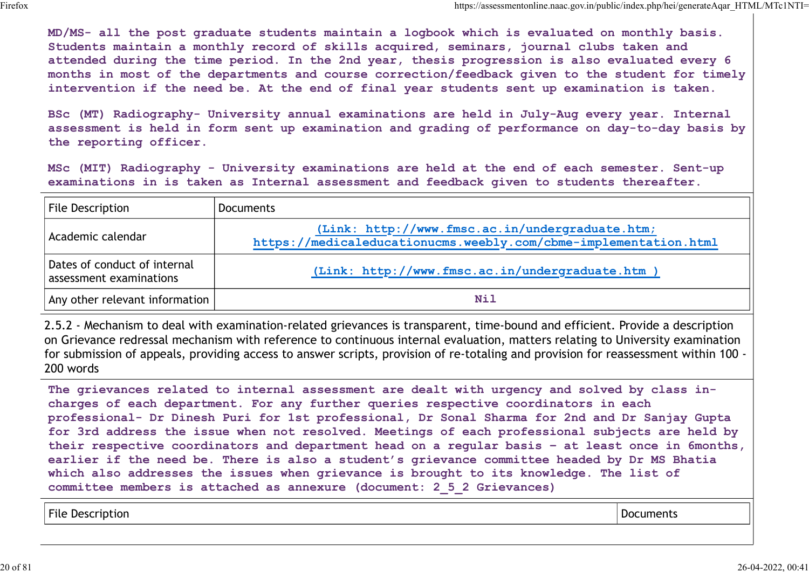|                                                         | https://assessmentonline.naac.gov.in/public/index.php/hei/generateAqar HTML/MTc1NTI=                                                                                                                                                                                                                                                                                                                                                                                                            |
|---------------------------------------------------------|-------------------------------------------------------------------------------------------------------------------------------------------------------------------------------------------------------------------------------------------------------------------------------------------------------------------------------------------------------------------------------------------------------------------------------------------------------------------------------------------------|
|                                                         | MD/MS- all the post graduate students maintain a logbook which is evaluated on monthly basis.<br>Students maintain a monthly record of skills acquired, seminars, journal clubs taken and<br>attended during the time period. In the 2nd year, thesis progression is also evaluated every 6<br>months in most of the departments and course correction/feedback given to the student for timely<br>intervention if the need be. At the end of final year students sent up examination is taken. |
| the reporting officer.                                  | BSc (MT) Radiography- University annual examinations are held in July-Aug every year. Internal<br>assessment is held in form sent up examination and grading of performance on day-to-day basis by                                                                                                                                                                                                                                                                                              |
|                                                         | MSc (MIT) Radiography - University examinations are held at the end of each semester. Sent-up<br>examinations in is taken as Internal assessment and feedback given to students thereafter.                                                                                                                                                                                                                                                                                                     |
| <b>File Description</b>                                 | <b>Documents</b>                                                                                                                                                                                                                                                                                                                                                                                                                                                                                |
| Academic calendar                                       | (Link: http://www.fmsc.ac.in/undergraduate.htm;<br>https://medicaleducationucms.weebly.com/cbme-implementation.html                                                                                                                                                                                                                                                                                                                                                                             |
| Dates of conduct of internal<br>assessment examinations | (Link: http://www.fmsc.ac.in/undergraduate.htm )                                                                                                                                                                                                                                                                                                                                                                                                                                                |
| Any other relevant information                          | <b>Nil</b>                                                                                                                                                                                                                                                                                                                                                                                                                                                                                      |

2.5.2 - Mechanism to deal with examination-related grievances is transparent, time-bound and efficient. Provide a description on Grievance redressal mechanism with reference to continuous internal evaluation, matters relating to University examination for submission of appeals, providing access to answer scripts, provision of re-totaling and provision for reassessment within 100 - 200 words

The grievances related to internal assessment are dealt with urgency and solved by class incharges of each department. For any further queries respective coordinators in each professional- Dr Dinesh Puri for 1st professional, Dr Sonal Sharma for 2nd and Dr Sanjay Gupta for 3rd address the issue when not resolved. Meetings of each professional subjects are held by their respective coordinators and department head on a regular basis – at least once in 6months, earlier if the need be. There is also a student's grievance committee headed by Dr MS Bhatia which also addresses the issues when grievance is brought to its knowledge. The list of committee members is attached as annexure (document: 2\_5\_2 Grievances) Date of motheral contents (Link: http://www.fmsc.ec.in/undergraduate.htm )<br>Any other relevant information and the case of motheral contents of the content of method of the content of the<br>5.5.2 - Mechanism to deal with exam

| File Description | :uments<br>DOC |
|------------------|----------------|
|------------------|----------------|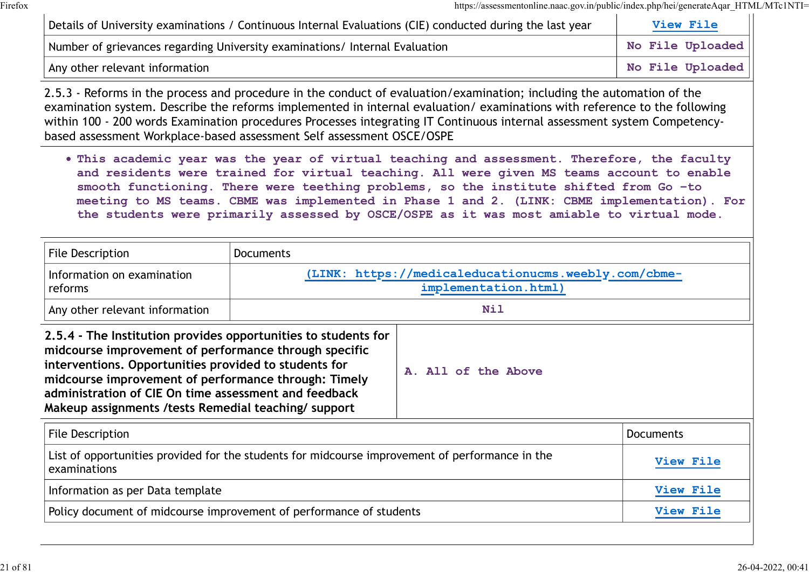|                                                                                                                                                                                                                                                                                                                                                            |                                                                                                 | https://assessmentonline.naac.gov.in/public/index.php/hei/generateAqar HTML/MTcTNTI=                                                                                                                                                                                                                                                                                                                                                                                              |                  |
|------------------------------------------------------------------------------------------------------------------------------------------------------------------------------------------------------------------------------------------------------------------------------------------------------------------------------------------------------------|-------------------------------------------------------------------------------------------------|-----------------------------------------------------------------------------------------------------------------------------------------------------------------------------------------------------------------------------------------------------------------------------------------------------------------------------------------------------------------------------------------------------------------------------------------------------------------------------------|------------------|
|                                                                                                                                                                                                                                                                                                                                                            |                                                                                                 | Details of University examinations / Continuous Internal Evaluations (CIE) conducted during the last year                                                                                                                                                                                                                                                                                                                                                                         | View File        |
|                                                                                                                                                                                                                                                                                                                                                            | Number of grievances regarding University examinations/ Internal Evaluation<br>No File Uploaded |                                                                                                                                                                                                                                                                                                                                                                                                                                                                                   |                  |
| Any other relevant information                                                                                                                                                                                                                                                                                                                             |                                                                                                 |                                                                                                                                                                                                                                                                                                                                                                                                                                                                                   | No File Uploaded |
| based assessment Workplace-based assessment Self assessment OSCE/OSPE                                                                                                                                                                                                                                                                                      |                                                                                                 | 2.5.3 - Reforms in the process and procedure in the conduct of evaluation/examination; including the automation of the<br>examination system. Describe the reforms implemented in internal evaluation/examinations with reference to the following<br>within 100 - 200 words Examination procedures Processes integrating IT Continuous internal assessment system Competency-                                                                                                    |                  |
|                                                                                                                                                                                                                                                                                                                                                            |                                                                                                 | . This academic year was the year of virtual teaching and assessment. Therefore, the faculty<br>and residents were trained for virtual teaching. All were given MS teams account to enable<br>smooth functioning. There were teething problems, so the institute shifted from Go -to<br>meeting to MS teams. CBME was implemented in Phase 1 and 2. (LINK: CBME implementation). For<br>the students were primarily assessed by OSCE/OSPE as it was most amiable to virtual mode. |                  |
| <b>File Description</b>                                                                                                                                                                                                                                                                                                                                    | <b>Documents</b>                                                                                |                                                                                                                                                                                                                                                                                                                                                                                                                                                                                   |                  |
| Information on examination<br>reforms                                                                                                                                                                                                                                                                                                                      | (LINK: https://medicaleducationucms.weebly.com/cbme-<br>implementation.html)                    |                                                                                                                                                                                                                                                                                                                                                                                                                                                                                   |                  |
| Any other relevant information                                                                                                                                                                                                                                                                                                                             | <b>Nil</b>                                                                                      |                                                                                                                                                                                                                                                                                                                                                                                                                                                                                   |                  |
| 2.5.4 - The Institution provides opportunities to students for<br>midcourse improvement of performance through specific<br>interventions. Opportunities provided to students for<br>midcourse improvement of performance through: Timely<br>administration of CIE On time assessment and feedback<br>Makeup assignments / tests Remedial teaching/ support |                                                                                                 | A. All of the Above                                                                                                                                                                                                                                                                                                                                                                                                                                                               |                  |
| File Description                                                                                                                                                                                                                                                                                                                                           |                                                                                                 |                                                                                                                                                                                                                                                                                                                                                                                                                                                                                   | Documents        |
| List of opportunities provided for the students for midcourse improvement of performance in the<br>examinations                                                                                                                                                                                                                                            |                                                                                                 |                                                                                                                                                                                                                                                                                                                                                                                                                                                                                   | View File        |
| Information as per Data template                                                                                                                                                                                                                                                                                                                           |                                                                                                 |                                                                                                                                                                                                                                                                                                                                                                                                                                                                                   | View File        |
|                                                                                                                                                                                                                                                                                                                                                            | Policy document of midcourse improvement of performance of students                             |                                                                                                                                                                                                                                                                                                                                                                                                                                                                                   | View File        |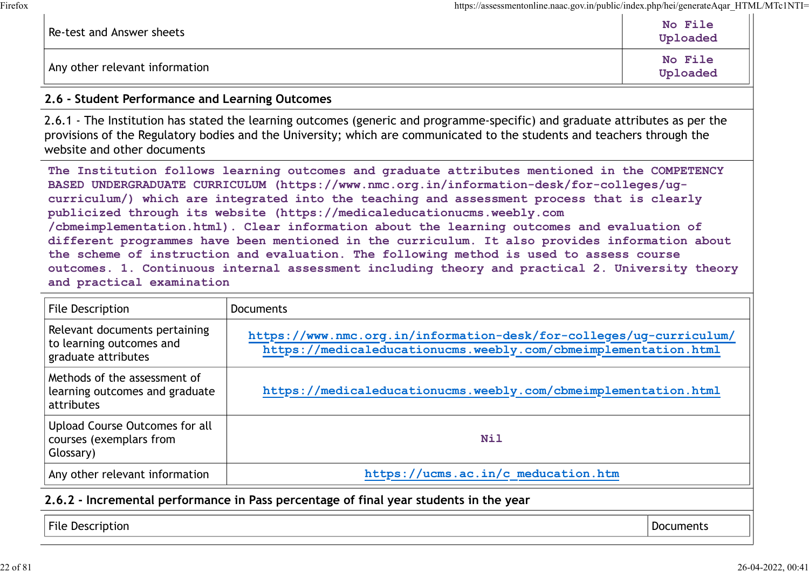| Re-test and Answer sheets      | No File<br>Uploaded |
|--------------------------------|---------------------|
| Any other relevant information | No File<br>Uploaded |

#### 2.6 - Student Performance and Learning Outcomes

2.6.1 - The Institution has stated the learning outcomes (generic and programme-specific) and graduate attributes as per the provisions of the Regulatory bodies and the University; which are communicated to the students and teachers through the website and other documents

The Institution follows learning outcomes and graduate attributes mentioned in the COMPETENCY BASED UNDERGRADUATE CURRICULUM (https://www.nmc.org.in/information-desk/for-colleges/ugcurriculum/) which are integrated into the teaching and assessment process that is clearly publicized through its website (https://medicaleducationucms.weebly.com /cbmeimplementation.html). Clear information about the learning outcomes and evaluation of different programmes have been mentioned in the curriculum. It also provides information about the scheme of instruction and evaluation. The following method is used to assess course outcomes. 1. Continuous internal assessment including theory and practical 2. University theory and practical examination Any other relevant information<br>
2.6 - Student Performance and Learning Outcomes<br>
2.6.1 - The Institution has stated the learning outcomes (generic and programme-specific) a<br>
2.6.1 - The Institution fos assumed the Universi

| File Description                                                                 | <b>Documents</b>                                                                                                                       |                  |
|----------------------------------------------------------------------------------|----------------------------------------------------------------------------------------------------------------------------------------|------------------|
| Relevant documents pertaining<br>to learning outcomes and<br>graduate attributes | https://www.nmc.org.in/information-desk/for-colleges/ug-curriculum/<br>https://medicaleducationucms.weebly.com/cbmeimplementation.html |                  |
| Methods of the assessment of<br>learning outcomes and graduate<br>attributes     | https://medicaleducationucms.weebly.com/cbmeimplementation.html                                                                        |                  |
| Upload Course Outcomes for all<br>courses (exemplars from<br>Glossary)           | Nil                                                                                                                                    |                  |
| Any other relevant information                                                   | https://ucms.ac.in/c meducation.htm                                                                                                    |                  |
|                                                                                  | 2.6.2 - Incremental performance in Pass percentage of final year students in the year                                                  |                  |
| <b>File Description</b>                                                          |                                                                                                                                        | <b>Documents</b> |

#### 2.6.2 - Incremental performance in Pass percentage of final year students in the year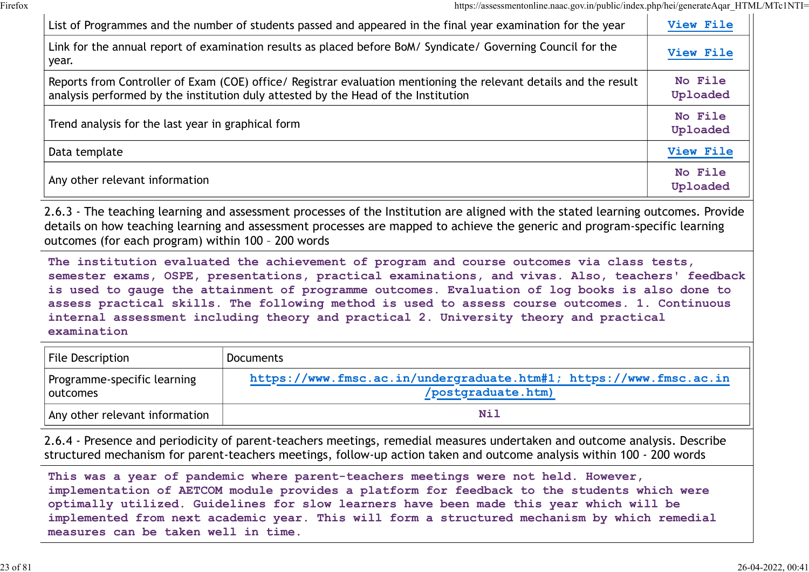|                                                    | List of Programmes and the number of students passed and appeared in the final year examination for the year                                                                                                                                                                                                                                                                                                                                                                               | View File           |
|----------------------------------------------------|--------------------------------------------------------------------------------------------------------------------------------------------------------------------------------------------------------------------------------------------------------------------------------------------------------------------------------------------------------------------------------------------------------------------------------------------------------------------------------------------|---------------------|
| year.                                              | Link for the annual report of examination results as placed before BoM/ Syndicate/ Governing Council for the                                                                                                                                                                                                                                                                                                                                                                               | View File           |
|                                                    | Reports from Controller of Exam (COE) office/ Registrar evaluation mentioning the relevant details and the result<br>analysis performed by the institution duly attested by the Head of the Institution                                                                                                                                                                                                                                                                                    | No File<br>Uploaded |
| Trend analysis for the last year in graphical form |                                                                                                                                                                                                                                                                                                                                                                                                                                                                                            | No File<br>Uploaded |
| Data template                                      |                                                                                                                                                                                                                                                                                                                                                                                                                                                                                            | View File           |
| Any other relevant information                     |                                                                                                                                                                                                                                                                                                                                                                                                                                                                                            | No File<br>Uploaded |
| outcomes (for each program) within 100 - 200 words | 2.6.3 - The teaching learning and assessment processes of the Institution are aligned with the stated learning outcomes. Provide<br>details on how teaching learning and assessment processes are mapped to achieve the generic and program-specific learning                                                                                                                                                                                                                              |                     |
| examination                                        | The institution evaluated the achievement of program and course outcomes via class tests,<br>semester exams, OSPE, presentations, practical examinations, and vivas. Also, teachers' feedback<br>is used to gauge the attainment of programme outcomes. Evaluation of log books is also done to<br>assess practical skills. The following method is used to assess course outcomes. 1. Continuous<br>internal assessment including theory and practical 2. University theory and practical |                     |
| File Description                                   | <b>Documents</b>                                                                                                                                                                                                                                                                                                                                                                                                                                                                           |                     |
| Programme-specific learning<br>outcomes            | https://www.fmsc.ac.in/undergraduate.htm#1; https://www.fmsc.ac.in<br>/postgraduate.htm)                                                                                                                                                                                                                                                                                                                                                                                                   |                     |
| Any other relevant information                     | <b>Nil</b>                                                                                                                                                                                                                                                                                                                                                                                                                                                                                 |                     |

| File Description                        | Documents                                                                                |
|-----------------------------------------|------------------------------------------------------------------------------------------|
| Programme-specific learning<br>outcomes | https://www.fmsc.ac.in/undergraduate.htm#1; https://www.fmsc.ac.in<br>/postgraduate.htm) |
| Any other relevant information          | Nil                                                                                      |

2.6.4 - Presence and periodicity of parent-teachers meetings, remedial measures undertaken and outcome analysis. Describe structured mechanism for parent-teachers meetings, follow-up action taken and outcome analysis within 100 - 200 words

This was a year of pandemic where parent-teachers meetings were not held. However, implementation of AETCOM module provides a platform for feedback to the students which were optimally utilized. Guidelines for slow learners have been made this year which will be implemented from next academic year. This will form a structured mechanism by which remedial measures can be taken well in time.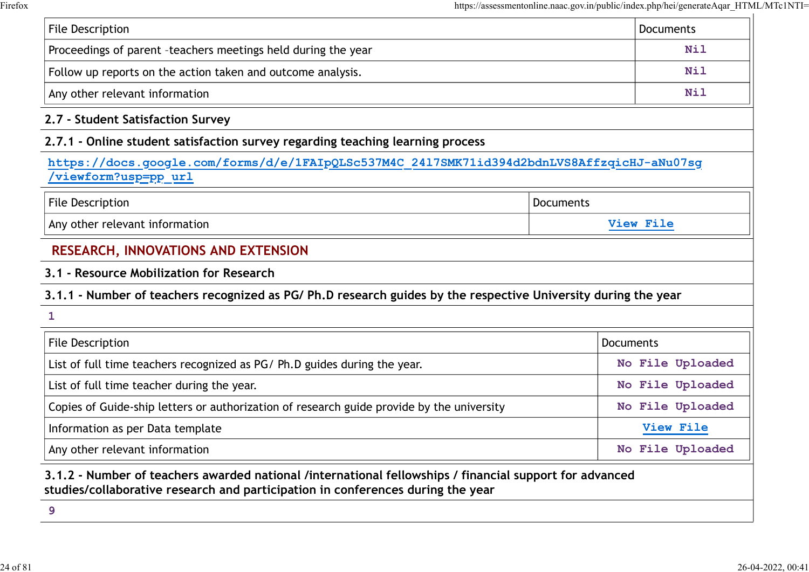|                                                                                                                   | https://assessmentonline.naac.gov.in/public/index.php/hei/generateAqar_HTML/MTc1NTI= |                  |
|-------------------------------------------------------------------------------------------------------------------|--------------------------------------------------------------------------------------|------------------|
| File Description                                                                                                  |                                                                                      | <b>Documents</b> |
| Proceedings of parent -teachers meetings held during the year                                                     |                                                                                      | <b>Nil</b>       |
| Follow up reports on the action taken and outcome analysis.                                                       |                                                                                      | <b>Nil</b>       |
| Any other relevant information                                                                                    |                                                                                      | Nil              |
| 2.7 - Student Satisfaction Survey                                                                                 |                                                                                      |                  |
| 2.7.1 - Online student satisfaction survey regarding teaching learning process                                    |                                                                                      |                  |
| https://docs.google.com/forms/d/e/1FAIpQLSc537M4C 2417SMK71id394d2bdnLVS8AffzqicHJ-aNu07sg<br>viewform?usp=pp url |                                                                                      |                  |
| <b>File Description</b>                                                                                           | Documents                                                                            |                  |
| Any other relevant information                                                                                    |                                                                                      | View File        |
| <b>RESEARCH, INNOVATIONS AND EXTENSION</b>                                                                        |                                                                                      |                  |
| 3.1 - Resource Mobilization for Research                                                                          |                                                                                      |                  |
| 3.1.1 - Number of teachers recognized as PG/Ph.D research guides by the respective University during the year     |                                                                                      |                  |
| 1                                                                                                                 |                                                                                      |                  |
| File Description                                                                                                  |                                                                                      | Documents        |
| List of full time teachers recognized as PG/ Ph.D guides during the year.                                         |                                                                                      | No File Uploaded |
| List of full time teacher during the year.                                                                        |                                                                                      | No File Uploaded |
| Copies of Guide-ship letters or authorization of research guide provide by the university                         |                                                                                      | No File Uploaded |
| Information as per Data template                                                                                  |                                                                                      | View File        |
| Any other relevant information                                                                                    |                                                                                      | No File Uploaded |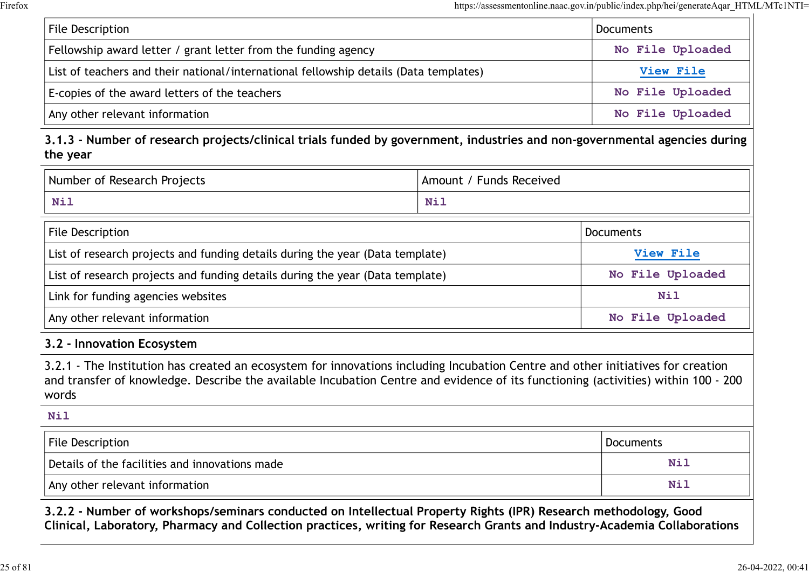|                                                                                                                                       |                         | https://assessmentonline.naac.gov.in/public/index.php/hei/generateAqar_HTML/MTc1NTI= |
|---------------------------------------------------------------------------------------------------------------------------------------|-------------------------|--------------------------------------------------------------------------------------|
| <b>File Description</b>                                                                                                               |                         | <b>Documents</b>                                                                     |
| Fellowship award letter / grant letter from the funding agency                                                                        |                         | No File Uploaded                                                                     |
| List of teachers and their national/international fellowship details (Data templates)                                                 |                         | View File                                                                            |
| E-copies of the award letters of the teachers                                                                                         |                         | No File Uploaded                                                                     |
| Any other relevant information                                                                                                        |                         | No File Uploaded                                                                     |
| 3.1.3 - Number of research projects/clinical trials funded by government, industries and non-governmental agencies during<br>the year |                         |                                                                                      |
| Number of Research Projects                                                                                                           | Amount / Funds Received |                                                                                      |
| <b>Nil</b>                                                                                                                            | <b>Nil</b>              |                                                                                      |
| <b>File Description</b>                                                                                                               |                         | Documents                                                                            |
| List of research projects and funding details during the year (Data template)                                                         |                         | View File                                                                            |
| List of research projects and funding details during the year (Data template)                                                         |                         | No File Uploaded                                                                     |
| Link for funding agancias wabsites                                                                                                    |                         | $M - 1$                                                                              |

#### 3.1.3 - Number of research projects/clinical trials funded by government, industries and non-governmental agencies during the year

| Number               | <b>Funds Received</b> |
|----------------------|-----------------------|
| of Research Projects | Amount                |
| Nil                  | Nil                   |

| <b>Nil</b>                                                                                                                                                                                                                                                                    | <b>Nil</b> |                  |
|-------------------------------------------------------------------------------------------------------------------------------------------------------------------------------------------------------------------------------------------------------------------------------|------------|------------------|
| File Description                                                                                                                                                                                                                                                              |            | <b>Documents</b> |
| List of research projects and funding details during the year (Data template)                                                                                                                                                                                                 |            | View File        |
| List of research projects and funding details during the year (Data template)                                                                                                                                                                                                 |            | No File Uploaded |
| Link for funding agencies websites                                                                                                                                                                                                                                            |            | Nil              |
| Any other relevant information                                                                                                                                                                                                                                                |            | No File Uploaded |
| 3.2 - Innovation Ecosystem                                                                                                                                                                                                                                                    |            |                  |
| 3.2.1 - The Institution has created an ecosystem for innovations including Incubation Centre and other initiatives for creation<br>and transfer of knowledge. Describe the available Incubation Centre and evidence of its functioning (activities) within 100 - 200<br>words |            |                  |
| <b>Nil</b>                                                                                                                                                                                                                                                                    |            |                  |
| File Description                                                                                                                                                                                                                                                              |            | Documents        |
| Details of the facilities and innovations made                                                                                                                                                                                                                                |            | <b>Nil</b>       |
| Any other relevant information                                                                                                                                                                                                                                                |            | <b>Nil</b>       |
|                                                                                                                                                                                                                                                                               |            |                  |

#### 3.2 - Innovation Ecosystem

## Nil Details of the facilities and innovations made  $N$  is a set of  $N$  is a set of  $N$  is  $N$  is  $N$  is  $N$  is  $N$  is  $N$  is  $N$  is  $N$  is  $N$  is  $N$  is  $N$  is  $N$  is  $N$  is  $N$  is  $N$  is  $N$  is  $N$  is  $N$  is  $N$  is  $N$  is  $N$ Any other relevant information Nill and Any other relevant information Nill and Any other relevant information

3.2.2 - Number of workshops/seminars conducted on Intellectual Property Rights (IPR) Research methodology, Good Clinical, Laboratory, Pharmacy and Collection practices, writing for Research Grants and Industry-Academia Collaborations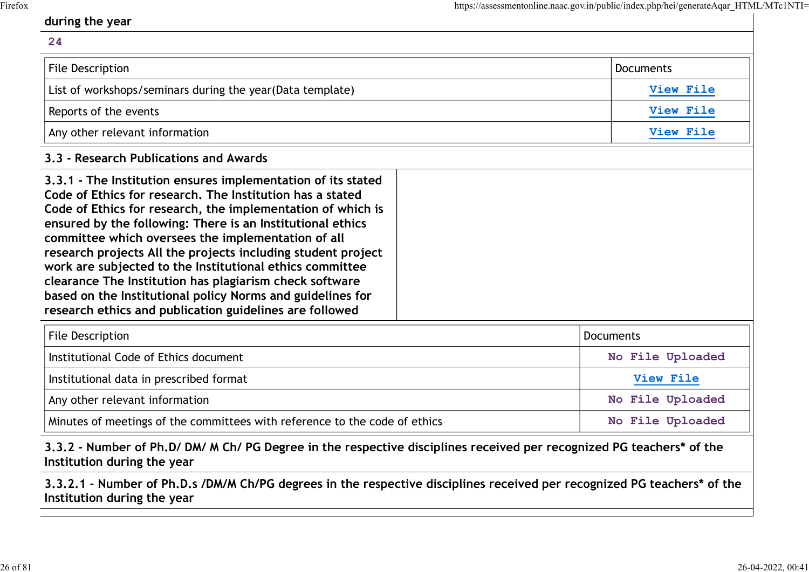#### during the year

# 24 Muring the year<br>
24<br>
File Description<br>
Eist of workshops/seminars during the year(Data template)<br>
Documents<br>
List of workshops/seminars during the year(Data template)<br>
Reports of the events<br>
Any other relevant information List of workshops/seminars during the year(Data template) and the vertext of the view File Reports of the events **Example 2018** View File Any other relevant information and the contraction of the view File 3.3 - Research Publications and Awards 3.3.1 - The Institution ensures implementation of its stated Code of Ethics for research. The Institution has a stated Code of Ethics for research, the implementation of which is ensured by the following: There is an Institutional ethics committee which oversees the implementation of all research projects All the projects including student project work are subjected to the Institutional ethics committee clearance The Institution has plagiarism check software based on the Institutional policy Norms and guidelines for research ethics and publication guidelines are followed List of workshops/seminars during the year(Data template)<br>
Reports of the events<br>
Any other relevant information<br>
Any other relevant information<br>
Any other relevant information<br>
.3. - Research Publications and Awards<br>
.3.

| File Description                                                           | <b>Documents</b> |
|----------------------------------------------------------------------------|------------------|
| Institutional Code of Ethics document                                      | No File Uploaded |
| Institutional data in prescribed format                                    | <b>View File</b> |
| Any other relevant information                                             | No File Uploaded |
| Minutes of meetings of the committees with reference to the code of ethics | No File Uploaded |

#### 3.3.2 - Number of Ph.D/ DM/ M Ch/ PG Degree in the respective disciplines received per recognized PG teachers\* of the Institution during the year

3.3.2.1 - Number of Ph.D.s /DM/M Ch/PG degrees in the respective disciplines received per recognized PG teachers\* of the Institution during the year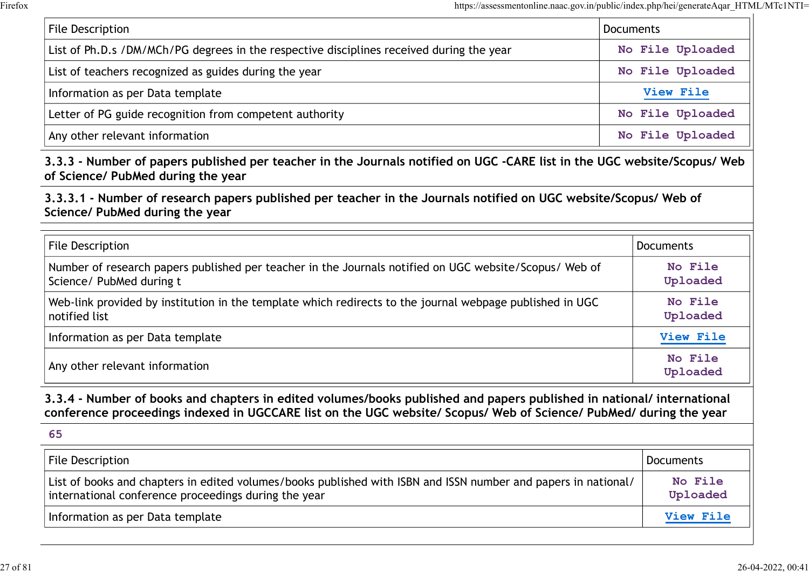| https://assessmentonline.naac.gov.in/public/index.php/hei/generateAqar_HTML/MTc1NTI=                                                                           |                     |
|----------------------------------------------------------------------------------------------------------------------------------------------------------------|---------------------|
| File Description                                                                                                                                               | <b>Documents</b>    |
| List of Ph.D.s /DM/MCh/PG degrees in the respective disciplines received during the year                                                                       | No File Uploaded    |
| List of teachers recognized as guides during the year                                                                                                          | No File Uploaded    |
| Information as per Data template                                                                                                                               | View File           |
| Letter of PG guide recognition from competent authority                                                                                                        | No File Uploaded    |
| Any other relevant information                                                                                                                                 | No File Uploaded    |
| 3.3.3 - Number of papers published per teacher in the Journals notified on UGC -CARE list in the UGC website/Scopus/ Web<br>of Science/ PubMed during the year |                     |
| 3.3.3.1 - Number of research papers published per teacher in the Journals notified on UGC website/Scopus/ Web of<br>Science/ PubMed during the year            |                     |
| <b>File Description</b>                                                                                                                                        | <b>Documents</b>    |
| Number of research papers published per teacher in the Journals notified on UGC website/Scopus/ Web of<br>Science/ PubMed during t                             | No File<br>Uploaded |
| Web-link provided by institution in the template which redirects to the journal webpage published in UGC                                                       | No File             |

| Science/ Pubmed during the year                                                                                                                                                                                                                    |                     |
|----------------------------------------------------------------------------------------------------------------------------------------------------------------------------------------------------------------------------------------------------|---------------------|
| File Description                                                                                                                                                                                                                                   | <b>Documents</b>    |
| Number of research papers published per teacher in the Journals notified on UGC website/Scopus/ Web of<br>Science/ PubMed during t                                                                                                                 | No File<br>Uploaded |
| Web-link provided by institution in the template which redirects to the journal webpage published in UGC<br>notified list                                                                                                                          | No File<br>Uploaded |
| Information as per Data template                                                                                                                                                                                                                   | View File           |
| Any other relevant information                                                                                                                                                                                                                     | No File<br>Uploaded |
| 3.3.4 - Number of books and chapters in edited volumes/books published and papers published in national/ international<br>conference proceedings indexed in UGCCARE list on the UGC website/ Scopus/ Web of Science/ PubMed/ during the year<br>65 |                     |
| File Description                                                                                                                                                                                                                                   | <b>Documents</b>    |
| List of books and chapters in edited volumes/books published with ISBN and ISSN number and papers in national/<br>international conference proceedings during the year                                                                             | No File<br>Uploaded |
| Information as per Data template                                                                                                                                                                                                                   | View File           |

| File Description                                                                                                                                                       | Documents           |
|------------------------------------------------------------------------------------------------------------------------------------------------------------------------|---------------------|
| List of books and chapters in edited volumes/books published with ISBN and ISSN number and papers in national/<br>international conference proceedings during the year | No File<br>Uploaded |
| Information as per Data template                                                                                                                                       | <b>View File</b>    |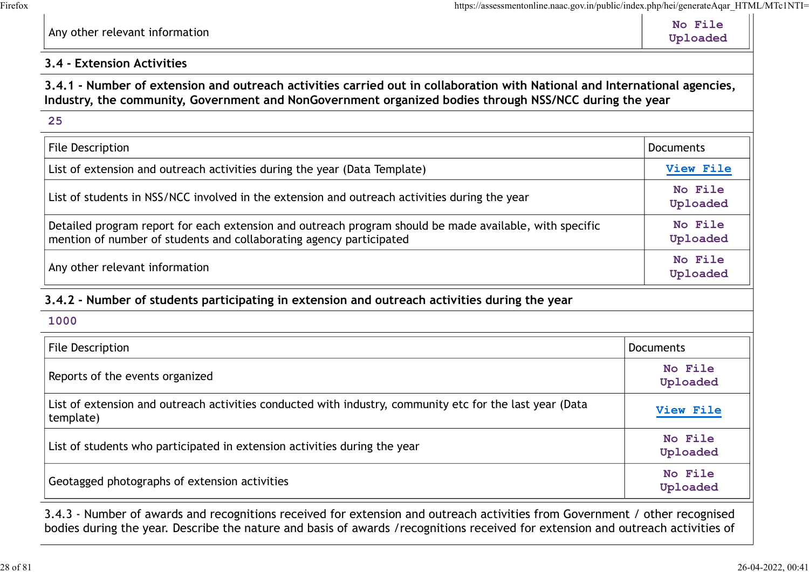#### 3.4 - Extension Activities

#### 3.4.1 - Number of extension and outreach activities carried out in collaboration with National and International agencies, Industry, the community, Government and NonGovernment organized bodies through NSS/NCC during the year

| https://assessmentonline.naac.gov.in/public/index.php/hei/generateAqar_HTML/MTc1NTI=                                                                                                                                                 |                     |
|--------------------------------------------------------------------------------------------------------------------------------------------------------------------------------------------------------------------------------------|---------------------|
| Any other relevant information                                                                                                                                                                                                       | No File<br>Uploaded |
| 3.4 - Extension Activities                                                                                                                                                                                                           |                     |
| 3.4.1 - Number of extension and outreach activities carried out in collaboration with National and International agencies,<br>Industry, the community, Government and NonGovernment organized bodies through NSS/NCC during the year |                     |
| 25                                                                                                                                                                                                                                   |                     |
| File Description                                                                                                                                                                                                                     | <b>Documents</b>    |
| List of extension and outreach activities during the year (Data Template)                                                                                                                                                            | View File           |
| List of students in NSS/NCC involved in the extension and outreach activities during the year                                                                                                                                        | No File<br>Uploaded |
| Detailed program report for each extension and outreach program should be made available, with specific<br>mention of number of students and collaborating agency participated                                                       | No File<br>Uploaded |
| Any other relevant information                                                                                                                                                                                                       | No File<br>Uploaded |
| 3.4.2 - Number of students participating in extension and outreach activities during the year                                                                                                                                        |                     |
| 1000                                                                                                                                                                                                                                 |                     |
| File Description                                                                                                                                                                                                                     | Documents           |
| Reports of the events organized                                                                                                                                                                                                      | No File<br>Uploaded |
| List of extension and outreach activities conducted with industry, community etc for the last year (Data                                                                                                                             | $Vi \sim Fi 1$      |

#### 3.4.2 - Number of students participating in extension and outreach activities during the year

| File Description                                                                                                      | <b>Documents</b>    |
|-----------------------------------------------------------------------------------------------------------------------|---------------------|
| Reports of the events organized                                                                                       | No File<br>Uploaded |
| List of extension and outreach activities conducted with industry, community etc for the last year (Data<br>template) | View File           |
| List of students who participated in extension activities during the year                                             | No File<br>Uploaded |
| Geotagged photographs of extension activities                                                                         | No File<br>Uploaded |

3.4.3 - Number of awards and recognitions received for extension and outreach activities from Government / other recognised bodies during the year. Describe the nature and basis of awards /recognitions received for extension and outreach activities of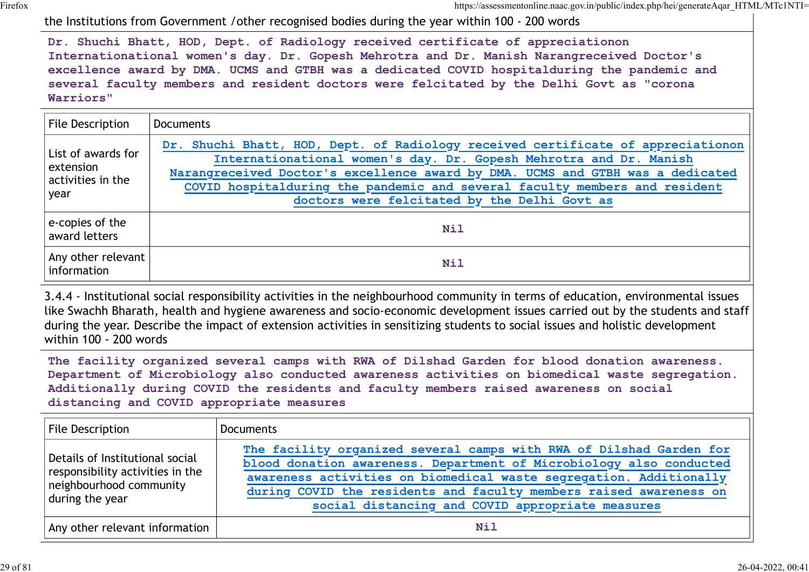|                                                                                                |                  | https://assessmentonline.naac.gov.in/public/index.php/hei/generateAqar HTML/MTc1NTI=<br>the Institutions from Government / other recognised bodies during the year within 100 - 200 words                                                                                                                                                                                                            |
|------------------------------------------------------------------------------------------------|------------------|------------------------------------------------------------------------------------------------------------------------------------------------------------------------------------------------------------------------------------------------------------------------------------------------------------------------------------------------------------------------------------------------------|
| Warriors"                                                                                      |                  | Dr. Shuchi Bhatt, HOD, Dept. of Radiology received certificate of appreciationon<br>Internationational women's day. Dr. Gopesh Mehrotra and Dr. Manish Narangreceived Doctor's<br>excellence award by DMA. UCMS and GTBH was a dedicated COVID hospitalduring the pandemic and<br>several faculty members and resident doctors were felcitated by the Delhi Govt as "corona                          |
| File Description                                                                               | <b>Documents</b> |                                                                                                                                                                                                                                                                                                                                                                                                      |
| List of awards for<br>extension<br>activities in the<br>year                                   |                  | Dr. Shuchi Bhatt, HOD, Dept. of Radiology received certificate of appreciationon<br>Internationational women's day. Dr. Gopesh Mehrotra and Dr. Manish<br>Narangreceived Doctor's excellence award by DMA. UCMS and GTBH was a dedicated<br>COVID hospitalduring the pandemic and several faculty members and resident<br>doctors were felcitated by the Delhi Govt as                               |
| e-copies of the<br>award letters                                                               |                  | <b>Nil</b>                                                                                                                                                                                                                                                                                                                                                                                           |
| Any other relevant<br>information                                                              |                  | Nil                                                                                                                                                                                                                                                                                                                                                                                                  |
| within 100 - 200 words                                                                         |                  | 3.4.4 - Institutional social responsibility activities in the neighbourhood community in terms of education, environmental issues<br>like Swachh Bharath, health and hygiene awareness and socio-economic development issues carried out by the students and staff<br>during the year. Describe the impact of extension activities in sensitizing students to social issues and holistic development |
|                                                                                                |                  | The facility organized several camps with RWA of Dilshad Garden for blood donation awareness.<br>Department of Microbiology also conducted awareness activities on biomedical waste segregation.<br>Additionally during COVID the residents and faculty members raised awareness on social<br>distancing and COVID appropriate measures                                                              |
| <b>File Description</b>                                                                        |                  | <b>Documents</b>                                                                                                                                                                                                                                                                                                                                                                                     |
| Details of Institutional social<br>responsibility activities in the<br>neighbourhood community |                  | The facility organized several camps with RWA of Dilshad Garden for<br>blood donation awareness. Department of Microbiology also conducted<br>awareness activities on biomedical waste segregation. Additionally<br>during COVID the residents and faculty members raised awareness                                                                                                                  |

| File Description                                                                                                  | <b>Documents</b>                                                                                                                                                                             |
|-------------------------------------------------------------------------------------------------------------------|----------------------------------------------------------------------------------------------------------------------------------------------------------------------------------------------|
| Details of Institutional social<br>responsibility activities in the<br>neighbourhood community<br>during the year | The facility organized several camps with RWA of Dilshad Garden for<br>blood donation awareness. Department of Microbiology also conducted                                                   |
|                                                                                                                   | awareness activities on biomedical waste segregation. Additionally<br>during COVID the residents and faculty members raised awareness on<br>social distancing and COVID appropriate measures |
| Any other relevant information                                                                                    | Nil                                                                                                                                                                                          |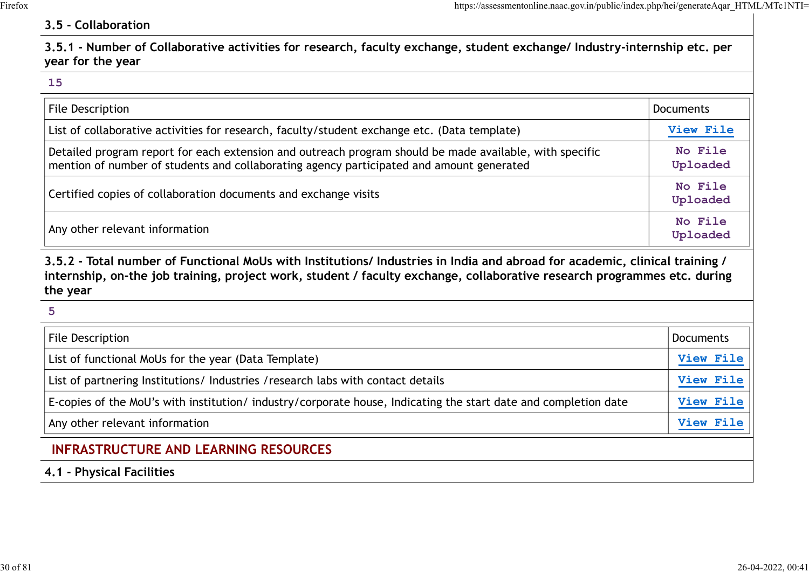#### 3.5 - Collaboration

| https://assessmentonline.naac.gov.in/public/index.php/hei/generateAqar_HTML/MTc1NTI=                                                                                                                                                                                |                     |
|---------------------------------------------------------------------------------------------------------------------------------------------------------------------------------------------------------------------------------------------------------------------|---------------------|
| 3.5 - Collaboration                                                                                                                                                                                                                                                 |                     |
| 3.5.1 - Number of Collaborative activities for research, faculty exchange, student exchange/ Industry-internship etc. per<br>year for the year                                                                                                                      |                     |
| 15                                                                                                                                                                                                                                                                  |                     |
| <b>File Description</b>                                                                                                                                                                                                                                             | <b>Documents</b>    |
| List of collaborative activities for research, faculty/student exchange etc. (Data template)                                                                                                                                                                        | View File           |
| Detailed program report for each extension and outreach program should be made available, with specific<br>mention of number of students and collaborating agency participated and amount generated                                                                 | No File<br>Uploaded |
| Certified copies of collaboration documents and exchange visits                                                                                                                                                                                                     | No File<br>Uploaded |
| Any other relevant information                                                                                                                                                                                                                                      | No File<br>Uploaded |
| 3.5.2 - Total number of Functional MoUs with Institutions/ Industries in India and abroad for academic, clinical training /<br>internship, on-the job training, project work, student / faculty exchange, collaborative research programmes etc. during<br>the year |                     |
| 5                                                                                                                                                                                                                                                                   |                     |
| File Description                                                                                                                                                                                                                                                    | Documents           |
| List of functional MoUs for the year (Data Template)                                                                                                                                                                                                                | View File           |
| List of partnering Institutions/ Industries / research labs with contact details                                                                                                                                                                                    | View File           |
| $\mathsf{F}$ copies of the MeL's with institution (industry/cerperate beyse, Indicating the start data and completion data                                                                                                                                          | $V_i \sim V_i$      |

| File Description                                                                                               | Documents        |
|----------------------------------------------------------------------------------------------------------------|------------------|
| List of functional MoUs for the year (Data Template)                                                           | <b>View File</b> |
| List of partnering Institutions/Industries / research labs with contact details                                | <b>View File</b> |
| E-copies of the MoU's with institution/industry/corporate house, Indicating the start date and completion date | View File        |
| Any other relevant information                                                                                 | <b>View File</b> |
|                                                                                                                |                  |

### INFRASTRUCTURE AND LEARNING RESOURCES

4.1 - Physical Facilities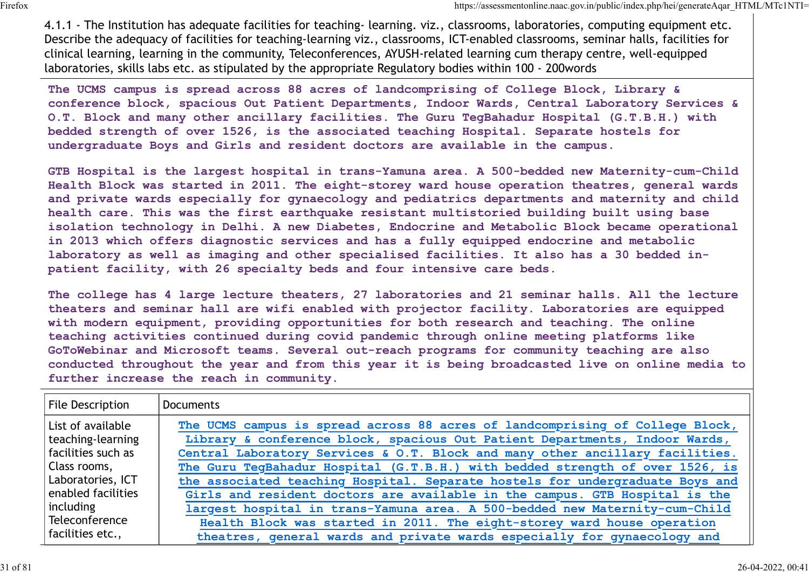4.1.1 - The Institution has adequate facilities for teaching- learning. viz., classrooms, laboratories, computing equipment etc. Describe the adequacy of facilities for teaching-learning viz., classrooms, ICT-enabled classrooms, seminar halls, facilities for clinical learning, learning in the community, Teleconferences, AYUSH-related learning cum therapy centre, well-equipped laboratories, skills labs etc. as stipulated by the appropriate Regulatory bodies within 100 - 200words

The UCMS campus is spread across 88 acres of landcomprising of College Block, Library & conference block, spacious Out Patient Departments, Indoor Wards, Central Laboratory Services & O.T. Block and many other ancillary facilities. The Guru TegBahadur Hospital (G.T.B.H.) with bedded strength of over 1526, is the associated teaching Hospital. Separate hostels for undergraduate Boys and Girls and resident doctors are available in the campus.

GTB Hospital is the largest hospital in trans-Yamuna area. A 500-bedded new Maternity-cum-Child Health Block was started in 2011. The eight-storey ward house operation theatres, general wards and private wards especially for gynaecology and pediatrics departments and maternity and child health care. This was the first earthquake resistant multistoried building built using base isolation technology in Delhi. A new Diabetes, Endocrine and Metabolic Block became operational in 2013 which offers diagnostic services and has a fully equipped endocrine and metabolic laboratory as well as imaging and other specialised facilities. It also has a 30 bedded inpatient facility, with 26 specialty beds and four intensive care beds. GTB Hospital is the largest hospital in trans-Yamuna area.<br>Health Block was started in 2011. The eight-storey ward hou<br>and private wards especially for gynaecology and pediatrics<br>health care. This was the first earthquake

The college has 4 large lecture theaters, 27 laboratories and 21 seminar halls. All the lecture theaters and seminar hall are wifi enabled with projector facility. Laboratories are equipped with modern equipment, providing opportunities for both research and teaching. The online teaching activities continued during covid pandemic through online meeting platforms like GoToWebinar and Microsoft teams. Several out-reach programs for community teaching are also conducted throughout the year and from this year it is being broadcasted live on online media to further increase the reach in community.

| File Description     | Documents                                                                     |
|----------------------|-------------------------------------------------------------------------------|
| List of available    | The UCMS campus is spread across 88 acres of landcomprising of College Block, |
| teaching-learning    | Library & conference block, spacious Out Patient Departments, Indoor Wards,   |
| facilities such as   | Central Laboratory Services & O.T. Block and many other ancillary facilities. |
| Class rooms,         | The Guru TegBahadur Hospital (G.T.B.H.) with bedded strength of over 1526, is |
| Laboratories, ICT    | the associated teaching Hospital. Separate hostels for undergraduate Boys and |
| enabled facilities   | Girls and resident doctors are available in the campus. GTB Hospital is the   |
| including            | largest hospital in trans-Yamuna area. A 500-bedded new Maternity-cum-Child   |
| Teleconference       | Health Block was started in 2011. The eight-storey ward house operation       |
| $ $ facilities etc., | theatres, general wards and private wards especially for gynaecology and      |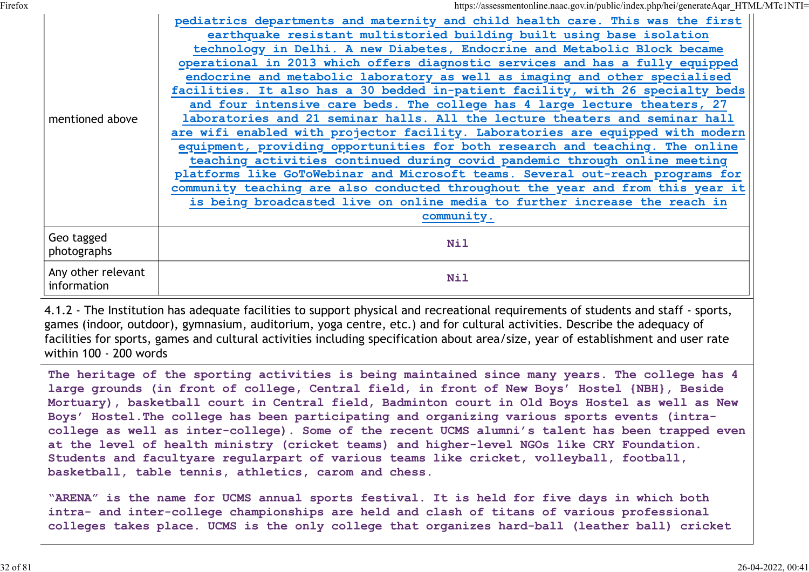Firefox https://assessmentonline.naac.gov.in/public/index.php/hei/generateAqar\_HTML/MTc1NTI=

| mentioned above                   | pediatrics departments and maternity and child health care. This was the first<br>earthquake resistant multistoried building built using base isolation<br>technology in Delhi. A new Diabetes, Endocrine and Metabolic Block became<br>operational in 2013 which offers diagnostic services and has a fully equipped<br>endocrine and metabolic laboratory as well as imaging and other specialised<br>facilities. It also has a 30 bedded in-patient facility, with 26 specialty beds<br>and four intensive care beds. The college has 4 large lecture theaters, 27<br>laboratories and 21 seminar halls. All the lecture theaters and seminar hall<br>are wifi enabled with projector facility. Laboratories are equipped with modern<br>equipment, providing opportunities for both research and teaching. The online<br>teaching activities continued during covid pandemic through online meeting<br>platforms like GoToWebinar and Microsoft teams. Several out-reach programs for<br>community teaching are also conducted throughout the year and from this year it<br>is being broadcasted live on online media to further increase the reach in |
|-----------------------------------|------------------------------------------------------------------------------------------------------------------------------------------------------------------------------------------------------------------------------------------------------------------------------------------------------------------------------------------------------------------------------------------------------------------------------------------------------------------------------------------------------------------------------------------------------------------------------------------------------------------------------------------------------------------------------------------------------------------------------------------------------------------------------------------------------------------------------------------------------------------------------------------------------------------------------------------------------------------------------------------------------------------------------------------------------------------------------------------------------------------------------------------------------------|
|                                   | community.                                                                                                                                                                                                                                                                                                                                                                                                                                                                                                                                                                                                                                                                                                                                                                                                                                                                                                                                                                                                                                                                                                                                                 |
| Geo tagged<br>photographs         | <b>Nil</b>                                                                                                                                                                                                                                                                                                                                                                                                                                                                                                                                                                                                                                                                                                                                                                                                                                                                                                                                                                                                                                                                                                                                                 |
| Any other relevant<br>information | <b>Nil</b>                                                                                                                                                                                                                                                                                                                                                                                                                                                                                                                                                                                                                                                                                                                                                                                                                                                                                                                                                                                                                                                                                                                                                 |

4.1.2 - The Institution has adequate facilities to support physical and recreational requirements of students and staff - sports, games (indoor, outdoor), gymnasium, auditorium, yoga centre, etc.) and for cultural activities. Describe the adequacy of facilities for sports, games and cultural activities including specification about area/size, year of establishment and user rate within 100 - 200 words

The heritage of the sporting activities is being maintained since many years. The college has 4 large grounds (in front of college, Central field, in front of New Boys' Hostel {NBH}, Beside Mortuary), basketball court in Central field, Badminton court in Old Boys Hostel as well as New Boys' Hostel.The college has been participating and organizing various sports events (intracollege as well as inter-college). Some of the recent UCMS alumni's talent has been trapped even at the level of health ministry (cricket teams) and higher-level NGOs like CRY Foundation. Students and facultyare regularpart of various teams like cricket, volleyball, football, basketball, table tennis, athletics, carom and chess.

"ARENA" is the name for UCMS annual sports festival. It is held for five days in which both intra- and inter-college championships are held and clash of titans of various professional colleges takes place. UCMS is the only college that organizes hard-ball (leather ball) cricket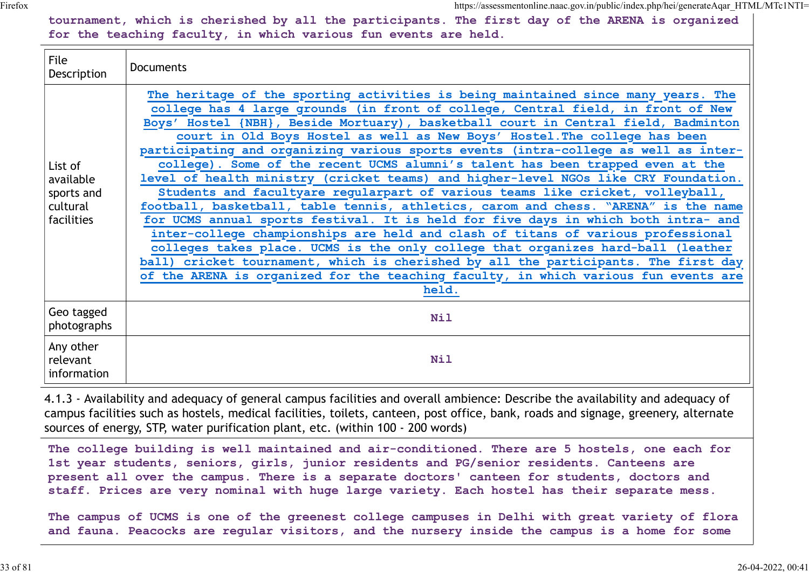tournament, which is cherished by all the participants. The first day of the ARENA is organized for the teaching faculty, in which various fun events are held.

| File<br>Description                                          | <b>Documents</b>                                                                                                                                                                                                                                                                                                                                                                                                                                                                                                                                                                                                                                                                                                                                                                                                                                                                                                                                                                                                                                                                                                                                                                                                                        |
|--------------------------------------------------------------|-----------------------------------------------------------------------------------------------------------------------------------------------------------------------------------------------------------------------------------------------------------------------------------------------------------------------------------------------------------------------------------------------------------------------------------------------------------------------------------------------------------------------------------------------------------------------------------------------------------------------------------------------------------------------------------------------------------------------------------------------------------------------------------------------------------------------------------------------------------------------------------------------------------------------------------------------------------------------------------------------------------------------------------------------------------------------------------------------------------------------------------------------------------------------------------------------------------------------------------------|
| List of<br>available<br>sports and<br>cultural<br>facilities | The heritage of the sporting activities is being maintained since many years. The<br>college has 4 large grounds (in front of college, Central field, in front of New<br>Boys' Hostel {NBH}, Beside Mortuary), basketball court in Central field, Badminton<br>court in Old Boys Hostel as well as New Boys' Hostel. The college has been<br>participating and organizing various sports events (intra-college as well as inter-<br>college). Some of the recent UCMS alumni's talent has been trapped even at the<br>level of health ministry (cricket teams) and higher-level NGOs like CRY Foundation.<br>Students and facultyare regularpart of various teams like cricket, volleyball,<br>football, basketball, table tennis, athletics, carom and chess. "ARENA" is the name<br>for UCMS annual sports festival. It is held for five days in which both intra- and<br>inter-college championships are held and clash of titans of various professional<br>colleges takes place. UCMS is the only college that organizes hard-ball (leather<br>ball) cricket tournament, which is cherished by all the participants. The first day<br>of the ARENA is organized for the teaching faculty, in which various fun events are<br>held. |
| Geo tagged<br>photographs                                    | <b>Nil</b>                                                                                                                                                                                                                                                                                                                                                                                                                                                                                                                                                                                                                                                                                                                                                                                                                                                                                                                                                                                                                                                                                                                                                                                                                              |
| Any other<br>relevant<br>information                         | <b>Nil</b>                                                                                                                                                                                                                                                                                                                                                                                                                                                                                                                                                                                                                                                                                                                                                                                                                                                                                                                                                                                                                                                                                                                                                                                                                              |

4.1.3 - Availability and adequacy of general campus facilities and overall ambience: Describe the availability and adequacy of campus facilities such as hostels, medical facilities, toilets, canteen, post office, bank, roads and signage, greenery, alternate sources of energy, STP, water purification plant, etc. (within 100 - 200 words)

The college building is well maintained and air-conditioned. There are 5 hostels, one each for 1st year students, seniors, girls, junior residents and PG/senior residents. Canteens are present all over the campus. There is a separate doctors' canteen for students, doctors and staff. Prices are very nominal with huge large variety. Each hostel has their separate mess.

The campus of UCMS is one of the greenest college campuses in Delhi with great variety of flora and fauna. Peacocks are regular visitors, and the nursery inside the campus is a home for some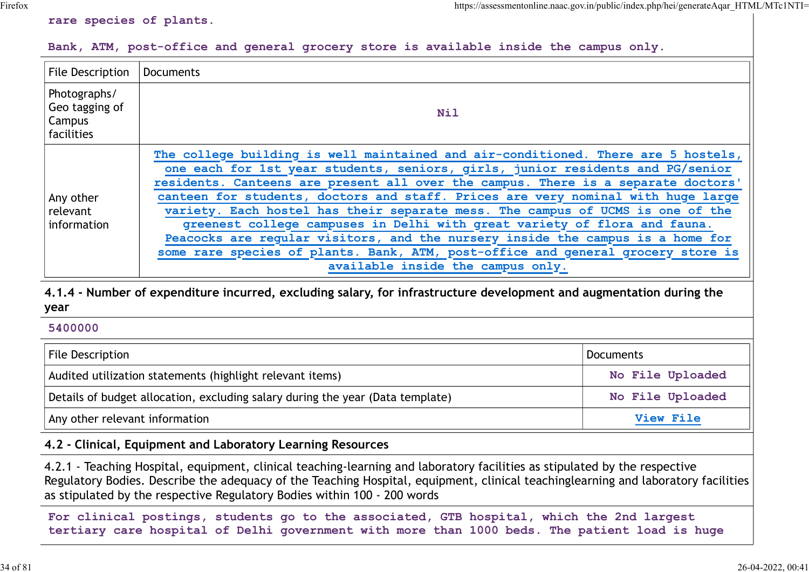#### rare species of plants.

#### Bank, ATM, post-office and general grocery store is available inside the campus only.

|                                                        |                                                                                                                                                                                                                                                                                                                                                                                                                                                                                                                                                                                                                                                                                                                        | https://assessmentonline.naac.gov.in/public/index.php/hei/generateAqar HTML/MTc1NTI= |
|--------------------------------------------------------|------------------------------------------------------------------------------------------------------------------------------------------------------------------------------------------------------------------------------------------------------------------------------------------------------------------------------------------------------------------------------------------------------------------------------------------------------------------------------------------------------------------------------------------------------------------------------------------------------------------------------------------------------------------------------------------------------------------------|--------------------------------------------------------------------------------------|
| rare species of plants.                                |                                                                                                                                                                                                                                                                                                                                                                                                                                                                                                                                                                                                                                                                                                                        |                                                                                      |
|                                                        | Bank, ATM, post-office and general grocery store is available inside the campus only.                                                                                                                                                                                                                                                                                                                                                                                                                                                                                                                                                                                                                                  |                                                                                      |
| File Description                                       | Documents                                                                                                                                                                                                                                                                                                                                                                                                                                                                                                                                                                                                                                                                                                              |                                                                                      |
| Photographs/<br>Geo tagging of<br>Campus<br>facilities | <b>Nil</b>                                                                                                                                                                                                                                                                                                                                                                                                                                                                                                                                                                                                                                                                                                             |                                                                                      |
| Any other<br>relevant<br>information                   | The college building is well maintained and air-conditioned. There are 5 hostels,<br>one each for 1st year students, seniors, girls, junior residents and PG/senior<br>residents. Canteens are present all over the campus. There is a separate doctors'<br>canteen for students, doctors and staff. Prices are very nominal with huge large<br>variety. Each hostel has their separate mess. The campus of UCMS is one of the<br>greenest college campuses in Delhi with great variety of flora and fauna.<br>Peacocks are regular visitors, and the nursery inside the campus is a home for<br>some rare species of plants. Bank, ATM, post-office and general grocery store is<br>available inside the campus only. |                                                                                      |
| year                                                   | 4.1.4 - Number of expenditure incurred, excluding salary, for infrastructure development and augmentation during the                                                                                                                                                                                                                                                                                                                                                                                                                                                                                                                                                                                                   |                                                                                      |
| 5400000                                                |                                                                                                                                                                                                                                                                                                                                                                                                                                                                                                                                                                                                                                                                                                                        |                                                                                      |
| <b>File Description</b>                                |                                                                                                                                                                                                                                                                                                                                                                                                                                                                                                                                                                                                                                                                                                                        | <b>Documents</b>                                                                     |
|                                                        | Audited utilization statements (highlight relevant items)                                                                                                                                                                                                                                                                                                                                                                                                                                                                                                                                                                                                                                                              | No File Uploaded                                                                     |
|                                                        | Details of budget allocation, excluding salary during the year (Data template)                                                                                                                                                                                                                                                                                                                                                                                                                                                                                                                                                                                                                                         | No File Uploaded                                                                     |
| Any other relevant information                         |                                                                                                                                                                                                                                                                                                                                                                                                                                                                                                                                                                                                                                                                                                                        | $V_i$ out $F_i$ $e$                                                                  |

#### 5400000

| File Description                                                               | Documents        |
|--------------------------------------------------------------------------------|------------------|
| Audited utilization statements (highlight relevant items)                      | No File Uploaded |
| Details of budget allocation, excluding salary during the year (Data template) | No File Uploaded |
| Any other relevant information                                                 | <b>View File</b> |

#### 4.2 - Clinical, Equipment and Laboratory Learning Resources

4.2.1 - Teaching Hospital, equipment, clinical teaching-learning and laboratory facilities as stipulated by the respective Regulatory Bodies. Describe the adequacy of the Teaching Hospital, equipment, clinical teachinglearning and laboratory facilities as stipulated by the respective Regulatory Bodies within 100 - 200 words

For clinical postings, students go to the associated, GTB hospital, which the 2nd largest tertiary care hospital of Delhi government with more than 1000 beds. The patient load is huge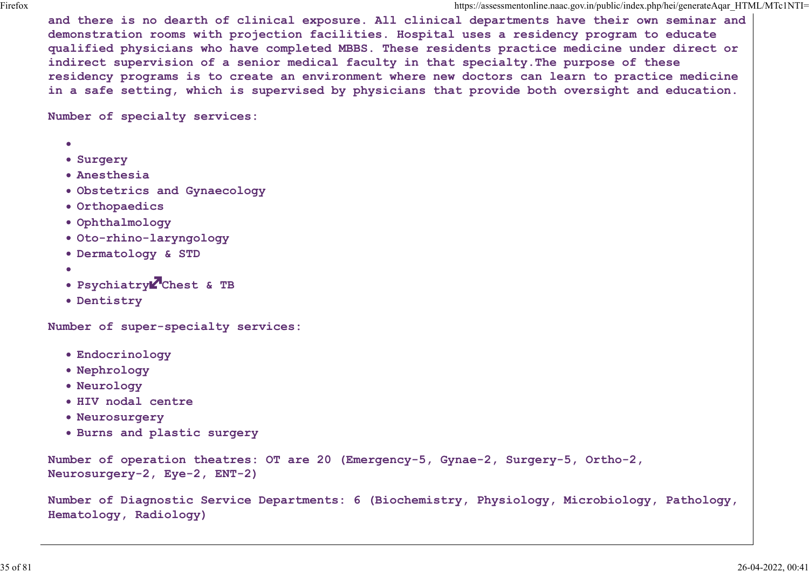and there is no dearth of clinical exposure. All clinical departments have their own seminar and demonstration rooms with projection facilities. Hospital uses a residency program to educate qualified physicians who have completed MBBS. These residents practice medicine under direct or indirect supervision of a senior medical faculty in that specialty.The purpose of these residency programs is to create an environment where new doctors can learn to practice medicine in a safe setting, which is supervised by physicians that provide both oversight and education.

Number of specialty services:

- 
- **Surgery**
- Anesthesia
- Obstetrics and Gynaecology
- Orthopaedics
- Ophthalmology
- Oto-rhino-laryngology
- Dermatology & STD
- 
- Psychiatry Chest & TB
- Dentistry

Number of super-specialty services:

- Endocrinology
- Nephrology
- Neurology
- HIV nodal centre
- Neurosurgery
- Burns and plastic surgery

```
Number of operation theatres: OT are 20 (Emergency-5, Gynae-2, Surgery-5, Ortho-2,
Neurosurgery-2, Eye-2, ENT-2)
```
Number of Diagnostic Service Departments: 6 (Biochemistry, Physiology, Microbiology, Pathology, Hematology, Radiology)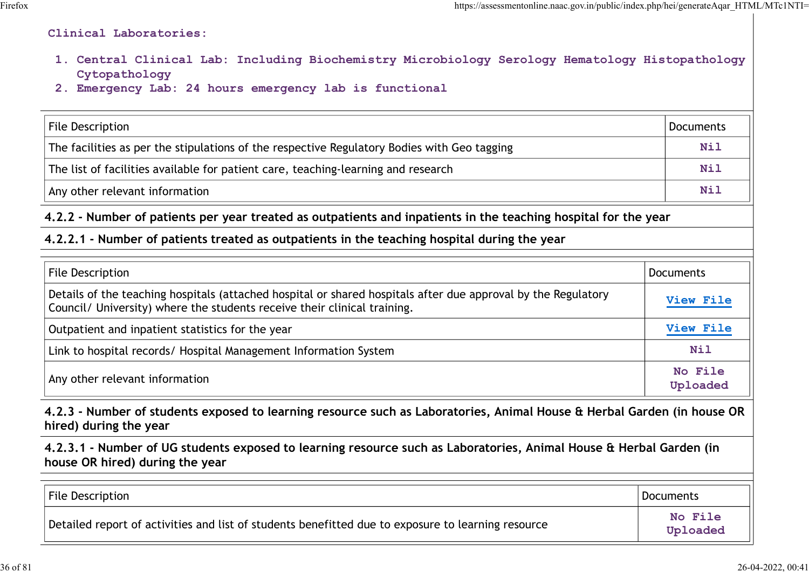#### Clinical Laboratories:

- 1. Central Clinical Lab: Including Biochemistry Microbiology Serology Hematology Histopathology Cytopathology
- 2. Emergency Lab: 24 hours emergency lab is functional

| https://assessmentonline.naac.gov.in/public/index.php/hei/generateAqar HTML/MTc1NTI=                                                                                                      |                  |
|-------------------------------------------------------------------------------------------------------------------------------------------------------------------------------------------|------------------|
| Clinical Laboratories:                                                                                                                                                                    |                  |
| 1. Central Clinical Lab: Including Biochemistry Microbiology Serology Hematology Histopathology<br>Cytopathology<br>2. Emergency Lab: 24 hours emergency lab is functional                |                  |
| <b>File Description</b>                                                                                                                                                                   | <b>Documents</b> |
| The facilities as per the stipulations of the respective Regulatory Bodies with Geo tagging                                                                                               | <b>Nil</b>       |
| The list of facilities available for patient care, teaching-learning and research                                                                                                         | <b>Nil</b>       |
| Any other relevant information                                                                                                                                                            | <b>Nil</b>       |
| 4.2.2 - Number of patients per year treated as outpatients and inpatients in the teaching hospital for the year                                                                           |                  |
| 4.2.2.1 - Number of patients treated as outpatients in the teaching hospital during the year                                                                                              |                  |
| <b>File Description</b>                                                                                                                                                                   | <b>Documents</b> |
| Details of the teaching hospitals (attached hospital or shared hospitals after due approval by the Regulatory<br>Council/ University) where the students receive their clinical training. | View File        |
| Outpatient and inpatient statistics for the year                                                                                                                                          | View File        |

#### 4.2.2.1 - Number of patients treated as outpatients in the teaching hospital during the year

| File Description                                                                                                                                                                          | Documents           |
|-------------------------------------------------------------------------------------------------------------------------------------------------------------------------------------------|---------------------|
| Details of the teaching hospitals (attached hospital or shared hospitals after due approval by the Regulatory<br>Council/ University) where the students receive their clinical training. | View File           |
| Outpatient and inpatient statistics for the year                                                                                                                                          | View File           |
| Link to hospital records/ Hospital Management Information System                                                                                                                          | <b>Nil</b>          |
| Any other relevant information                                                                                                                                                            | No File<br>Uploaded |
| 4.2.3 - Number of students exposed to learning resource such as Laboratories, Animal House & Herbal Garden (in house OR<br>hired) during the year                                         |                     |
| 4.2.3.1 - Number of UG students exposed to learning resource such as Laboratories, Animal House & Herbal Garden (in<br>house OR hired) during the year                                    |                     |
|                                                                                                                                                                                           | Documents           |
| File Description                                                                                                                                                                          |                     |

| File Description                                                                                   | Documents           |  |
|----------------------------------------------------------------------------------------------------|---------------------|--|
| Detailed report of activities and list of students benefitted due to exposure to learning resource | No File<br>Uploaded |  |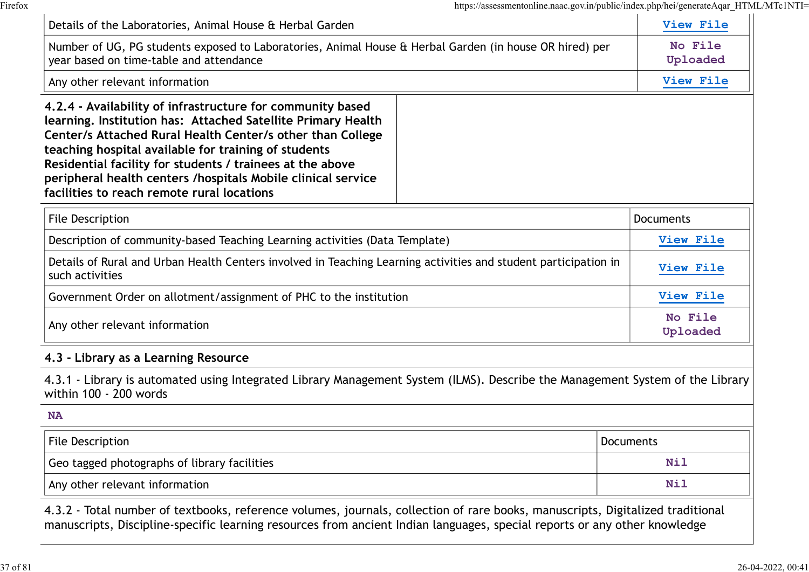| https://assessmentonline.naac.gov.in/public/index.php/hei/generateAqar_HTML/MTc1NTI=                                                                                                                                                                                                                                                                                                                                        |                      |
|-----------------------------------------------------------------------------------------------------------------------------------------------------------------------------------------------------------------------------------------------------------------------------------------------------------------------------------------------------------------------------------------------------------------------------|----------------------|
| Details of the Laboratories, Animal House & Herbal Garden                                                                                                                                                                                                                                                                                                                                                                   | View File<br>No File |
| Number of UG, PG students exposed to Laboratories, Animal House & Herbal Garden (in house OR hired) per<br>year based on time-table and attendance                                                                                                                                                                                                                                                                          |                      |
| Any other relevant information                                                                                                                                                                                                                                                                                                                                                                                              | View File            |
| 4.2.4 - Availability of infrastructure for community based<br>learning. Institution has: Attached Satellite Primary Health<br>Center/s Attached Rural Health Center/s other than College<br>teaching hospital available for training of students<br>Residential facility for students / trainees at the above<br>peripheral health centers /hospitals Mobile clinical service<br>facilities to reach remote rural locations |                      |
| <b>File Description</b>                                                                                                                                                                                                                                                                                                                                                                                                     | <b>Documents</b>     |
| Description of community-based Teaching Learning activities (Data Template)                                                                                                                                                                                                                                                                                                                                                 | View File            |
| Details of Rural and Urban Health Centers involved in Teaching Learning activities and student participation in<br>such activities                                                                                                                                                                                                                                                                                          | View File            |
| Government Order on allotment/assignment of PHC to the institution                                                                                                                                                                                                                                                                                                                                                          | View File            |
| Any other relevant information                                                                                                                                                                                                                                                                                                                                                                                              | No File<br>Uploaded  |
| 4.3 - Library as a Learning Resource                                                                                                                                                                                                                                                                                                                                                                                        |                      |
| 4.3.1 - Library is automated using Integrated Library Management System (ILMS). Describe the Management System of the Library<br>within 100 - 200 words                                                                                                                                                                                                                                                                     |                      |
| <b>NA</b>                                                                                                                                                                                                                                                                                                                                                                                                                   |                      |
| <b>File Description</b>                                                                                                                                                                                                                                                                                                                                                                                                     | <b>Documents</b>     |
| Geo tagged photographs of library facilities                                                                                                                                                                                                                                                                                                                                                                                | <b>Nil</b>           |
|                                                                                                                                                                                                                                                                                                                                                                                                                             | <b>Nil</b>           |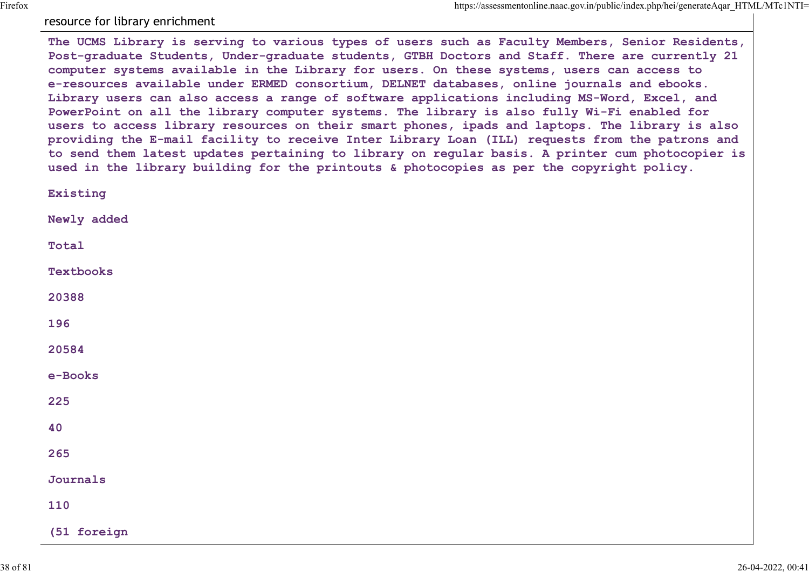## resource for library enrichment

The UCMS Library is serving to various types of users such as Faculty Members, Senior Residents, Post-graduate Students, Under-graduate students, GTBH Doctors and Staff. There are currently 21 computer systems available in the Library for users. On these systems, users can access to e-resources available under ERMED consortium, DELNET databases, online journals and ebooks. Library users can also access a range of software applications including MS-Word, Excel, and PowerPoint on all the library computer systems. The library is also fully Wi-Fi enabled for users to access library resources on their smart phones, ipads and laptops. The library is also providing the E-mail facility to receive Inter Library Loan (ILL) requests from the patrons and to send them latest updates pertaining to library on regular basis. A printer cum photocopier is used in the library building for the printouts & photocopies as per the copyright policy.

Existing Newly added Total Textbooks 20388 196 20584 e-Books 225 and the contract of the contract of the contract of the contract of the contract of the contract of the contract of the contract of the contract of the contract of the contract of the contract of the contract of the co 40 265 Journals 110 (51 foreign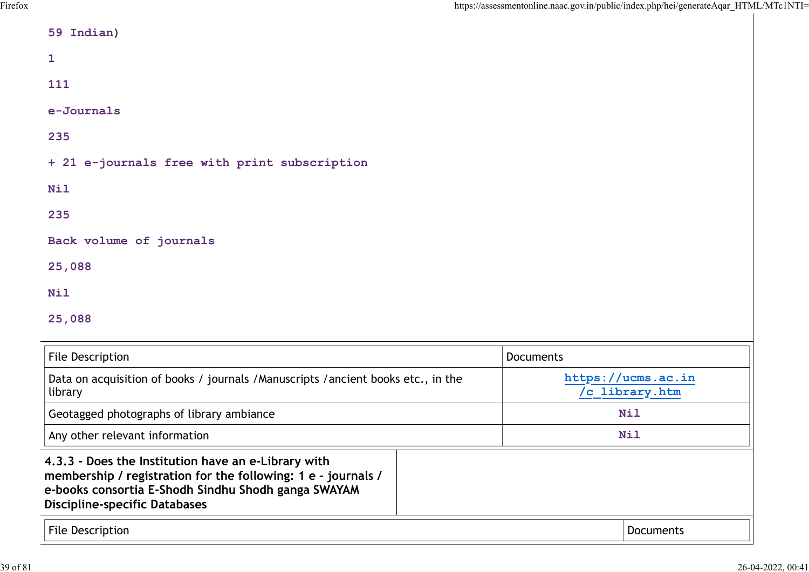| <b>Discipline-specific Databases</b><br>File Description                                                                                                                    | Documents                            |
|-----------------------------------------------------------------------------------------------------------------------------------------------------------------------------|--------------------------------------|
| 4.3.3 - Does the Institution have an e-Library with<br>membership / registration for the following: 1 e - journals /<br>e-books consortia E-Shodh Sindhu Shodh ganga SWAYAM |                                      |
| Any other relevant information                                                                                                                                              | <b>Nil</b>                           |
| Geotagged photographs of library ambiance                                                                                                                                   | <b>Nil</b>                           |
| Data on acquisition of books / journals / Manuscripts / ancient books etc., in the<br>library                                                                               | https://ucms.ac.in<br>/c library.htm |
| File Description                                                                                                                                                            | Documents                            |
| 25,088                                                                                                                                                                      |                                      |
| <b>Nil</b>                                                                                                                                                                  |                                      |
| 25,088                                                                                                                                                                      |                                      |
| Back volume of journals                                                                                                                                                     |                                      |
| 235                                                                                                                                                                         |                                      |
| <b>Nil</b>                                                                                                                                                                  |                                      |
| + 21 e-journals free with print subscription                                                                                                                                |                                      |
| 235                                                                                                                                                                         |                                      |
| e-Journals                                                                                                                                                                  |                                      |
| 111                                                                                                                                                                         |                                      |
|                                                                                                                                                                             |                                      |
| 1                                                                                                                                                                           |                                      |

| deplayed priotographs of tibrary ambiance                                                                                                                                                                           | ----      |
|---------------------------------------------------------------------------------------------------------------------------------------------------------------------------------------------------------------------|-----------|
| Any other relevant information                                                                                                                                                                                      | Nil       |
| 4.3.3 - Does the Institution have an e-Library with<br>membership / registration for the following: 1 e - journals /<br>e-books consortia E-Shodh Sindhu Shodh ganga SWAYAM<br><b>Discipline-specific Databases</b> |           |
| <b>File Description</b>                                                                                                                                                                                             | Documents |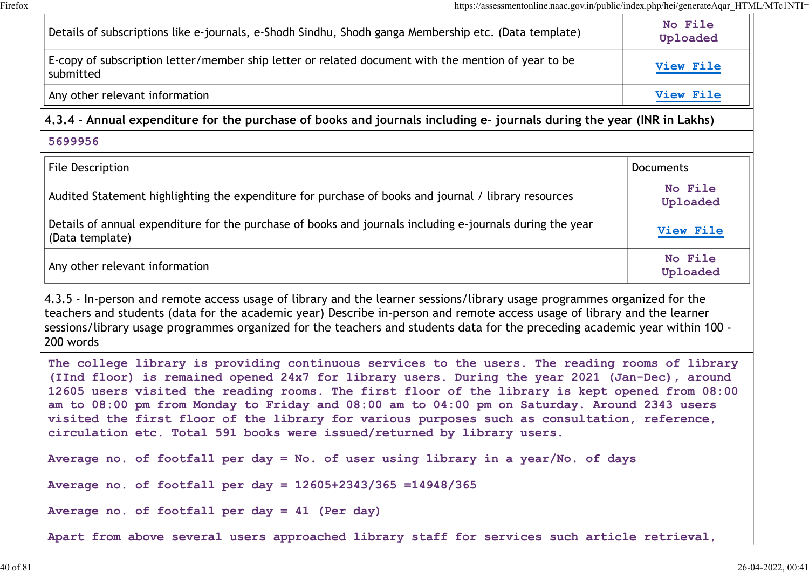| https://assessmentonline.naac.gov.in/public/index.php/hei/generateAqar HTML/MTc1NTI=                                                                                                                                                                                                                                                                                                                                                                                                                                                                                            |                     |
|---------------------------------------------------------------------------------------------------------------------------------------------------------------------------------------------------------------------------------------------------------------------------------------------------------------------------------------------------------------------------------------------------------------------------------------------------------------------------------------------------------------------------------------------------------------------------------|---------------------|
| Details of subscriptions like e-journals, e-Shodh Sindhu, Shodh ganga Membership etc. (Data template)                                                                                                                                                                                                                                                                                                                                                                                                                                                                           | No File<br>Uploaded |
| E-copy of subscription letter/member ship letter or related document with the mention of year to be<br>submitted                                                                                                                                                                                                                                                                                                                                                                                                                                                                | View File           |
| Any other relevant information                                                                                                                                                                                                                                                                                                                                                                                                                                                                                                                                                  | View File           |
| 4.3.4 - Annual expenditure for the purchase of books and journals including e- journals during the year (INR in Lakhs)                                                                                                                                                                                                                                                                                                                                                                                                                                                          |                     |
| 5699956                                                                                                                                                                                                                                                                                                                                                                                                                                                                                                                                                                         |                     |
| File Description                                                                                                                                                                                                                                                                                                                                                                                                                                                                                                                                                                | <b>Documents</b>    |
| Audited Statement highlighting the expenditure for purchase of books and journal / library resources                                                                                                                                                                                                                                                                                                                                                                                                                                                                            | No File<br>Uploaded |
| Details of annual expenditure for the purchase of books and journals including e-journals during the year<br>(Data template)                                                                                                                                                                                                                                                                                                                                                                                                                                                    | View File           |
| Any other relevant information                                                                                                                                                                                                                                                                                                                                                                                                                                                                                                                                                  | No File<br>Uploaded |
| 4.3.5 - In-person and remote access usage of library and the learner sessions/library usage programmes organized for the<br>teachers and students (data for the academic year) Describe in-person and remote access usage of library and the learner<br>sessions/library usage programmes organized for the teachers and students data for the preceding academic year within 100 -<br>200 words                                                                                                                                                                                |                     |
| The college library is providing continuous services to the users. The reading rooms of library<br>(IInd floor) is remained opened 24x7 for library users. During the year 2021 (Jan-Dec), around<br>12605 users visited the reading rooms. The first floor of the library is kept opened from 08:00<br>am to 08:00 pm from Monday to Friday and 08:00 am to 04:00 pm on Saturday. Around 2343 users<br>visited the first floor of the library for various purposes such as consultation, reference,<br>circulation etc. Total 591 books were issued/returned by library users. |                     |
| Average no. of footfall per day = No. of user using library in a year/No. of days                                                                                                                                                                                                                                                                                                                                                                                                                                                                                               |                     |

Average no. of footfall per day = 12605+2343/365 =14948/365

Average no. of footfall per day = 41 (Per day)

Apart from above several users approached library staff for services such article retrieval,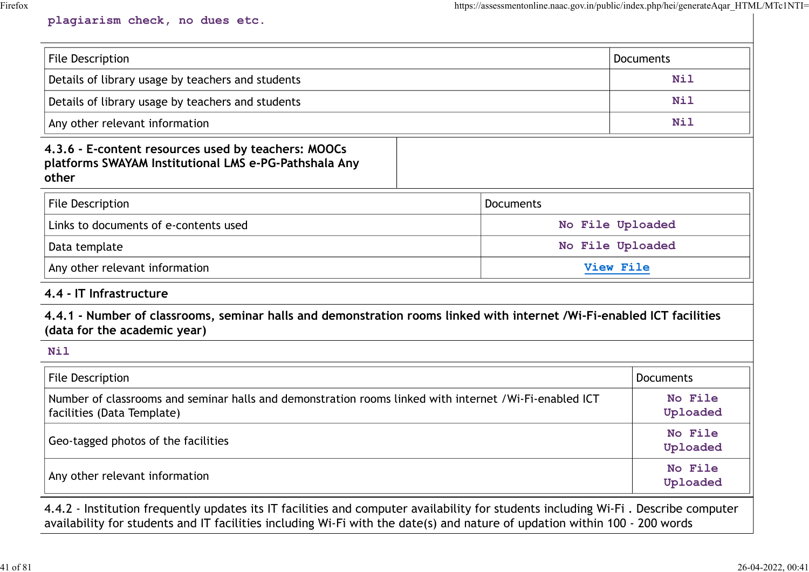## plagiarism check, no dues etc.

| plagiarism check, no dues etc.                                                                                                                         | https://assessmentonline.naac.gov.in/public/index.php/hei/generateAqar HTML/MTc1NTI= |                     |
|--------------------------------------------------------------------------------------------------------------------------------------------------------|--------------------------------------------------------------------------------------|---------------------|
|                                                                                                                                                        |                                                                                      |                     |
|                                                                                                                                                        |                                                                                      |                     |
|                                                                                                                                                        |                                                                                      |                     |
| File Description                                                                                                                                       |                                                                                      | <b>Documents</b>    |
| Details of library usage by teachers and students                                                                                                      |                                                                                      | <b>Nil</b>          |
| Details of library usage by teachers and students                                                                                                      |                                                                                      | Nil                 |
| Any other relevant information                                                                                                                         |                                                                                      | Nil                 |
| 4.3.6 - E-content resources used by teachers: MOOCs<br>platforms SWAYAM Institutional LMS e-PG-Pathshala Any<br>other                                  |                                                                                      |                     |
| File Description                                                                                                                                       | Documents                                                                            |                     |
| Links to documents of e-contents used                                                                                                                  |                                                                                      | No File Uploaded    |
| Data template                                                                                                                                          |                                                                                      | No File Uploaded    |
| Any other relevant information                                                                                                                         |                                                                                      | View File           |
| 4.4 - IT Infrastructure                                                                                                                                |                                                                                      |                     |
| 4.4.1 - Number of classrooms, seminar halls and demonstration rooms linked with internet /Wi-Fi-enabled ICT facilities<br>(data for the academic year) |                                                                                      |                     |
| <b>Nil</b>                                                                                                                                             |                                                                                      |                     |
| File Description                                                                                                                                       |                                                                                      | <b>Documents</b>    |
| Number of classrooms and seminar halls and demonstration rooms linked with internet /Wi-Fi-enabled ICT<br>facilities (Data Template)                   |                                                                                      | No File<br>Uploaded |
| Geo-tagged photos of the facilities                                                                                                                    |                                                                                      | No File<br>Uploaded |
|                                                                                                                                                        |                                                                                      | No File             |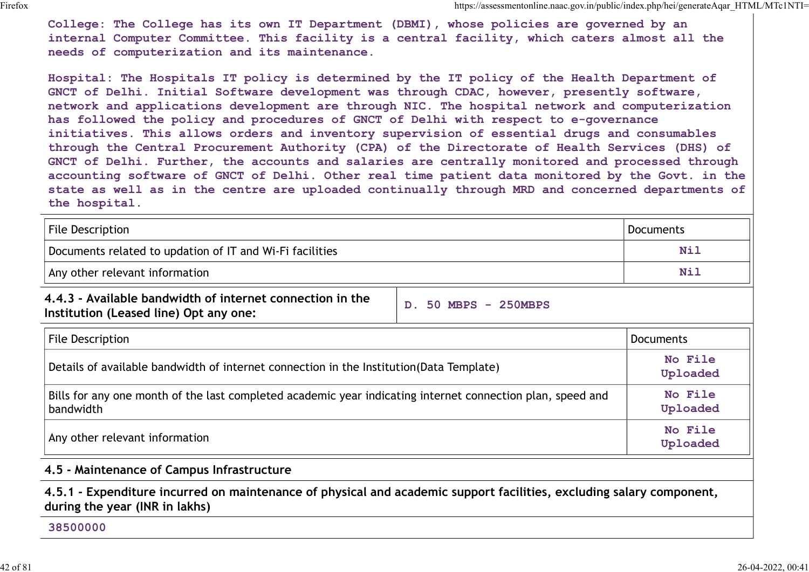College: The College has its own IT Department (DBMI), whose policies are governed by an internal Computer Committee. This facility is a central facility, which caters almost all the needs of computerization and its maintenance.

Hospital: The Hospitals IT policy is determined by the IT policy of the Health Department of GNCT of Delhi. Initial Software development was through CDAC, however, presently software, network and applications development are through NIC. The hospital network and computerization has followed the policy and procedures of GNCT of Delhi with respect to e-governance initiatives. This allows orders and inventory supervision of essential drugs and consumables through the Central Procurement Authority (CPA) of the Directorate of Health Services (DHS) of GNCT of Delhi. Further, the accounts and salaries are centrally monitored and processed through accounting software of GNCT of Delhi. Other real time patient data monitored by the Govt. in the state as well as in the centre are uploaded continually through MRD and concerned departments of the hospital. College: The College has its own IT Department (DBMI), Mapsikassmentable.com/in/bubilistic/typhoi/smentable. This increase that is a central facility, which caters almost all the needs of computerization and its maintenanc GRCT of Dealin. Initial Software development was through CDAC, however, presentily software,<br>initial strategies and procedures of GRCT openins in the largest to e-governant<br>initiality and procedures of GRCT of Delhi Freque

| File Description                                         | Documents |
|----------------------------------------------------------|-----------|
| Documents related to updation of IT and Wi-Fi facilities | Nil       |
| Any other relevant information                           | Nil       |

4.4.3 - Available bandwidth of internet connection in the  $\vert$   $\vert_{\rm D.50~MBPS}$  – 250MBPS Institution (Leased line) Opt any one:

| <b>File Description</b>                                                                                                   | <b>Documents</b>    |
|---------------------------------------------------------------------------------------------------------------------------|---------------------|
| Details of available bandwidth of internet connection in the Institution(Data Template)                                   | No File<br>Uploaded |
| Bills for any one month of the last completed academic year indicating internet connection plan, speed and<br>  bandwidth | No File<br>Uploaded |
| Any other relevant information                                                                                            | No File<br>Uploaded |

4.5 - Maintenance of Campus Infrastructure

4.5.1 - Expenditure incurred on maintenance of physical and academic support facilities, excluding salary component, during the year (INR in lakhs)

#### 38500000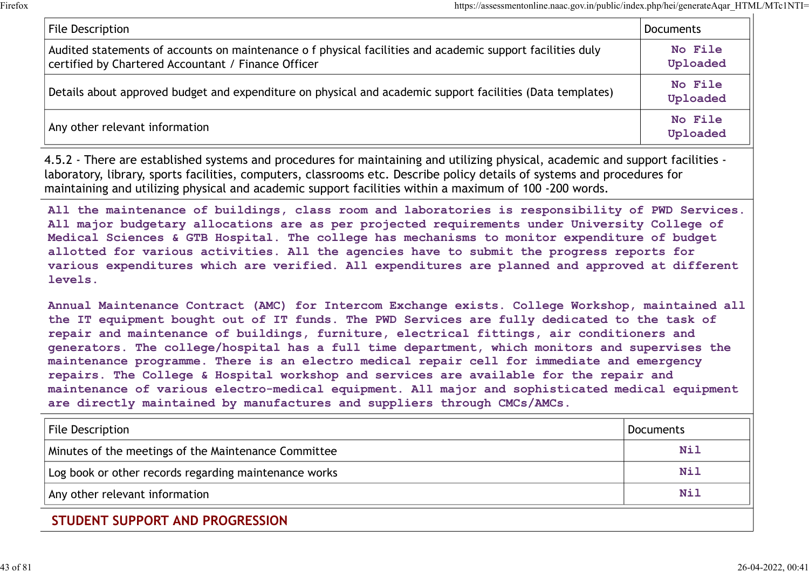| https://assessmentonline.naac.gov.in/public/index.php/hei/generateAqar_HTML/MTc1NTI=                                                                              |                     |
|-------------------------------------------------------------------------------------------------------------------------------------------------------------------|---------------------|
| File Description                                                                                                                                                  | Documents           |
| Audited statements of accounts on maintenance o f physical facilities and academic support facilities duly<br>certified by Chartered Accountant / Finance Officer | No File<br>Uploaded |
| Details about approved budget and expenditure on physical and academic support facilities (Data templates)                                                        | No File<br>Uploaded |
| Any other relevant information                                                                                                                                    | No File<br>Uploaded |

4.5.2 - There are established systems and procedures for maintaining and utilizing physical, academic and support facilities laboratory, library, sports facilities, computers, classrooms etc. Describe policy details of systems and procedures for maintaining and utilizing physical and academic support facilities within a maximum of 100 -200 words.

All the maintenance of buildings, class room and laboratories is responsibility of PWD Services. All major budgetary allocations are as per projected requirements under University College of Medical Sciences & GTB Hospital. The college has mechanisms to monitor expenditure of budget allotted for various activities. All the agencies have to submit the progress reports for various expenditures which are verified. All expenditures are planned and approved at different levels.

Annual Maintenance Contract (AMC) for Intercom Exchange exists. College Workshop, maintained all the IT equipment bought out of IT funds. The PWD Services are fully dedicated to the task of repair and maintenance of buildings, furniture, electrical fittings, air conditioners and generators. The college/hospital has a full time department, which monitors and supervises the maintenance programme. There is an electro medical repair cell for immediate and emergency repairs. The College & Hospital workshop and services are available for the repair and maintenance of various electro-medical equipment. All major and sophisticated medical equipment are directly maintained by manufactures and suppliers through CMCs/AMCs. naintaining and utilizing physical and academic support facilities within a maximum of 100–200 words.<br>All the maintename of buildings, class room and laboratories is responsibility of FWD Services.<br>All major budgetary allo

| File Description                                      | <b>Documents</b> |
|-------------------------------------------------------|------------------|
| Minutes of the meetings of the Maintenance Committee  | Nil              |
| Log book or other records regarding maintenance works | Nil              |
| Any other relevant information                        | <b>Nil</b>       |
| STUDENT SUPPORT AND PROGRESSION                       |                  |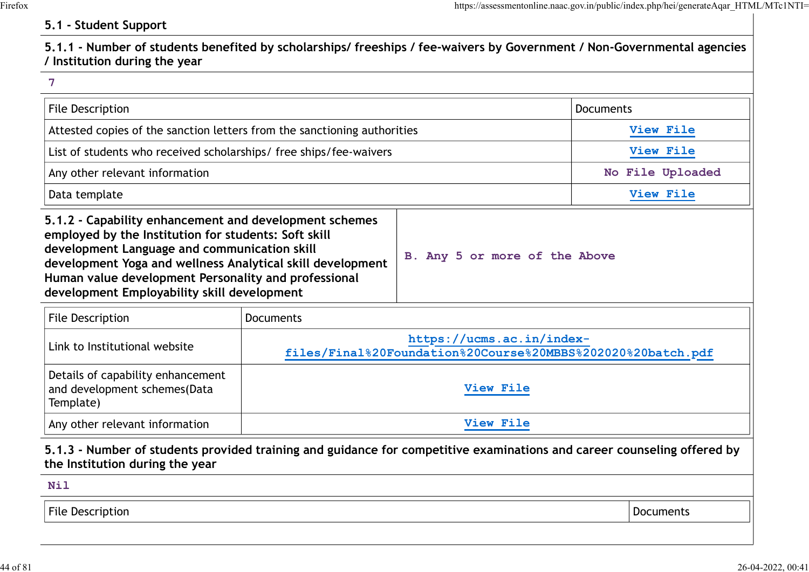# 5.1 - Student Support

|                                                                                                                                                                                                                                                                                                                                     |                  |                                                                                          | https://assessmentonline.naac.gov.in/public/index.php/hei/generateAqar HTML/MTc1NTI= |
|-------------------------------------------------------------------------------------------------------------------------------------------------------------------------------------------------------------------------------------------------------------------------------------------------------------------------------------|------------------|------------------------------------------------------------------------------------------|--------------------------------------------------------------------------------------|
| 5.1 - Student Support                                                                                                                                                                                                                                                                                                               |                  |                                                                                          |                                                                                      |
| 5.1.1 - Number of students benefited by scholarships/ freeships / fee-waivers by Government / Non-Governmental agencies<br>/ Institution during the year                                                                                                                                                                            |                  |                                                                                          |                                                                                      |
| 7                                                                                                                                                                                                                                                                                                                                   |                  |                                                                                          |                                                                                      |
| <b>File Description</b>                                                                                                                                                                                                                                                                                                             |                  |                                                                                          | <b>Documents</b>                                                                     |
| Attested copies of the sanction letters from the sanctioning authorities                                                                                                                                                                                                                                                            |                  |                                                                                          | View File                                                                            |
| List of students who received scholarships/ free ships/fee-waivers                                                                                                                                                                                                                                                                  |                  |                                                                                          | View File                                                                            |
| Any other relevant information                                                                                                                                                                                                                                                                                                      |                  |                                                                                          | No File Uploaded                                                                     |
| Data template                                                                                                                                                                                                                                                                                                                       |                  |                                                                                          | View File                                                                            |
| 5.1.2 - Capability enhancement and development schemes<br>employed by the Institution for students: Soft skill<br>development Language and communication skill<br>development Yoga and wellness Analytical skill development<br>Human value development Personality and professional<br>development Employability skill development |                  | B. Any 5 or more of the Above                                                            |                                                                                      |
| File Description                                                                                                                                                                                                                                                                                                                    | <b>Documents</b> |                                                                                          |                                                                                      |
| Link to Institutional website                                                                                                                                                                                                                                                                                                       |                  | https://ucms.ac.in/index-<br>files/Final%20Foundation%20Course%20MBBS%202020%20batch.pdf |                                                                                      |
| Details of capability enhancement                                                                                                                                                                                                                                                                                                   |                  |                                                                                          |                                                                                      |

| development roga and wellness Analytical skill development<br>Human value development Personality and professional<br>development Employability skill development |                                                                                                                         |                  |
|-------------------------------------------------------------------------------------------------------------------------------------------------------------------|-------------------------------------------------------------------------------------------------------------------------|------------------|
| <b>File Description</b>                                                                                                                                           | <b>Documents</b>                                                                                                        |                  |
| Link to Institutional website                                                                                                                                     | https://ucms.ac.in/index-<br>files/Final%20Foundation%20Course%20MBBS%202020%20batch.pdf                                |                  |
| Details of capability enhancement<br>and development schemes(Data<br>Template)                                                                                    | View File                                                                                                               |                  |
| Any other relevant information                                                                                                                                    | View File                                                                                                               |                  |
| the Institution during the year<br><b>Nil</b>                                                                                                                     | 5.1.3 - Number of students provided training and guidance for competitive examinations and career counseling offered by |                  |
| <b>File Description</b>                                                                                                                                           |                                                                                                                         | <b>Documents</b> |
|                                                                                                                                                                   |                                                                                                                         |                  |
|                                                                                                                                                                   |                                                                                                                         |                  |

# Nil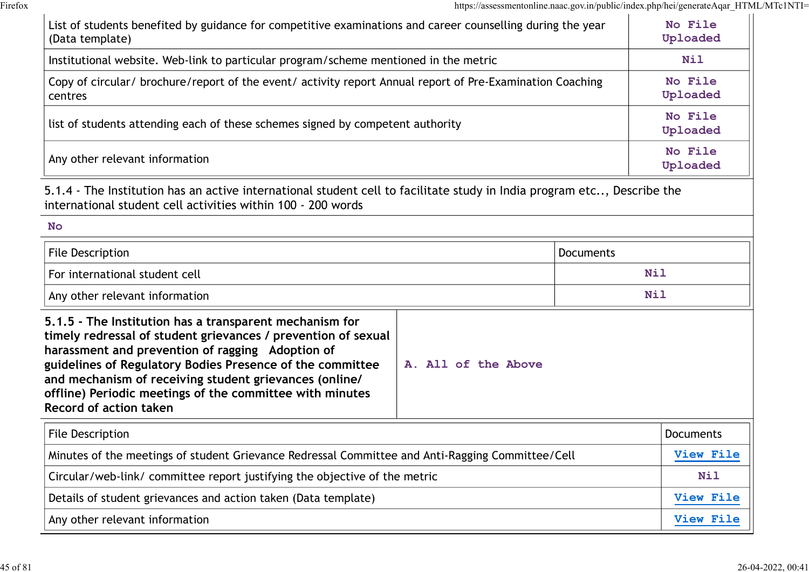|                                                                                                                                                                                                                                                                                                                                                                                                                  | https://assessmentonline.naac.gov.in/public/index.php/hei/generateAqar HTML/MTcTNTI= |                          |  |
|------------------------------------------------------------------------------------------------------------------------------------------------------------------------------------------------------------------------------------------------------------------------------------------------------------------------------------------------------------------------------------------------------------------|--------------------------------------------------------------------------------------|--------------------------|--|
| List of students benefited by guidance for competitive examinations and career counselling during the year<br>(Data template)                                                                                                                                                                                                                                                                                    |                                                                                      | No File<br>Uploaded      |  |
| Institutional website. Web-link to particular program/scheme mentioned in the metric                                                                                                                                                                                                                                                                                                                             |                                                                                      |                          |  |
| Copy of circular/ brochure/report of the event/ activity report Annual report of Pre-Examination Coaching<br>centres                                                                                                                                                                                                                                                                                             |                                                                                      | No File<br>Uploaded      |  |
| list of students attending each of these schemes signed by competent authority                                                                                                                                                                                                                                                                                                                                   |                                                                                      | No File<br>Uploaded      |  |
| Any other relevant information                                                                                                                                                                                                                                                                                                                                                                                   |                                                                                      | No File<br>Uploaded      |  |
| 5.1.4 - The Institution has an active international student cell to facilitate study in India program etc, Describe the<br>international student cell activities within 100 - 200 words                                                                                                                                                                                                                          |                                                                                      |                          |  |
| No                                                                                                                                                                                                                                                                                                                                                                                                               |                                                                                      |                          |  |
| <b>File Description</b>                                                                                                                                                                                                                                                                                                                                                                                          | <b>Documents</b>                                                                     |                          |  |
| For international student cell                                                                                                                                                                                                                                                                                                                                                                                   |                                                                                      | <b>Nil</b><br><b>Nil</b> |  |
| Any other relevant information                                                                                                                                                                                                                                                                                                                                                                                   |                                                                                      |                          |  |
| 5.1.5 - The Institution has a transparent mechanism for<br>timely redressal of student grievances / prevention of sexual<br>harassment and prevention of ragging Adoption of<br>guidelines of Regulatory Bodies Presence of the committee<br>A. All of the Above<br>and mechanism of receiving student grievances (online/<br>offline) Periodic meetings of the committee with minutes<br>Record of action taken |                                                                                      |                          |  |
| File Description                                                                                                                                                                                                                                                                                                                                                                                                 |                                                                                      | Documents                |  |
| Minutes of the meetings of student Grievance Redressal Committee and Anti-Ragging Committee/Cell                                                                                                                                                                                                                                                                                                                 |                                                                                      | View File                |  |
| Circular/web-link/ committee report justifying the objective of the metric                                                                                                                                                                                                                                                                                                                                       |                                                                                      | <b>Nil</b>               |  |
| Details of student grievances and action taken (Data template)                                                                                                                                                                                                                                                                                                                                                   |                                                                                      | View File                |  |
| Any other relevant information                                                                                                                                                                                                                                                                                                                                                                                   |                                                                                      | View File                |  |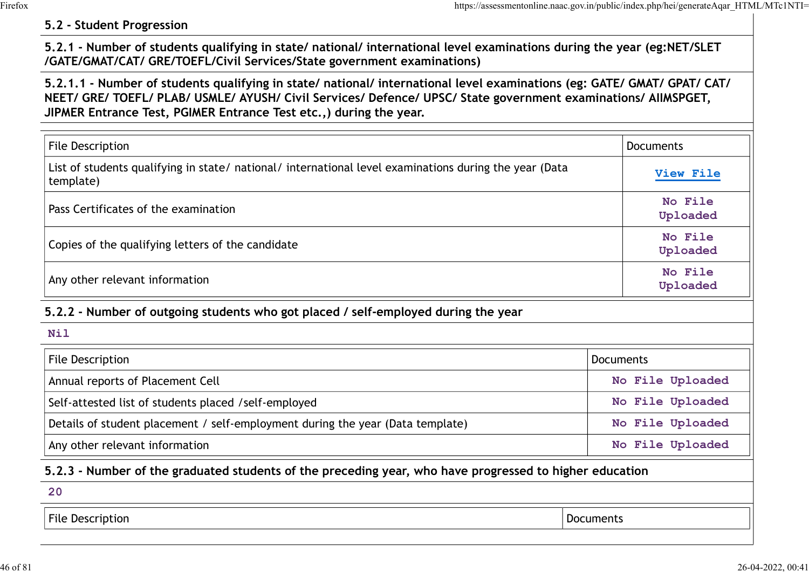## 5.2 - Student Progression

| 5.2 - Student Progression                                                                                                                                                                                                                                                                                   | https://assessmentonline.naac.gov.in/public/index.php/hei/generateAqar HTML/MTc1NTI= |
|-------------------------------------------------------------------------------------------------------------------------------------------------------------------------------------------------------------------------------------------------------------------------------------------------------------|--------------------------------------------------------------------------------------|
| 5.2.1 - Number of students qualifying in state/ national/ international level examinations during the year (eg:NET/SLET<br>/GATE/GMAT/CAT/ GRE/TOEFL/Civil Services/State government examinations)                                                                                                          |                                                                                      |
| 5.2.1.1 - Number of students qualifying in state/national/international level examinations (eg: GATE/GMAT/GPAT/CAT/<br>NEET/ GRE/ TOEFL/ PLAB/ USMLE/ AYUSH/ Civil Services/ Defence/ UPSC/ State government examinations/ AllMSPGET,<br>JIPMER Entrance Test, PGIMER Entrance Test etc.,) during the year. |                                                                                      |
| <b>File Description</b>                                                                                                                                                                                                                                                                                     | <b>Documents</b>                                                                     |
| List of students qualifying in state/ national/ international level examinations during the year (Data<br>template)                                                                                                                                                                                         | View File                                                                            |
| Pass Certificates of the examination                                                                                                                                                                                                                                                                        | No File<br>Uploaded                                                                  |
| Copies of the qualifying letters of the candidate                                                                                                                                                                                                                                                           | No File<br>Uploaded                                                                  |
| Any other relevant information                                                                                                                                                                                                                                                                              | No File<br>Uploaded                                                                  |
| 5.2.2 - Number of outgoing students who got placed / self-employed during the year                                                                                                                                                                                                                          |                                                                                      |
| Nil                                                                                                                                                                                                                                                                                                         |                                                                                      |
| File Description                                                                                                                                                                                                                                                                                            | Documents                                                                            |
| Annual reports of Placement Cell                                                                                                                                                                                                                                                                            | No File Uploaded                                                                     |
| Self-attested list of students placed /self-employed                                                                                                                                                                                                                                                        | No File Uploaded                                                                     |
| Details of student placement / self employment during the year (Data template)                                                                                                                                                                                                                              | No File Unloaded                                                                     |

## Nil

| Any other relevant information                                                                          |                  |  |
|---------------------------------------------------------------------------------------------------------|------------------|--|
| 5.2.2 - Number of outgoing students who got placed / self-employed during the year                      |                  |  |
| Nil                                                                                                     |                  |  |
| File Description                                                                                        | <b>Documents</b> |  |
| Annual reports of Placement Cell                                                                        | No File Uploaded |  |
| Self-attested list of students placed /self-employed                                                    | No File Uploaded |  |
| Details of student placement / self-employment during the year (Data template)                          | No File Uploaded |  |
| Any other relevant information                                                                          | No File Uploaded |  |
| 5.2.3 - Number of the graduated students of the preceding year, who have progressed to higher education |                  |  |
| 20                                                                                                      |                  |  |
| File Description                                                                                        | <b>Documents</b> |  |
|                                                                                                         |                  |  |

# 5.2.3 - Number of the graduated students of the preceding year, who have progressed to higher education

| 20               |           |
|------------------|-----------|
| File Description | Documents |
|                  |           |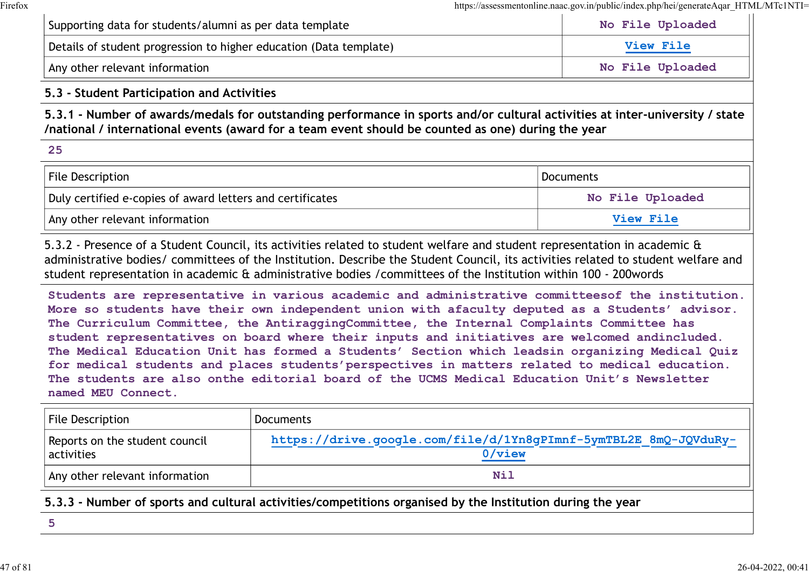| Supporting data for students/alumni as per data template           | No File Uploaded |
|--------------------------------------------------------------------|------------------|
| Details of student progression to higher education (Data template) | View File        |
| Any other relevant information                                     | No File Uploaded |

## 5.3 - Student Participation and Activities

|                                                                                                                                                                                                                                    | https://assessmentonline.naac.gov.in/public/index.php/hei/generateAqar_HTML/MTc1NTI= |
|------------------------------------------------------------------------------------------------------------------------------------------------------------------------------------------------------------------------------------|--------------------------------------------------------------------------------------|
| Supporting data for students/alumni as per data template                                                                                                                                                                           | No File Uploaded                                                                     |
| Details of student progression to higher education (Data template)                                                                                                                                                                 | View File                                                                            |
| Any other relevant information                                                                                                                                                                                                     | No File Uploaded                                                                     |
| 5.3 - Student Participation and Activities                                                                                                                                                                                         |                                                                                      |
|                                                                                                                                                                                                                                    |                                                                                      |
| 5.3.1 - Number of awards/medals for outstanding performance in sports and/or cultural activities at inter-university / state<br>/national / international events (award for a team event should be counted as one) during the year |                                                                                      |
| 25                                                                                                                                                                                                                                 |                                                                                      |
| <b>File Description</b>                                                                                                                                                                                                            | <b>Documents</b>                                                                     |
| Duly certified e-copies of award letters and certificates                                                                                                                                                                          | <b>File Uploaded</b><br><b>No</b>                                                    |

5.3.2 - Presence of a Student Council, its activities related to student welfare and student representation in academic & administrative bodies/ committees of the Institution. Describe the Student Council, its activities related to student welfare and student representation in academic & administrative bodies /committees of the Institution within 100 - 200words

Students are representative in various academic and administrative committeesof the institution. More so students have their own independent union with afaculty deputed as a Students' advisor. The Curriculum Committee, the AntiraggingCommittee, the Internal Complaints Committee has student representatives on board where their inputs and initiatives are welcomed andincluded. The Medical Education Unit has formed a Students' Section which leadsin organizing Medical Quiz for medical students and places students'perspectives in matters related to medical education. The students are also onthe editorial board of the UCMS Medical Education Unit's Newsletter named MEU Connect. File Description<br>
Document Document Document Document<br>
Document Prelevant information<br>
Any other relevant information<br>
1.3.2 - Presence of a Student Council, its activities related to student welfare and student repre<br>
ddm

| File Description                               | <b>Documents</b>                                                              |
|------------------------------------------------|-------------------------------------------------------------------------------|
| Reports on the student council<br>  activities | https://drive.google.com/file/d/1Yn8gPImnf-5ymTBL2E 8mQ-JQVduRy-<br>$0$ /view |
| Any other relevant information                 | Nil                                                                           |

5.3.3 - Number of sports and cultural activities/competitions organised by the Institution during the year

5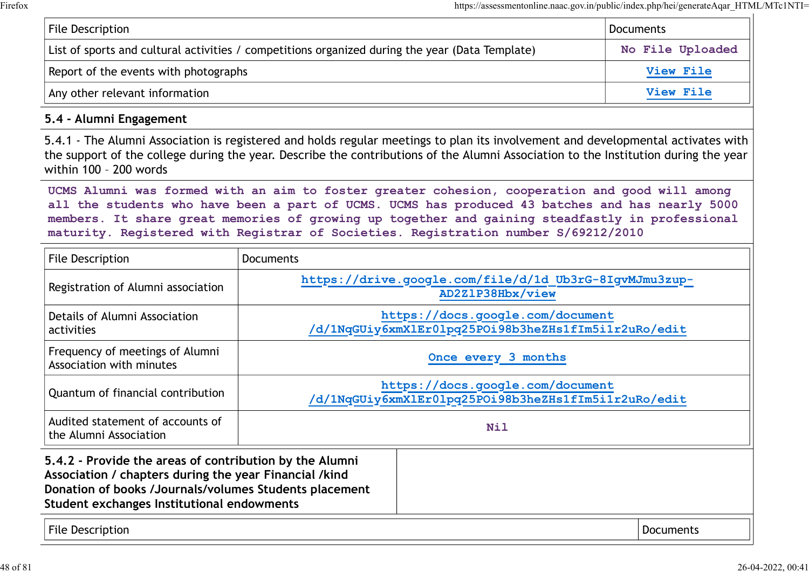|                                       |                                                                                                                                                                                                                                                                                                                                                                                            | https://assessmentonline.naac.gov.in/public/index.php/hei/generateAqar HTML/MTc1NTI= |
|---------------------------------------|--------------------------------------------------------------------------------------------------------------------------------------------------------------------------------------------------------------------------------------------------------------------------------------------------------------------------------------------------------------------------------------------|--------------------------------------------------------------------------------------|
| <b>File Description</b>               |                                                                                                                                                                                                                                                                                                                                                                                            | <b>Documents</b>                                                                     |
|                                       | List of sports and cultural activities / competitions organized during the year (Data Template)                                                                                                                                                                                                                                                                                            | No File Uploaded                                                                     |
| Report of the events with photographs |                                                                                                                                                                                                                                                                                                                                                                                            | View File                                                                            |
| Any other relevant information        |                                                                                                                                                                                                                                                                                                                                                                                            | View File                                                                            |
| 5.4 - Alumni Engagement               |                                                                                                                                                                                                                                                                                                                                                                                            |                                                                                      |
| within 100 - 200 words                | 5.4.1 - The Alumni Association is registered and holds regular meetings to plan its involvement and developmental activates with<br>the support of the college during the year. Describe the contributions of the Alumni Association to the Institution during the year                                                                                                                    |                                                                                      |
|                                       | UCMS Alumni was formed with an aim to foster greater cohesion, cooperation and good will among<br>all the students who have been a part of UCMS. UCMS has produced 43 batches and has nearly 5000<br>members. It share great memories of growing up together and gaining steadfastly in professional<br>maturity. Registered with Registrar of Societies. Registration number S/69212/2010 |                                                                                      |
| File Description                      | <b>Documents</b>                                                                                                                                                                                                                                                                                                                                                                           |                                                                                      |
| Registration of Alumni association    | https://drive.google.com/file/d/1d Ub3rG-8IgvMJmu3zup-<br>AD2Z1P38Hbx/view                                                                                                                                                                                                                                                                                                                 |                                                                                      |
| Details of Alumni Association         | https://docs.google.com/document                                                                                                                                                                                                                                                                                                                                                           |                                                                                      |

## 5.4 - Alumni Engagement

| File Description                                                                                                                                                                                                          | <b>Documents</b>                                                                         |  |           |
|---------------------------------------------------------------------------------------------------------------------------------------------------------------------------------------------------------------------------|------------------------------------------------------------------------------------------|--|-----------|
| Registration of Alumni association                                                                                                                                                                                        | https://drive.google.com/file/d/1d Ub3rG-8IgvMJmu3zup-<br>AD2Z1P38Hbx/view               |  |           |
| Details of Alumni Association<br>activities                                                                                                                                                                               | https://docs.google.com/document<br>/d/1NqGUiy6xmXlEr01pq25POi98b3heZHs1fIm5i1r2uRo/edit |  |           |
| Frequency of meetings of Alumni<br>Association with minutes                                                                                                                                                               | Once every 3 months                                                                      |  |           |
| Quantum of financial contribution                                                                                                                                                                                         | https://docs.google.com/document<br>/d/1NqGUiy6xmX1Er01pq25POi98b3heZHs1fIm5i1r2uRo/edit |  |           |
| Audited statement of accounts of<br>the Alumni Association                                                                                                                                                                | <b>Nil</b>                                                                               |  |           |
| 5.4.2 - Provide the areas of contribution by the Alumni<br>Association / chapters during the year Financial /kind<br>Donation of books /Journals/volumes Students placement<br>Student exchanges Institutional endowments |                                                                                          |  |           |
| <b>File Description</b>                                                                                                                                                                                                   |                                                                                          |  | Documents |

| File Description |  |
|------------------|--|
|------------------|--|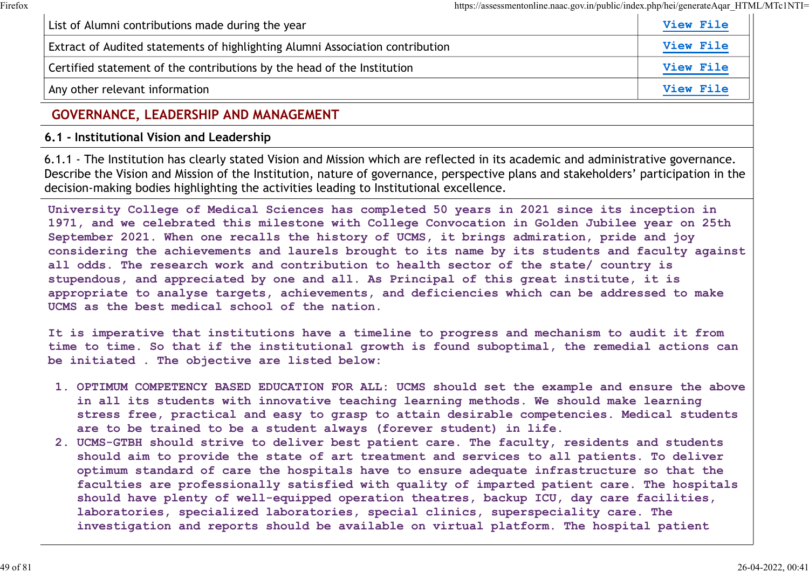| List of Alumni contributions made during the year                             | <b>View File</b> |
|-------------------------------------------------------------------------------|------------------|
| Extract of Audited statements of highlighting Alumni Association contribution | <b>View File</b> |
| Certified statement of the contributions by the head of the Institution       | <b>View File</b> |
| Any other relevant information                                                | <b>View File</b> |

# GOVERNANCE, LEADERSHIP AND MANAGEMENT

## 6.1 - Institutional Vision and Leadership

6.1.1 - The Institution has clearly stated Vision and Mission which are reflected in its academic and administrative governance. Describe the Vision and Mission of the Institution, nature of governance, perspective plans and stakeholders' participation in the decision-making bodies highlighting the activities leading to Institutional excellence.

University College of Medical Sciences has completed 50 years in 2021 since its inception in 1971, and we celebrated this milestone with College Convocation in Golden Jubilee year on 25th September 2021. When one recalls the history of UCMS, it brings admiration, pride and joy considering the achievements and laurels brought to its name by its students and faculty against all odds. The research work and contribution to health sector of the state/ country is stupendous, and appreciated by one and all. As Principal of this great institute, it is appropriate to analyse targets, achievements, and deficiencies which can be addressed to make UCMS as the best medical school of the nation.

It is imperative that institutions have a timeline to progress and mechanism to audit it from time to time. So that if the institutional growth is found suboptimal, the remedial actions can be initiated . The objective are listed below:

- 1. OPTIMUM COMPETENCY BASED EDUCATION FOR ALL: UCMS should set the example and ensure the above in all its students with innovative teaching learning methods. We should make learning stress free, practical and easy to grasp to attain desirable competencies. Medical students are to be trained to be a student always (forever student) in life.
- 2. UCMS-GTBH should strive to deliver best patient care. The faculty, residents and students should aim to provide the state of art treatment and services to all patients. To deliver optimum standard of care the hospitals have to ensure adequate infrastructure so that the faculties are professionally satisfied with quality of imparted patient care. The hospitals should have plenty of well-equipped operation theatres, backup ICU, day care facilities, laboratories, specialized laboratories, special clinics, superspeciality care. The investigation and reports should be available on virtual platform. The hospital patient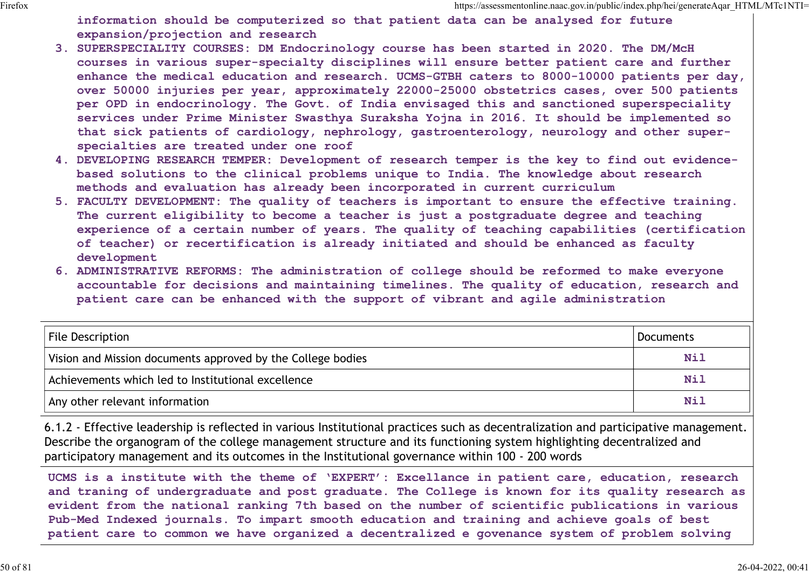information should be computerized so that patient data can be analysed for future expansion/projection and research

- 3. SUPERSPECIALITY COURSES: DM Endocrinology course has been started in 2020. The DM/McH courses in various super-specialty disciplines will ensure better patient care and further enhance the medical education and research. UCMS-GTBH caters to 8000-10000 patients per day, over 50000 injuries per year, approximately 22000-25000 obstetrics cases, over 500 patients per OPD in endocrinology. The Govt. of India envisaged this and sanctioned superspeciality services under Prime Minister Swasthya Suraksha Yojna in 2016. It should be implemented so that sick patients of cardiology, nephrology, gastroenterology, neurology and other superspecialties are treated under one roof
- 4. DEVELOPING RESEARCH TEMPER: Development of research temper is the key to find out evidencebased solutions to the clinical problems unique to India. The knowledge about research methods and evaluation has already been incorporated in current curriculum
- 5. FACULTY DEVELOPMENT: The quality of teachers is important to ensure the effective training. The current eligibility to become a teacher is just a postgraduate degree and teaching experience of a certain number of years. The quality of teaching capabilities (certification of teacher) or recertification is already initiated and should be enhanced as faculty development
- 6. ADMINISTRATIVE REFORMS: The administration of college should be reformed to make everyone accountable for decisions and maintaining timelines. The quality of education, research and patient care can be enhanced with the support of vibrant and agile administration

| over 50000 injuries per year, approximately 22000-25000 obstetrics cases, over 500 patients<br>per OPD in endocrinology. The Govt. of India envisaged this and sanctioned superspeciality<br>services under Prime Minister Swasthya Suraksha Yojna in 2016. It should be implemented so<br>that sick patients of cardiology, nephrology, gastroenterology, neurology and other super-<br>specialties are treated under one roof<br>4. DEVELOPING RESEARCH TEMPER: Development of research temper is the key to find out evidence-<br>based solutions to the clinical problems unique to India. The knowledge about research<br>methods and evaluation has already been incorporated in current curriculum<br>5. FACULTY DEVELOPMENT: The quality of teachers is important to ensure the effective training.<br>The current eligibility to become a teacher is just a postgraduate degree and teaching<br>experience of a certain number of years. The quality of teaching capabilities (certification<br>of teacher) or recertification is already initiated and should be enhanced as faculty<br>development<br>6. ADMINISTRATIVE REFORMS: The administration of college should be reformed to make everyone<br>accountable for decisions and maintaining timelines. The quality of education, research and<br>patient care can be enhanced with the support of vibrant and agile administration |            |
|---------------------------------------------------------------------------------------------------------------------------------------------------------------------------------------------------------------------------------------------------------------------------------------------------------------------------------------------------------------------------------------------------------------------------------------------------------------------------------------------------------------------------------------------------------------------------------------------------------------------------------------------------------------------------------------------------------------------------------------------------------------------------------------------------------------------------------------------------------------------------------------------------------------------------------------------------------------------------------------------------------------------------------------------------------------------------------------------------------------------------------------------------------------------------------------------------------------------------------------------------------------------------------------------------------------------------------------------------------------------------------------------------|------------|
| File Description                                                                                                                                                                                                                                                                                                                                                                                                                                                                                                                                                                                                                                                                                                                                                                                                                                                                                                                                                                                                                                                                                                                                                                                                                                                                                                                                                                                  | Documents  |
| Vision and Mission documents approved by the College bodies                                                                                                                                                                                                                                                                                                                                                                                                                                                                                                                                                                                                                                                                                                                                                                                                                                                                                                                                                                                                                                                                                                                                                                                                                                                                                                                                       | Nil        |
| Achievements which led to Institutional excellence                                                                                                                                                                                                                                                                                                                                                                                                                                                                                                                                                                                                                                                                                                                                                                                                                                                                                                                                                                                                                                                                                                                                                                                                                                                                                                                                                | <b>Nil</b> |
| Any other relevant information                                                                                                                                                                                                                                                                                                                                                                                                                                                                                                                                                                                                                                                                                                                                                                                                                                                                                                                                                                                                                                                                                                                                                                                                                                                                                                                                                                    | <b>Nil</b> |

6.1.2 - Effective leadership is reflected in various Institutional practices such as decentralization and participative management. Describe the organogram of the college management structure and its functioning system highlighting decentralized and participatory management and its outcomes in the Institutional governance within 100 - 200 words

UCMS is a institute with the theme of 'EXPERT': Excellance in patient care, education, research and traning of undergraduate and post graduate. The College is known for its quality research as evident from the national ranking 7th based on the number of scientific publications in various Pub-Med Indexed journals. To impart smooth education and training and achieve goals of best patient care to common we have organized a decentralized e govenance system of problem solving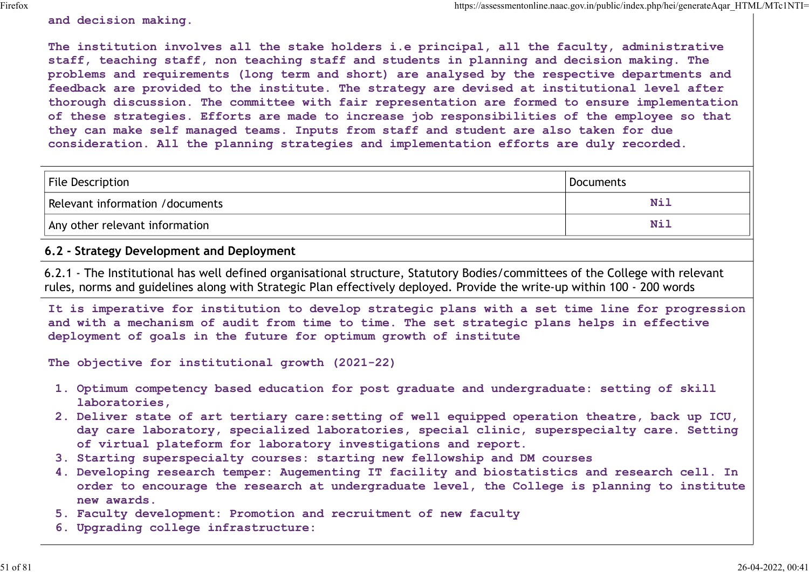and decision making.

The institution involves all the stake holders i.e principal, all the faculty, administrative staff, teaching staff, non teaching staff and students in planning and decision making. The problems and requirements (long term and short) are analysed by the respective departments and feedback are provided to the institute. The strategy are devised at institutional level after thorough discussion. The committee with fair representation are formed to ensure implementation of these strategies. Efforts are made to increase job responsibilities of the employee so that they can make self managed teams. Inputs from staff and student are also taken for due consideration. All the planning strategies and implementation efforts are duly recorded. https://assessmontonline.naa.gov.im/public/index.php/hei/generateAqm\_HTMI.\MTeINTI=<br>The institution involves all the stake holders i.e principal, all the faculty, administrative<br>staff, teaching staff, non teaching staff an

| File Description                | Documents |
|---------------------------------|-----------|
| Relevant information /documents | Nì.       |
| Any other relevant information  | Ni.       |

## 6.2 - Strategy Development and Deployment

6.2.1 - The Institutional has well defined organisational structure, Statutory Bodies/committees of the College with relevant rules, norms and guidelines along with Strategic Plan effectively deployed. Provide the write-up within 100 - 200 words

It is imperative for institution to develop strategic plans with a set time line for progression and with a mechanism of audit from time to time. The set strategic plans helps in effective deployment of goals in the future for optimum growth of institute

The objective for institutional growth (2021-22)

- 1. Optimum competency based education for post graduate and undergraduate: setting of skill laboratories,
- 2. Deliver state of art tertiary care:setting of well equipped operation theatre, back up ICU, day care laboratory, specialized laboratories, special clinic, superspecialty care. Setting of virtual plateform for laboratory investigations and report.
- 3. Starting superspecialty courses: starting new fellowship and DM courses
- 4. Developing research temper: Augementing IT facility and biostatistics and research cell. In order to encourage the research at undergraduate level, the College is planning to institute new awards.
- 5. Faculty development: Promotion and recruitment of new faculty
- 6. Upgrading college infrastructure: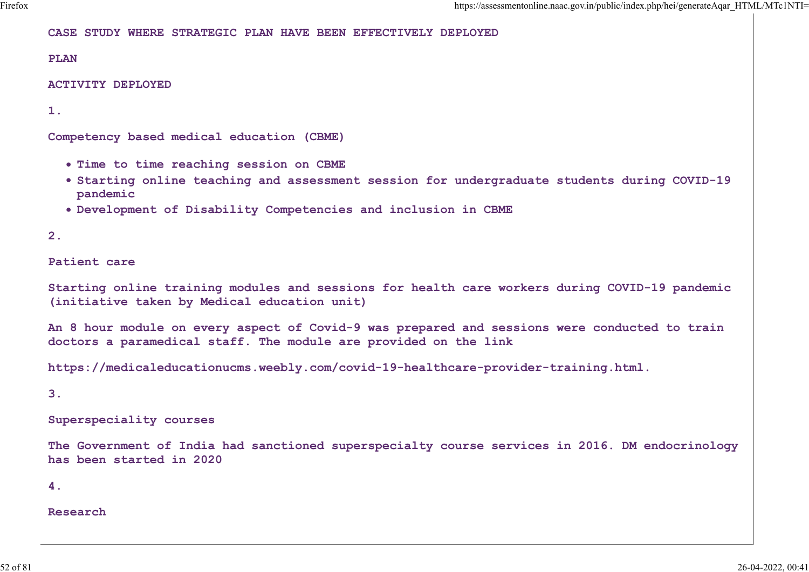CASE STUDY WHERE STRATEGIC PLAN HAVE BEEN EFFECTIVELY DEPLOYED

PLAN

ACTIVITY DEPLOYED

1.

Competency based medical education (CBME)

- . Time to time reaching session on CBME
- Starting online teaching and assessment session for undergraduate students during COVID-19 pandemic
- Development of Disability Competencies and inclusion in CBME

2.

Patient care

Starting online training modules and sessions for health care workers during COVID-19 pandemic (initiative taken by Medical education unit)

An 8 hour module on every aspect of Covid-9 was prepared and sessions were conducted to train doctors a paramedical staff. The module are provided on the link

https://medicaleducationucms.weebly.com/covid-19-healthcare-provider-training.html.

3.

Superspeciality courses

The Government of India had sanctioned superspecialty course services in 2016. DM endocrinology has been started in 2020

4.

Research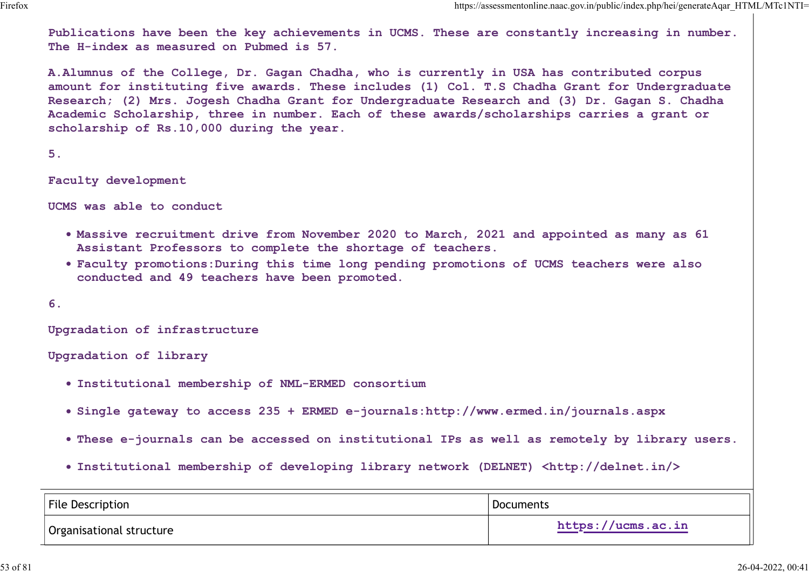Publications have been the key achievements in UCMS. These are constantly increasing in number. The H-index as measured on Pubmed is 57.

A.Alumnus of the College, Dr. Gagan Chadha, who is currently in USA has contributed corpus amount for instituting five awards. These includes (1) Col. T.S Chadha Grant for Undergraduate Research; (2) Mrs. Jogesh Chadha Grant for Undergraduate Research and (3) Dr. Gagan S. Chadha Academic Scholarship, three in number. Each of these awards/scholarships carries a grant or scholarship of Rs.10,000 during the year.

 $5.$ 

Faculty development

UCMS was able to conduct

- Massive recruitment drive from November 2020 to March, 2021 and appointed as many as 61 Assistant Professors to complete the shortage of teachers.
- Faculty promotions:During this time long pending promotions of UCMS teachers were also conducted and 49 teachers have been promoted.

- Institutional membership of NML-ERMED consortium
- Single gateway to access 235 + ERMED e-journals:http://www.ermed.in/journals.aspx
- These e-journals can be accessed on institutional IPs as well as remotely by library users.
- Institutional membership of developing library network (DELNET) <http://delnet.in/>

| . Faculty promotions: During this time long pending promotions of UCMS teachers were also<br>conducted and 49 teachers have been promoted. |                    |
|--------------------------------------------------------------------------------------------------------------------------------------------|--------------------|
| 6.                                                                                                                                         |                    |
| Upgradation of infrastructure                                                                                                              |                    |
| Upgradation of library                                                                                                                     |                    |
| . Institutional membership of NML-ERMED consortium                                                                                         |                    |
| • Single gateway to access 235 + ERMED e-journals:http://www.ermed.in/journals.aspx                                                        |                    |
| . These e-journals can be accessed on institutional IPs as well as remotely by library users.                                              |                    |
| . Institutional membership of developing library network (DELNET) <http: delnet.in=""></http:>                                             |                    |
| <b>File Description</b>                                                                                                                    | <b>Documents</b>   |
| Organisational structure                                                                                                                   | https://ucms.ac.in |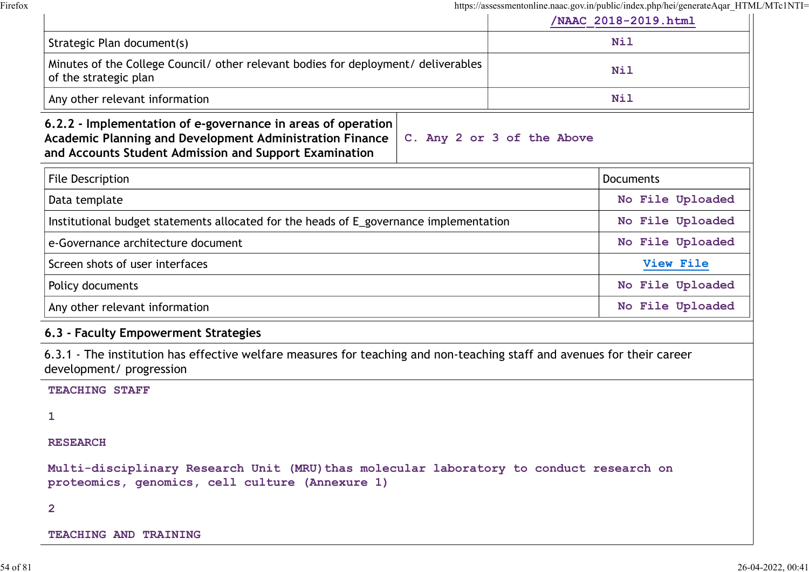|                                                                                                                                                                                                                         | /NAAC 2018-2019.html |
|-------------------------------------------------------------------------------------------------------------------------------------------------------------------------------------------------------------------------|----------------------|
| Strategic Plan document(s)                                                                                                                                                                                              | Nil                  |
| Minutes of the College Council/ other relevant bodies for deployment/ deliverables<br>of the strategic plan                                                                                                             | <b>Nil</b>           |
| Any other relevant information                                                                                                                                                                                          | <b>Nil</b>           |
| 6.2.2 - Implementation of e-governance in areas of operation<br><b>Academic Planning and Development Administration Finance</b><br>C. Any 2 or 3 of the Above<br>and Accounts Student Admission and Support Examination |                      |
| File Description                                                                                                                                                                                                        | <b>Documents</b>     |
| Data template                                                                                                                                                                                                           | No File Uploaded     |
| Institutional budget statements allocated for the heads of E_governance implementation                                                                                                                                  | No File Uploaded     |
| e-Governance architecture document                                                                                                                                                                                      | No File Uploaded     |
| Screen shots of user interfaces                                                                                                                                                                                         | View File            |
| Policy documents                                                                                                                                                                                                        | No File Uploaded     |
| Any other relevant information                                                                                                                                                                                          | No File Uploaded     |
| 6.3 - Faculty Empowerment Strategies                                                                                                                                                                                    |                      |
| 6.3.1 - The institution has effective welfare measures for teaching and non-teaching staff and avenues for their career<br>development/ progression                                                                     |                      |
| <b>TEACHING STAFF</b>                                                                                                                                                                                                   |                      |
| 1                                                                                                                                                                                                                       |                      |
| <b>RESEARCH</b>                                                                                                                                                                                                         |                      |
| Multi-disciplinary Research Unit (MRU) thas molecular laboratory to conduct research on<br>proteomics, genomics, cell culture (Annexure 1)                                                                              |                      |
| $\mathbf{2}$                                                                                                                                                                                                            |                      |
| TEACHING AND TRAINING                                                                                                                                                                                                   |                      |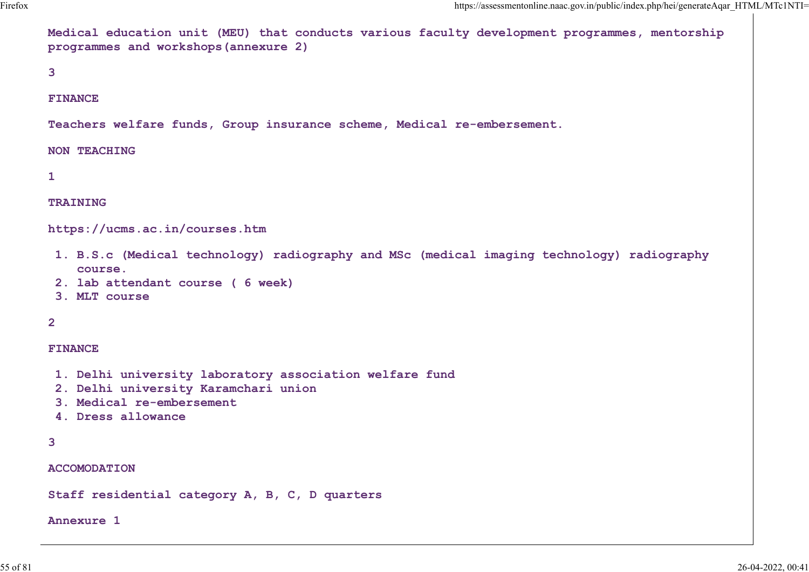Medical education unit (MEU) that conducts various faculty development programmes, mentorship programmes and workshops(annexure 2)

 $3 \left( \frac{1}{2} \right)$ 

#### FINANCE

Teachers welfare funds, Group insurance scheme, Medical re-embersement.

#### NON TEACHING

 $1$  and  $1$  and  $1$  and  $1$  and  $1$ 

#### TRAINING

https://ucms.ac.in/courses.htm

- 1. B.S.c (Medical technology) radiography and MSc (medical imaging technology) radiography course.
- 2. lab attendant course ( 6 week)
- 3. MLT course

## 2 and 2 and 2 and 2 and 2 and 2 and 2 and 2 and 2 and 2 and 2 and 2 and 2 and 2 and 2 and 2 and 2 and 2 and 2

#### FINANCE

- 1. Delhi university laboratory association welfare fund
- 2. Delhi university Karamchari union
- 3. Medical re-embersement
- 4. Dress allowance

```
3
```
ACCOMODATION

Staff residential category A, B, C, D quarters

#### Annexure 1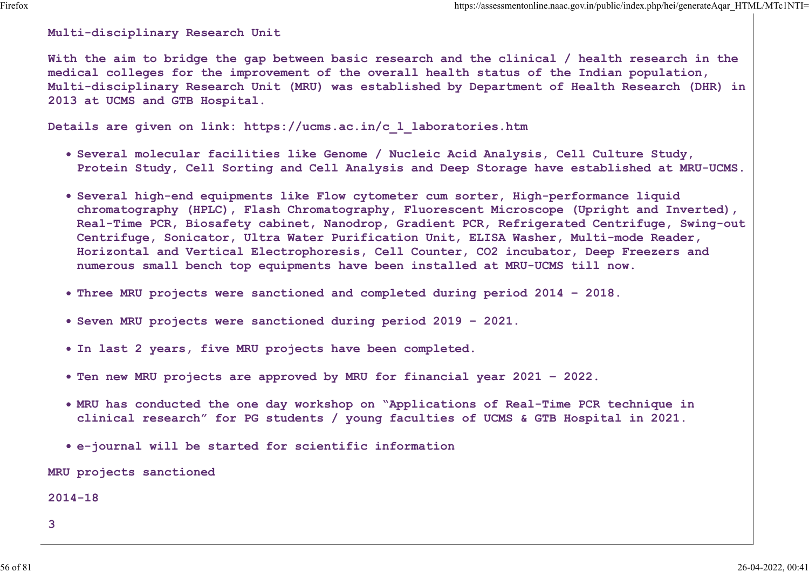Multi-disciplinary Research Unit

With the aim to bridge the gap between basic research and the clinical / health research in the medical colleges for the improvement of the overall health status of the Indian population, Multi-disciplinary Research Unit (MRU) was established by Department of Health Research (DHR) in 2013 at UCMS and GTB Hospital.

Details are given on link: https://ucms.ac.in/c\_l\_laboratories.htm

- Several molecular facilities like Genome / Nucleic Acid Analysis, Cell Culture Study, Protein Study, Cell Sorting and Cell Analysis and Deep Storage have established at MRU-UCMS.
- Several high-end equipments like Flow cytometer cum sorter, High-performance liquid chromatography (HPLC), Flash Chromatography, Fluorescent Microscope (Upright and Inverted), Real-Time PCR, Biosafety cabinet, Nanodrop, Gradient PCR, Refrigerated Centrifuge, Swing-out Centrifuge, Sonicator, Ultra Water Purification Unit, ELISA Washer, Multi-mode Reader, Horizontal and Vertical Electrophoresis, Cell Counter, CO2 incubator, Deep Freezers and numerous small bench top equipments have been installed at MRU-UCMS till now.
- Three MRU projects were sanctioned and completed during period 2014 2018.
- Seven MRU projects were sanctioned during period 2019 2021.
- In last 2 years, five MRU projects have been completed.
- Ten new MRU projects are approved by MRU for financial year 2021 2022.
- MRU has conducted the one day workshop on "Applications of Real-Time PCR technique in clinical research" for PG students / young faculties of UCMS & GTB Hospital in 2021.
- e-journal will be started for scientific information

MRU projects sanctioned

2014-18

3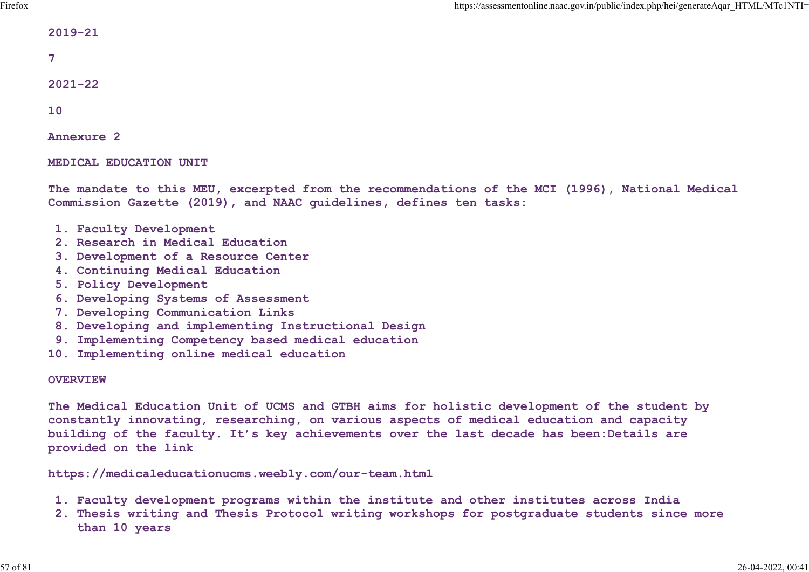| $2019 - 21$ |  |  |
|-------------|--|--|
|             |  |  |

7

2021-22

10

Annexure 2

MEDICAL EDUCATION UNIT

The mandate to this MEU, excerpted from the recommendations of the MCI (1996), National Medical Commission Gazette (2019), and NAAC guidelines, defines ten tasks:

- 1. Faculty Development
- 2. Research in Medical Education
- 3. Development of a Resource Center
- 4. Continuing Medical Education
- 5. Policy Development
- 6. Developing Systems of Assessment
- 7. Developing Communication Links
- 8. Developing and implementing Instructional Design
- 9. Implementing Competency based medical education
- 10. Implementing online medical education

### **OVERVIEW**

The Medical Education Unit of UCMS and GTBH aims for holistic development of the student by constantly innovating, researching, on various aspects of medical education and capacity building of the faculty. It's key achievements over the last decade has been:Details are provided on the link

https://medicaleducationucms.weebly.com/our-team.html

- 1. Faculty development programs within the institute and other institutes across India
- 2. Thesis writing and Thesis Protocol writing workshops for postgraduate students since more than 10 years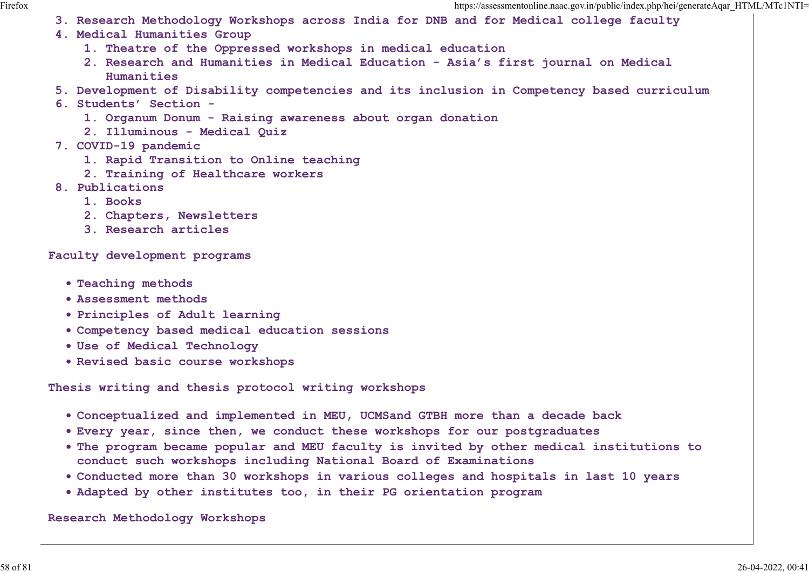- 3. Research Methodology Workshops across India for DNB and for Medical college faculty
- 4. Medical Humanities Group
	- 1. Theatre of the Oppressed workshops in medical education
	- 2. Research and Humanities in Medical Education Asia's first journal on Medical Humanities
- 5. Development of Disability competencies and its inclusion in Competency based curriculum
- 6. Students' Section
	- 1. Organum Donum Raising awareness about organ donation
	- 2. Illuminous Medical Quiz
- 7. COVID-19 pandemic
	- 1. Rapid Transition to Online teaching
	- 2. Training of Healthcare workers
- 8. Publications
	- 1. Books
	- 2. Chapters, Newsletters
	- 3. Research articles

Faculty development programs

- Teaching methods
- Assessment methods
- Principles of Adult learning
- Competency based medical education sessions
- Use of Medical Technology
- Revised basic course workshops

Thesis writing and thesis protocol writing workshops

- Conceptualized and implemented in MEU, UCMSand GTBH more than a decade back
- Every year, since then, we conduct these workshops for our postgraduates
- The program became popular and MEU faculty is invited by other medical institutions to conduct such workshops including National Board of Examinations
- Conducted more than 30 workshops in various colleges and hospitals in last 10 years
- Adapted by other institutes too, in their PG orientation program

Research Methodology Workshops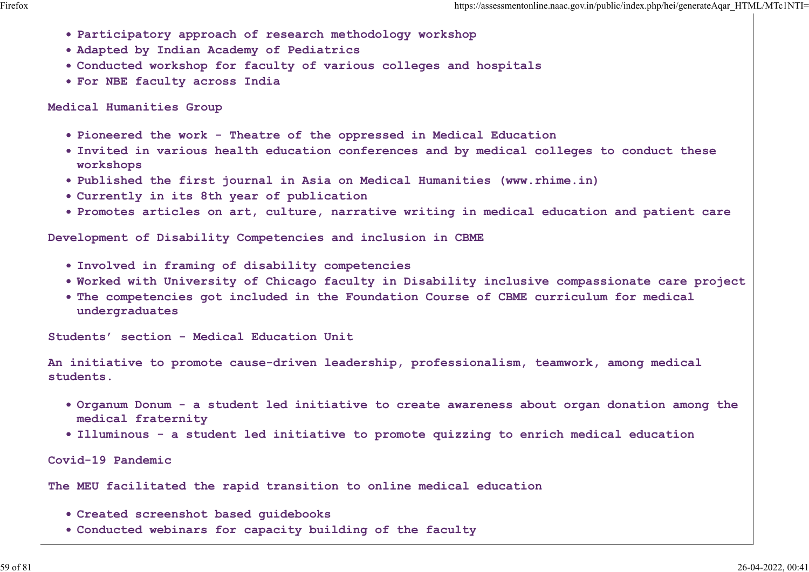- Participatory approach of research methodology workshop
- Adapted by Indian Academy of Pediatrics
- Conducted workshop for faculty of various colleges and hospitals
- For NBE faculty across India

Medical Humanities Group

- Pioneered the work Theatre of the oppressed in Medical Education
- Invited in various health education conferences and by medical colleges to conduct these workshops
- Published the first journal in Asia on Medical Humanities (www.rhime.in)
- Currently in its 8th year of publication
- Promotes articles on art, culture, narrative writing in medical education and patient care

Development of Disability Competencies and inclusion in CBME

- Involved in framing of disability competencies
- Worked with University of Chicago faculty in Disability inclusive compassionate care project
- The competencies got included in the Foundation Course of CBME curriculum for medical undergraduates

Students' section - Medical Education Unit

An initiative to promote cause-driven leadership, professionalism, teamwork, among medical students.

- Organum Donum a student led initiative to create awareness about organ donation among the medical fraternity
- Illuminous a student led initiative to promote quizzing to enrich medical education

Covid-19 Pandemic

The MEU facilitated the rapid transition to online medical education

- Created screenshot based guidebooks
- Conducted webinars for capacity building of the faculty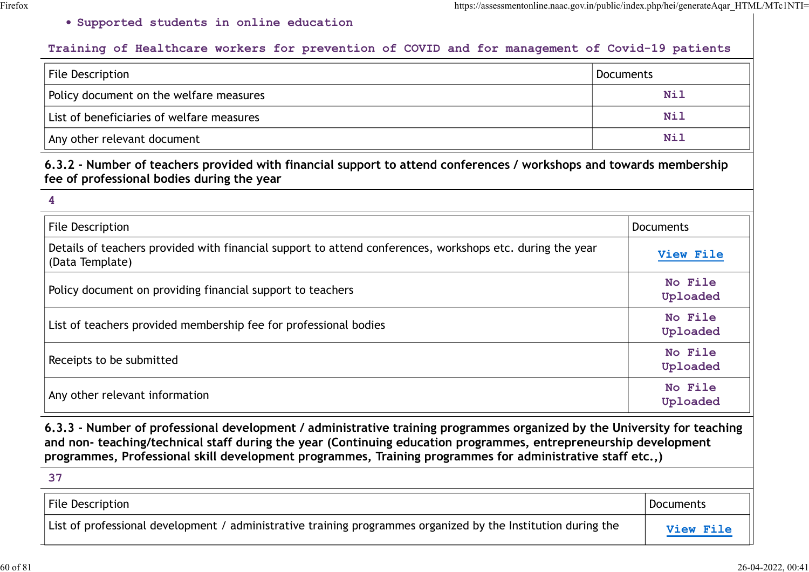## Supported students in online education

## Training of Healthcare workers for prevention of COVID and for management of Covid-19 patients

|                                                                                                | https://assessmentonline.naac.gov.in/public/index.php/hei/generateAqar_HTML/MTc1NTI= |
|------------------------------------------------------------------------------------------------|--------------------------------------------------------------------------------------|
| . Supported students in online education                                                       |                                                                                      |
| Training of Healthcare workers for prevention of COVID and for management of Covid-19 patients |                                                                                      |
|                                                                                                |                                                                                      |
| File Description                                                                               | Documents                                                                            |
| Policy document on the welfare measures                                                        | <b>Nil</b>                                                                           |
| List of beneficiaries of welfare measures                                                      | <b>Nil</b>                                                                           |

|                                                                                                                                                                                                                                                                                                                                                            | https://assessmentonline.naac.gov.in/public/index.php/hei/generateAqar HTML/MTc1NTI= |                     |
|------------------------------------------------------------------------------------------------------------------------------------------------------------------------------------------------------------------------------------------------------------------------------------------------------------------------------------------------------------|--------------------------------------------------------------------------------------|---------------------|
| . Supported students in online education                                                                                                                                                                                                                                                                                                                   |                                                                                      |                     |
| Training of Healthcare workers for prevention of COVID and for management of Covid-19 patients                                                                                                                                                                                                                                                             |                                                                                      |                     |
| <b>File Description</b>                                                                                                                                                                                                                                                                                                                                    | <b>Documents</b>                                                                     |                     |
| Policy document on the welfare measures                                                                                                                                                                                                                                                                                                                    |                                                                                      | <b>Nil</b>          |
| List of beneficiaries of welfare measures                                                                                                                                                                                                                                                                                                                  |                                                                                      | <b>Nil</b>          |
| Any other relevant document                                                                                                                                                                                                                                                                                                                                |                                                                                      | <b>Nil</b>          |
| 6.3.2 - Number of teachers provided with financial support to attend conferences / workshops and towards membership<br>fee of professional bodies during the year                                                                                                                                                                                          |                                                                                      |                     |
| 4                                                                                                                                                                                                                                                                                                                                                          |                                                                                      |                     |
| <b>File Description</b>                                                                                                                                                                                                                                                                                                                                    |                                                                                      | <b>Documents</b>    |
| Details of teachers provided with financial support to attend conferences, workshops etc. during the year<br>(Data Template)                                                                                                                                                                                                                               |                                                                                      | View File           |
| Policy document on providing financial support to teachers                                                                                                                                                                                                                                                                                                 |                                                                                      | No File<br>Uploaded |
| List of teachers provided membership fee for professional bodies                                                                                                                                                                                                                                                                                           |                                                                                      | No File<br>Uploaded |
| Receipts to be submitted                                                                                                                                                                                                                                                                                                                                   |                                                                                      | No File<br>Uploaded |
| Any other relevant information                                                                                                                                                                                                                                                                                                                             |                                                                                      | No File<br>Uploaded |
| 6.3.3 - Number of professional development / administrative training programmes organized by the University for teaching<br>and non- teaching/technical staff during the year (Continuing education programmes, entrepreneurship development<br>programmes, Professional skill development programmes, Training programmes for administrative staff etc.,) |                                                                                      |                     |
| 37                                                                                                                                                                                                                                                                                                                                                         |                                                                                      |                     |
| <b>File Description</b>                                                                                                                                                                                                                                                                                                                                    |                                                                                      | <b>Documents</b>    |
| List of professional development / administrative training programmes organized by the Institution during the                                                                                                                                                                                                                                              |                                                                                      | View File           |

| <b>File Description</b>                                                                                       | Documents               |
|---------------------------------------------------------------------------------------------------------------|-------------------------|
| List of professional development / administrative training programmes organized by the Institution during the | <b><i>View File</i></b> |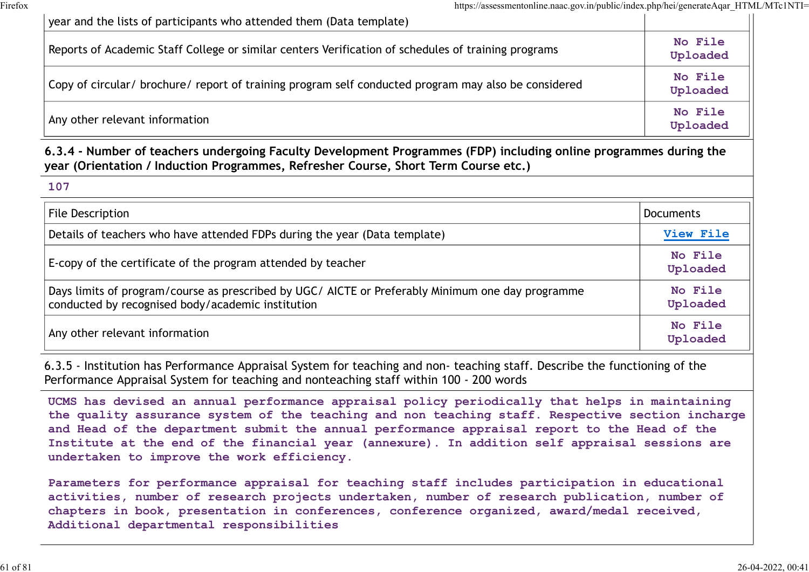| https://assessmentonline.naac.gov.in/public/index.php/hei/generateAqar_HTML/MTc1NTI=                                                                                                                     |                     |
|----------------------------------------------------------------------------------------------------------------------------------------------------------------------------------------------------------|---------------------|
| year and the lists of participants who attended them (Data template)                                                                                                                                     |                     |
| Reports of Academic Staff College or similar centers Verification of schedules of training programs                                                                                                      | No File<br>Uploaded |
| Copy of circular/ brochure/ report of training program self conducted program may also be considered                                                                                                     | No File<br>Uploaded |
| Any other relevant information                                                                                                                                                                           | No File<br>Uploaded |
| 6.3.4 - Number of teachers undergoing Faculty Development Programmes (FDP) including online programmes during the<br>year (Orientation / Induction Programmes, Refresher Course, Short Term Course etc.) |                     |
| 107                                                                                                                                                                                                      |                     |
| <b>File Description</b>                                                                                                                                                                                  | <b>Documents</b>    |
| Details of teachers who have attended FDPs during the year (Data template)                                                                                                                               | View File           |
| E-copy of the certificate of the program attended by teacher                                                                                                                                             | No File<br>Uploaded |

| 107                                                                                                                                                    |                            |
|--------------------------------------------------------------------------------------------------------------------------------------------------------|----------------------------|
| File Description                                                                                                                                       | <b>Documents</b>           |
| Details of teachers who have attended FDPs during the year (Data template)                                                                             | View File                  |
| E-copy of the certificate of the program attended by teacher                                                                                           | No File<br>Uploaded        |
| Days limits of program/course as prescribed by UGC/ AICTE or Preferably Minimum one day programme<br>conducted by recognised body/academic institution | No File<br>Uploaded        |
| Any other relevant information                                                                                                                         | <b>No File</b><br>Uploaded |

6.3.5 - Institution has Performance Appraisal System for teaching and non- teaching staff. Describe the functioning of the Performance Appraisal System for teaching and nonteaching staff within 100 - 200 words

UCMS has devised an annual performance appraisal policy periodically that helps in maintaining the quality assurance system of the teaching and non teaching staff. Respective section incharge and Head of the department submit the annual performance appraisal report to the Head of the Institute at the end of the financial year (annexure). In addition self appraisal sessions are undertaken to improve the work efficiency.

Parameters for performance appraisal for teaching staff includes participation in educational activities, number of research projects undertaken, number of research publication, number of chapters in book, presentation in conferences, conference organized, award/medal received, Additional departmental responsibilities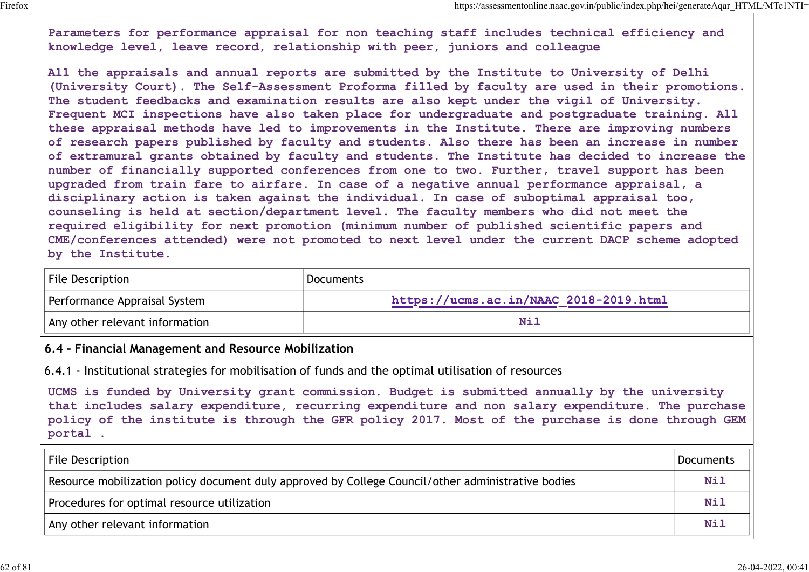Parameters for performance appraisal for non teaching staff includes technical efficiency and knowledge level, leave record, relationship with peer, juniors and colleague

All the appraisals and annual reports are submitted by the Institute to University of Delhi (University Court). The Self-Assessment Proforma filled by faculty are used in their promotions. The student feedbacks and examination results are also kept under the vigil of University. Frequent MCI inspections have also taken place for undergraduate and postgraduate training. All these appraisal methods have led to improvements in the Institute. There are improving numbers of research papers published by faculty and students. Also there has been an increase in number of extramural grants obtained by faculty and students. The Institute has decided to increase the number of financially supported conferences from one to two. Further, travel support has been upgraded from train fare to airfare. In case of a negative annual performance appraisal, a disciplinary action is taken against the individual. In case of suboptimal appraisal too, counseling is held at section/department level. The faculty members who did not meet the required eligibility for next promotion (minimum number of published scientific papers and CME/conferences attended) were not promoted to next level under the current DACP scheme adopted by the Institute. Parameters for performance appraisal for non teaching staff includes technical<br>Parameters for performance appraisal for non teaching staff includes technical<br>All the appraisals and annual reports are submitted by the Insti

| File Description               | Documents                              |
|--------------------------------|----------------------------------------|
| Performance Appraisal System   | https://ucms.ac.in/NAAC 2018-2019.html |
| Any other relevant information |                                        |

## 6.4 - Financial Management and Resource Mobilization

| by the Institute.                                    | counseling is held at section/department level. The faculty members who did not meet the<br>required eligibility for next promotion (minimum number of published scientific papers and<br>CME/conferences attended) were not promoted to next level under the current DACP scheme adopted             |                  |
|------------------------------------------------------|-------------------------------------------------------------------------------------------------------------------------------------------------------------------------------------------------------------------------------------------------------------------------------------------------------|------------------|
| File Description                                     | <b>Documents</b>                                                                                                                                                                                                                                                                                      |                  |
| Performance Appraisal System                         | https://ucms.ac.in/NAAC 2018-2019.html                                                                                                                                                                                                                                                                |                  |
| Any other relevant information                       | <b>Nil</b>                                                                                                                                                                                                                                                                                            |                  |
| 6.4 - Financial Management and Resource Mobilization |                                                                                                                                                                                                                                                                                                       |                  |
|                                                      | 6.4.1 - Institutional strategies for mobilisation of funds and the optimal utilisation of resources                                                                                                                                                                                                   |                  |
| portal.                                              | UCMS is funded by University grant commission. Budget is submitted annually by the university<br>that includes salary expenditure, recurring expenditure and non salary expenditure. The purchase<br>policy of the institute is through the GFR policy 2017. Most of the purchase is done through GEM |                  |
| File Description                                     |                                                                                                                                                                                                                                                                                                       | <b>Documents</b> |
|                                                      | Resource mobilization policy document duly approved by College Council/other administrative bodies                                                                                                                                                                                                    | Nil              |
| Procedures for optimal resource utilization          |                                                                                                                                                                                                                                                                                                       | <b>Nil</b>       |
| Any other relevant information                       |                                                                                                                                                                                                                                                                                                       | Nil              |
|                                                      |                                                                                                                                                                                                                                                                                                       |                  |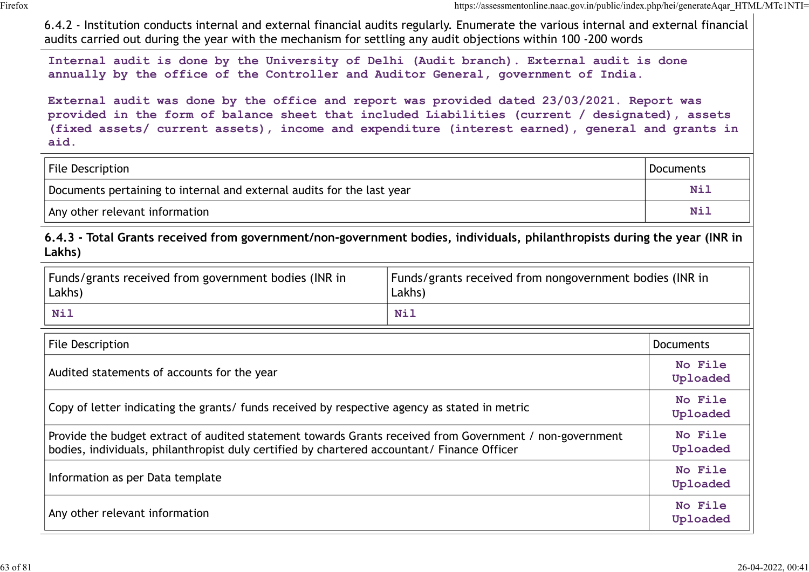| 6.4.2 - Institution conducts internal and external financial audits regularly. Enumerate the various internal and external financial<br>audits carried out during the year with the mechanism for settling any audit objections within 100 -200 words                                                   | https://assessmentonline.naac.gov.in/public/index.php/hei/generateAqar HTML/MTc1NTI= |
|---------------------------------------------------------------------------------------------------------------------------------------------------------------------------------------------------------------------------------------------------------------------------------------------------------|--------------------------------------------------------------------------------------|
| Internal audit is done by the University of Delhi (Audit branch). External audit is done<br>annually by the office of the Controller and Auditor General, government of India.                                                                                                                          |                                                                                      |
| External audit was done by the office and report was provided dated 23/03/2021. Report was<br>provided in the form of balance sheet that included Liabilities (current / designated), assets<br>(fixed assets/ current assets), income and expenditure (interest earned), general and grants in<br>aid. |                                                                                      |
| File Description                                                                                                                                                                                                                                                                                        | <b>Documents</b>                                                                     |
| Documents pertaining to internal and external audits for the last year                                                                                                                                                                                                                                  | Nil                                                                                  |
|                                                                                                                                                                                                                                                                                                         |                                                                                      |

| Funds/grants received from government bodies (INR in<br>Lakhs) | Funds/grants received from nongovernment bodies (INR in<br>Lakhs <sup>'</sup> |  |
|----------------------------------------------------------------|-------------------------------------------------------------------------------|--|
| Mi                                                             | Nil                                                                           |  |

| External audit was done by the office and report was provided dated 23/03/2021. Report was<br>provided in the form of balance sheet that included Liabilities (current / designated), assets<br>(fixed assets/ current assets), income and expenditure (interest earned), general and grants in<br>aid. |                                                                   |                     |
|---------------------------------------------------------------------------------------------------------------------------------------------------------------------------------------------------------------------------------------------------------------------------------------------------------|-------------------------------------------------------------------|---------------------|
| <b>File Description</b>                                                                                                                                                                                                                                                                                 |                                                                   | <b>Documents</b>    |
| Documents pertaining to internal and external audits for the last year                                                                                                                                                                                                                                  |                                                                   | Nil                 |
| Any other relevant information                                                                                                                                                                                                                                                                          |                                                                   | <b>Nil</b>          |
| 6.4.3 - Total Grants received from government/non-government bodies, individuals, philanthropists during the year (INR in<br>Lakhs)                                                                                                                                                                     |                                                                   |                     |
| Funds/grants received from government bodies (INR in<br>Lakhs)                                                                                                                                                                                                                                          | Funds/grants received from nongovernment bodies (INR in<br>Lakhs) |                     |
| <b>Nil</b>                                                                                                                                                                                                                                                                                              | <b>Nil</b>                                                        |                     |
| <b>File Description</b>                                                                                                                                                                                                                                                                                 |                                                                   | <b>Documents</b>    |
| Audited statements of accounts for the year                                                                                                                                                                                                                                                             |                                                                   | No File<br>Uploaded |
| Copy of letter indicating the grants/ funds received by respective agency as stated in metric                                                                                                                                                                                                           |                                                                   | No File<br>Uploaded |
| Provide the budget extract of audited statement towards Grants received from Government / non-government<br>bodies, individuals, philanthropist duly certified by chartered accountant/ Finance Officer                                                                                                 |                                                                   | No File<br>Uploaded |
| Information as per Data template                                                                                                                                                                                                                                                                        |                                                                   | No File<br>Uploaded |
| Any other relevant information                                                                                                                                                                                                                                                                          |                                                                   | No File<br>Uploaded |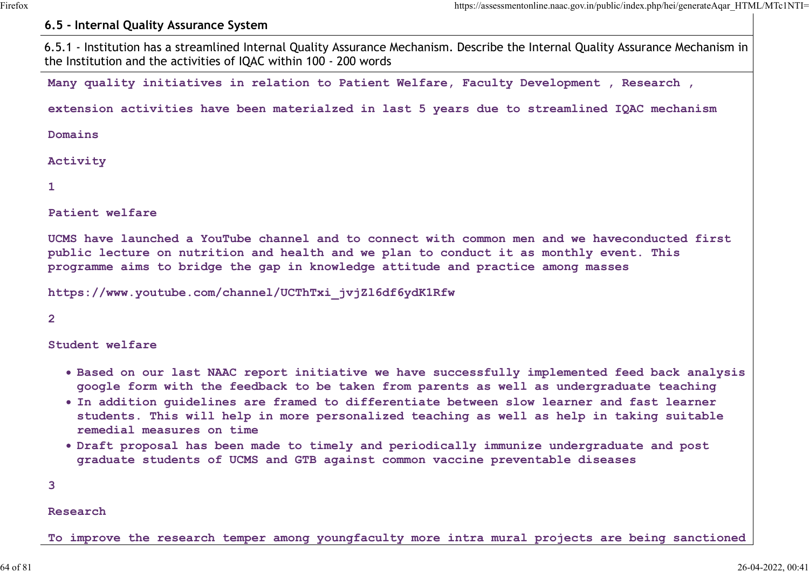## 6.5 - Internal Quality Assurance System

6.5.1 - Institution has a streamlined Internal Quality Assurance Mechanism. Describe the Internal Quality Assurance Mechanism in the Institution and the activities of IQAC within 100 - 200 words

Many quality initiatives in relation to Patient Welfare, Faculty Development , Research ,

extension activities have been materialzed in last 5 years due to streamlined IQAC mechanism

Domains

**Activity** 

 $1$  and  $1$  and  $1$  and  $1$  and  $1$ 

Patient welfare

UCMS have launched a YouTube channel and to connect with common men and we haveconducted first public lecture on nutrition and health and we plan to conduct it as monthly event. This programme aims to bridge the gap in knowledge attitude and practice among masses

https://www.youtube.com/channel/UCThTxi\_jvjZl6df6ydK1Rfw

2 and 2 and 2 and 2 and 2 and 2 and 2 and 2 and 2 and 2 and 2 and 2 and 2 and 2 and 2 and 2 and 2 and 2 and 2

Student welfare

- . Based on our last NAAC report initiative we have successfully implemented feed back analysis google form with the feedback to be taken from parents as well as undergraduate teaching
- In addition guidelines are framed to differentiate between slow learner and fast learner students. This will help in more personalized teaching as well as help in taking suitable remedial measures on time
- Draft proposal has been made to timely and periodically immunize undergraduate and post graduate students of UCMS and GTB against common vaccine preventable diseases

3

#### Research

To improve the research temper among youngfaculty more intra mural projects are being sanctioned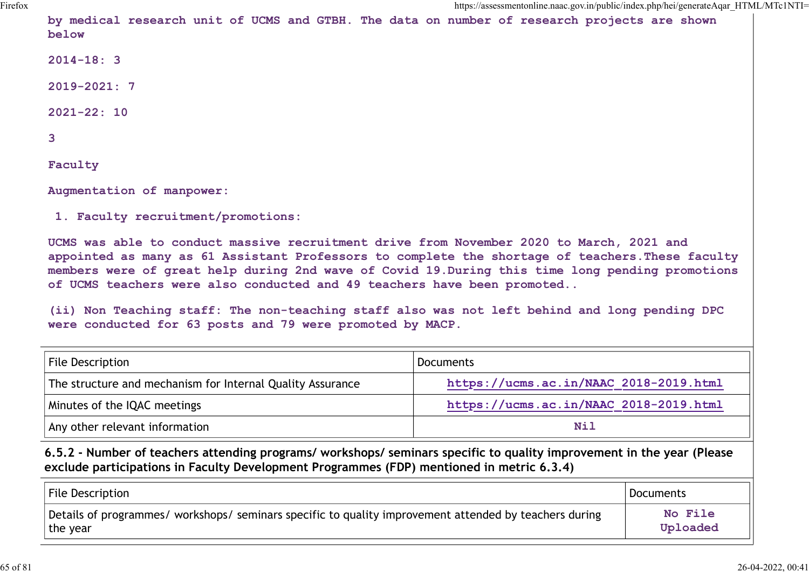by medical research unit of UCMS and GTBH. The data on number of research projects are shown below

2014-18: 3

2019-2021: 7

 $2021 - 22: 10$ 

| 3                                                                                                                                                                                                                                                                                                                                                                                                                                                                                                                                         |                                        |                  |
|-------------------------------------------------------------------------------------------------------------------------------------------------------------------------------------------------------------------------------------------------------------------------------------------------------------------------------------------------------------------------------------------------------------------------------------------------------------------------------------------------------------------------------------------|----------------------------------------|------------------|
| Faculty                                                                                                                                                                                                                                                                                                                                                                                                                                                                                                                                   |                                        |                  |
| Augmentation of manpower:                                                                                                                                                                                                                                                                                                                                                                                                                                                                                                                 |                                        |                  |
| 1. Faculty recruitment/promotions:                                                                                                                                                                                                                                                                                                                                                                                                                                                                                                        |                                        |                  |
| UCMS was able to conduct massive recruitment drive from November 2020 to March, 2021 and<br>appointed as many as 61 Assistant Professors to complete the shortage of teachers. These faculty<br>members were of great help during 2nd wave of Covid 19. During this time long pending promotions<br>of UCMS teachers were also conducted and 49 teachers have been promoted<br>(ii) Non Teaching staff: The non-teaching staff also was not left behind and long pending DPC<br>were conducted for 63 posts and 79 were promoted by MACP. |                                        |                  |
|                                                                                                                                                                                                                                                                                                                                                                                                                                                                                                                                           |                                        |                  |
| <b>File Description</b>                                                                                                                                                                                                                                                                                                                                                                                                                                                                                                                   | <b>Documents</b>                       |                  |
| The structure and mechanism for Internal Quality Assurance                                                                                                                                                                                                                                                                                                                                                                                                                                                                                | https://ucms.ac.in/NAAC 2018-2019.html |                  |
| Minutes of the IQAC meetings                                                                                                                                                                                                                                                                                                                                                                                                                                                                                                              | https://ucms.ac.in/NAAC 2018-2019.html |                  |
| Any other relevant information                                                                                                                                                                                                                                                                                                                                                                                                                                                                                                            | <b>Nil</b>                             |                  |
| 6.5.2 - Number of teachers attending programs/ workshops/ seminars specific to quality improvement in the year (Please<br>exclude participations in Faculty Development Programmes (FDP) mentioned in metric 6.3.4)                                                                                                                                                                                                                                                                                                                       |                                        |                  |
| File Description                                                                                                                                                                                                                                                                                                                                                                                                                                                                                                                          |                                        | <b>Documents</b> |

| File Description                                                                                       | Documents |
|--------------------------------------------------------------------------------------------------------|-----------|
| Details of programmes/ workshops/ seminars specific to quality improvement attended by teachers during | No File   |
| the year                                                                                               | Uploaded  |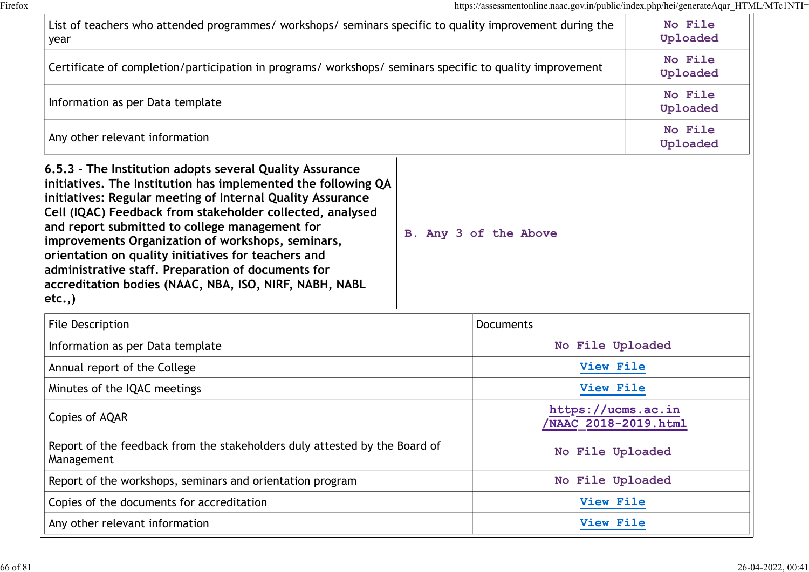| List of teachers who attended programmes/ workshops/ seminars specific to quality improvement during the<br>year                                                                                                                                                                                                                                                                                                                                                                                                                            |  |                                 | No File<br>Uploaded |
|---------------------------------------------------------------------------------------------------------------------------------------------------------------------------------------------------------------------------------------------------------------------------------------------------------------------------------------------------------------------------------------------------------------------------------------------------------------------------------------------------------------------------------------------|--|---------------------------------|---------------------|
| Certificate of completion/participation in programs/ workshops/ seminars specific to quality improvement                                                                                                                                                                                                                                                                                                                                                                                                                                    |  |                                 | No File<br>Uploaded |
| Information as per Data template                                                                                                                                                                                                                                                                                                                                                                                                                                                                                                            |  |                                 | No File<br>Uploaded |
| Any other relevant information                                                                                                                                                                                                                                                                                                                                                                                                                                                                                                              |  |                                 | No File<br>Uploaded |
| 6.5.3 - The Institution adopts several Quality Assurance<br>initiatives. The Institution has implemented the following QA<br>initiatives: Regular meeting of Internal Quality Assurance<br>Cell (IQAC) Feedback from stakeholder collected, analysed<br>and report submitted to college management for<br>improvements Organization of workshops, seminars,<br>orientation on quality initiatives for teachers and<br>administrative staff. Preparation of documents for<br>accreditation bodies (NAAC, NBA, ISO, NIRF, NABH, NABL<br>etc., |  | B. Any 3 of the Above           |                     |
| File Description                                                                                                                                                                                                                                                                                                                                                                                                                                                                                                                            |  | <b>Documents</b>                |                     |
| Information as per Data template                                                                                                                                                                                                                                                                                                                                                                                                                                                                                                            |  | No File Uploaded                |                     |
| Annual report of the College                                                                                                                                                                                                                                                                                                                                                                                                                                                                                                                |  | View File                       |                     |
| $M_{\rm in \, 1}$ the $M_{\rm in \, 1}$ mootings                                                                                                                                                                                                                                                                                                                                                                                                                                                                                            |  | $V_{1}$ out $F_{1}$ $1_{\odot}$ |                     |

| File Description                                                                         | <b>Documents</b>                           |
|------------------------------------------------------------------------------------------|--------------------------------------------|
| Information as per Data template                                                         | No File Uploaded                           |
| Annual report of the College                                                             | View File                                  |
| Minutes of the IQAC meetings                                                             | View File                                  |
| Copies of AQAR                                                                           | https://ucms.ac.in<br>/NAAC 2018-2019.html |
| Report of the feedback from the stakeholders duly attested by the Board of<br>Management | No File Uploaded                           |
| Report of the workshops, seminars and orientation program                                | No File Uploaded                           |
| Copies of the documents for accreditation                                                | View File                                  |
| Any other relevant information                                                           | View File                                  |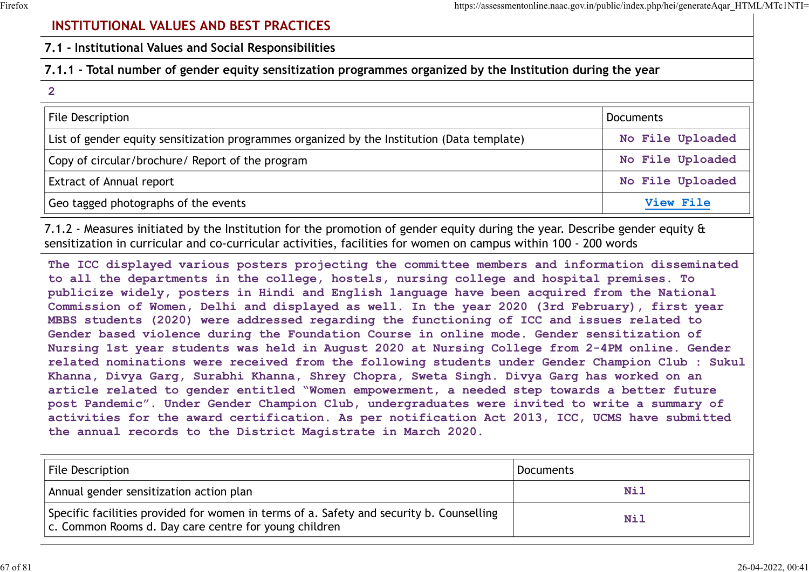# INSTITUTIONAL VALUES AND BEST PRACTICES

# 7.1.1 - Total number of gender equity sensitization programmes organized by the Institution during the year

| https://assessmentonline.naac.gov.in/public/index.php/hei/generateAqar_HTML/MTc1NTI=                        |                  |
|-------------------------------------------------------------------------------------------------------------|------------------|
| <b>INSTITUTIONAL VALUES AND BEST PRACTICES</b>                                                              |                  |
| 7.1 - Institutional Values and Social Responsibilities                                                      |                  |
| 7.1.1 - Total number of gender equity sensitization programmes organized by the Institution during the year |                  |
| $\overline{2}$                                                                                              |                  |
| File Description                                                                                            | <b>Documents</b> |
| List of gender equity sensitization programmes organized by the Institution (Data template)                 | No File Uploaded |
| Copy of circular/brochure/ Report of the program                                                            | No File Uploaded |
| <b>Extract of Annual report</b>                                                                             | No File Uploaded |
| Geo tagged photographs of the events                                                                        | View File        |

7.1.2 - Measures initiated by the Institution for the promotion of gender equity during the year. Describe gender equity & sensitization in curricular and co-curricular activities, facilities for women on campus within 100 - 200 words

The ICC displayed various posters projecting the committee members and information disseminated to all the departments in the college, hostels, nursing college and hospital premises. To publicize widely, posters in Hindi and English language have been acquired from the National Commission of Women, Delhi and displayed as well. In the year 2020 (3rd February), first year MBBS students (2020) were addressed regarding the functioning of ICC and issues related to Gender based violence during the Foundation Course in online mode. Gender sensitization of Nursing 1st year students was held in August 2020 at Nursing College from 2-4PM online. Gender related nominations were received from the following students under Gender Champion Club : Sukul Khanna, Divya Garg, Surabhi Khanna, Shrey Chopra, Sweta Singh. Divya Garg has worked on an article related to gender entitled "Women empowerment, a needed step towards a better future post Pandemic". Under Gender Champion Club, undergraduates were invited to write a summary of activities for the award certification. As per notification Act 2013, ICC, UCMS have submitted the annual records to the District Magistrate in March 2020. (1.2 - Measures initiated by the Institution for the promotion of gender equity during the year. Describe gender equity  $\hat{\mathbf{a}}$ <br>
The ICC displayed various courricular attivities, facilities for women on campus within 1

| File Description                                                                                                                                  | Documents |
|---------------------------------------------------------------------------------------------------------------------------------------------------|-----------|
| Annual gender sensitization action plan                                                                                                           | Nil       |
| Specific facilities provided for women in terms of a. Safety and security b. Counselling<br>c. Common Rooms d. Day care centre for young children | Nil       |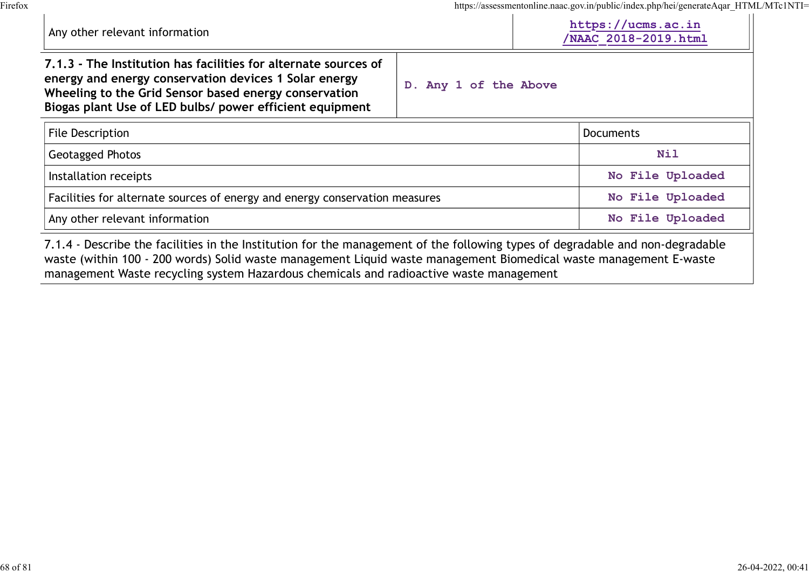|                                                                                                                                                                                                                                               |                       |  | https://assessmentonline.naac.gov.in/public/index.php/hei/generateAqar_HTML/MTc1NTI=<br>https://ucms.ac.in |
|-----------------------------------------------------------------------------------------------------------------------------------------------------------------------------------------------------------------------------------------------|-----------------------|--|------------------------------------------------------------------------------------------------------------|
| Any other relevant information                                                                                                                                                                                                                | NAAC 2018-2019.html   |  |                                                                                                            |
| 7.1.3 - The Institution has facilities for alternate sources of<br>energy and energy conservation devices 1 Solar energy<br>Wheeling to the Grid Sensor based energy conservation<br>Biogas plant Use of LED bulbs/ power efficient equipment | D. Any 1 of the Above |  |                                                                                                            |
|                                                                                                                                                                                                                                               |                       |  |                                                                                                            |
| File Description                                                                                                                                                                                                                              |                       |  | <b>Documents</b>                                                                                           |
| Geotagged Photos                                                                                                                                                                                                                              |                       |  | <b>Nil</b>                                                                                                 |
| Installation receipts                                                                                                                                                                                                                         |                       |  | No File Uploaded                                                                                           |
| Facilities for alternate sources of energy and energy conservation measures                                                                                                                                                                   |                       |  | No File Uploaded                                                                                           |

management Waste recycling system Hazardous chemicals and radioactive waste management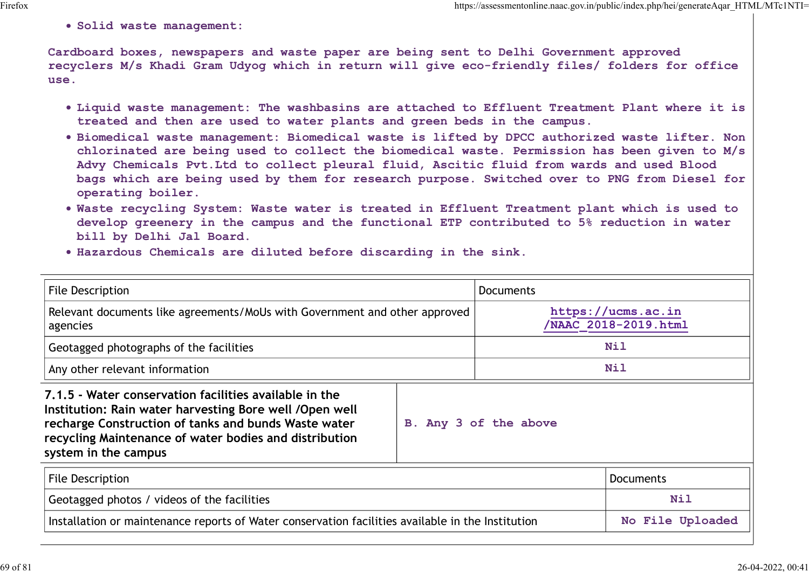Solid waste management:

- Liquid waste management: The washbasins are attached to Effluent Treatment Plant where it is treated and then are used to water plants and green beds in the campus.
- Biomedical waste management: Biomedical waste is lifted by DPCC authorized waste lifter. Non chlorinated are being used to collect the biomedical waste. Permission has been given to M/s Advy Chemicals Pvt.Ltd to collect pleural fluid, Ascitic fluid from wards and used Blood bags which are being used by them for research purpose. Switched over to PNG from Diesel for operating boiler.
- Waste recycling System: Waste water is treated in Effluent Treatment plant which is used to develop greenery in the campus and the functional ETP contributed to 5% reduction in water bill by Delhi Jal Board.
- Hazardous Chemicals are diluted before discarding in the sink.

| Cardboard boxes, newspapers and waste paper are being sent to Delhi Government approved<br>recyclers M/s Khadi Gram Udyog which in return will give eco-friendly files/ folders for office<br>use.                                                                                                                                                                                                                                                                                                                                                                                                                                                                                                                                                                                                                                                                                           |                                            |
|----------------------------------------------------------------------------------------------------------------------------------------------------------------------------------------------------------------------------------------------------------------------------------------------------------------------------------------------------------------------------------------------------------------------------------------------------------------------------------------------------------------------------------------------------------------------------------------------------------------------------------------------------------------------------------------------------------------------------------------------------------------------------------------------------------------------------------------------------------------------------------------------|--------------------------------------------|
| . Liquid waste management: The washbasins are attached to Effluent Treatment Plant where it is<br>treated and then are used to water plants and green beds in the campus.<br>. Biomedical waste management: Biomedical waste is lifted by DPCC authorized waste lifter. Non<br>chlorinated are being used to collect the biomedical waste. Permission has been given to M/s<br>Advy Chemicals Pvt. Ltd to collect pleural fluid, Ascitic fluid from wards and used Blood<br>bags which are being used by them for research purpose. Switched over to PNG from Diesel for<br>operating boiler.<br>. Waste recycling System: Waste water is treated in Effluent Treatment plant which is used to<br>develop greenery in the campus and the functional ETP contributed to 5% reduction in water<br>bill by Delhi Jal Board.<br>. Hazardous Chemicals are diluted before discarding in the sink. |                                            |
| <b>File Description</b><br><b>Documents</b>                                                                                                                                                                                                                                                                                                                                                                                                                                                                                                                                                                                                                                                                                                                                                                                                                                                  |                                            |
| Relevant documents like agreements/MoUs with Government and other approved<br>agencies                                                                                                                                                                                                                                                                                                                                                                                                                                                                                                                                                                                                                                                                                                                                                                                                       | https://ucms.ac.in<br>/NAAC 2018-2019.html |
| Geotagged photographs of the facilities                                                                                                                                                                                                                                                                                                                                                                                                                                                                                                                                                                                                                                                                                                                                                                                                                                                      | Nil                                        |
| Any other relevant information                                                                                                                                                                                                                                                                                                                                                                                                                                                                                                                                                                                                                                                                                                                                                                                                                                                               | Nil                                        |
| 7.1.5 - Water conservation facilities available in the<br>Institution: Rain water harvesting Bore well / Open well<br>recharge Construction of tanks and bunds Waste water<br>B. Any 3 of the above<br>recycling Maintenance of water bodies and distribution<br>system in the campus                                                                                                                                                                                                                                                                                                                                                                                                                                                                                                                                                                                                        |                                            |
| <b>File Description</b>                                                                                                                                                                                                                                                                                                                                                                                                                                                                                                                                                                                                                                                                                                                                                                                                                                                                      | <b>Documents</b>                           |
| Geotagged photos / videos of the facilities                                                                                                                                                                                                                                                                                                                                                                                                                                                                                                                                                                                                                                                                                                                                                                                                                                                  | <b>Nil</b>                                 |
| Installation or maintenance reports of Water conservation facilities available in the Institution                                                                                                                                                                                                                                                                                                                                                                                                                                                                                                                                                                                                                                                                                                                                                                                            | No File Uploaded                           |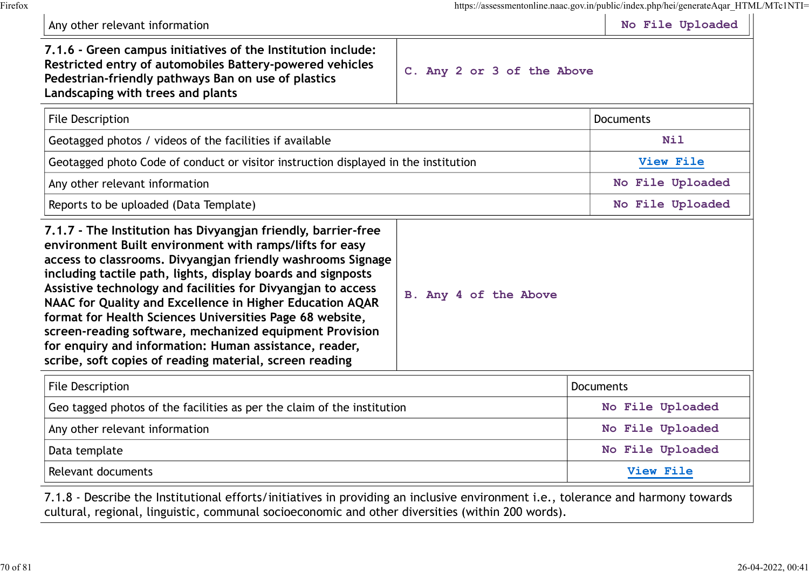| Any other relevant information                                                                                                                                                                                                                                                                                                                                                                                                                                                                                                                                                                                                  |                                                                                     | https://assessmentonline.naac.gov.in/public/index.php/hei/generateAqar_HTML/MTc1NTI=<br>No File Uploaded |
|---------------------------------------------------------------------------------------------------------------------------------------------------------------------------------------------------------------------------------------------------------------------------------------------------------------------------------------------------------------------------------------------------------------------------------------------------------------------------------------------------------------------------------------------------------------------------------------------------------------------------------|-------------------------------------------------------------------------------------|----------------------------------------------------------------------------------------------------------|
| 7.1.6 - Green campus initiatives of the Institution include:<br>Restricted entry of automobiles Battery-powered vehicles<br>Pedestrian-friendly pathways Ban on use of plastics<br>Landscaping with trees and plants                                                                                                                                                                                                                                                                                                                                                                                                            | C. Any 2 or 3 of the Above                                                          |                                                                                                          |
| <b>File Description</b>                                                                                                                                                                                                                                                                                                                                                                                                                                                                                                                                                                                                         |                                                                                     | <b>Documents</b>                                                                                         |
| Geotagged photos / videos of the facilities if available                                                                                                                                                                                                                                                                                                                                                                                                                                                                                                                                                                        |                                                                                     |                                                                                                          |
|                                                                                                                                                                                                                                                                                                                                                                                                                                                                                                                                                                                                                                 | Geotagged photo Code of conduct or visitor instruction displayed in the institution |                                                                                                          |
| Any other relevant information                                                                                                                                                                                                                                                                                                                                                                                                                                                                                                                                                                                                  |                                                                                     |                                                                                                          |
| Reports to be uploaded (Data Template)                                                                                                                                                                                                                                                                                                                                                                                                                                                                                                                                                                                          |                                                                                     | No File Uploaded                                                                                         |
| 7.1.7 - The Institution has Divyangjan friendly, barrier-free<br>environment Built environment with ramps/lifts for easy<br>access to classrooms. Divyangjan friendly washrooms Signage<br>including tactile path, lights, display boards and signposts<br>Assistive technology and facilities for Divyangjan to access<br>NAAC for Quality and Excellence in Higher Education AQAR<br>format for Health Sciences Universities Page 68 website,<br>screen-reading software, mechanized equipment Provision<br>for enquiry and information: Human assistance, reader,<br>scribe, soft copies of reading material, screen reading | B. Any 4 of the Above                                                               |                                                                                                          |
| <b>File Description</b>                                                                                                                                                                                                                                                                                                                                                                                                                                                                                                                                                                                                         |                                                                                     | Documents                                                                                                |
| Geo tagged photos of the facilities as per the claim of the institution                                                                                                                                                                                                                                                                                                                                                                                                                                                                                                                                                         |                                                                                     | No File Uploaded                                                                                         |
| Any other relevant information                                                                                                                                                                                                                                                                                                                                                                                                                                                                                                                                                                                                  |                                                                                     | No File Uploaded                                                                                         |
| $D2$ tomplate                                                                                                                                                                                                                                                                                                                                                                                                                                                                                                                                                                                                                   |                                                                                     |                                                                                                          |

Data template No File Uploaded No File Uploaded

Relevant documents and the set of the contract of the contract of the contract of the contract of the view File

7.1.8 - Describe the Institutional efforts/initiatives in providing an inclusive environment i.e., tolerance and harmony towards cultural, regional, linguistic, communal socioeconomic and other diversities (within 200 words).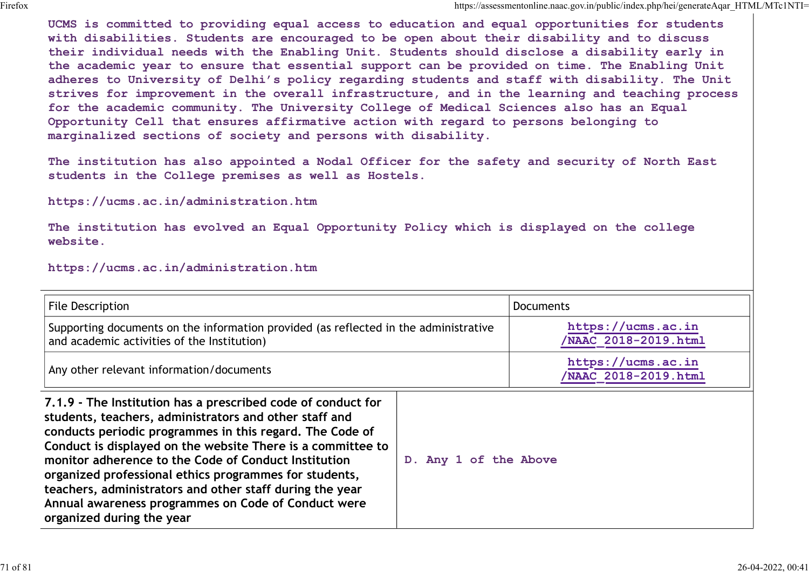UCMS is committed to providing equal access to education and equal opportunities for students with disabilities. Students are encouraged to be open about their disability and to discuss their individual needs with the Enabling Unit. Students should disclose a disability early in the academic year to ensure that essential support can be provided on time. The Enabling Unit adheres to University of Delhi's policy regarding students and staff with disability. The Unit strives for improvement in the overall infrastructure, and in the learning and teaching process for the academic community. The University College of Medical Sciences also has an Equal Opportunity Cell that ensures affirmative action with regard to persons belonging to marginalized sections of society and persons with disability. the academic year to empure that essential support can be provided on time. The Enaphing Dnit<br>adheres to University of Delhi's policy regarding students and staff with disability. The Unit<br>strives for improvement in the ov

The institution has also appointed a Nodal Officer for the safety and security of North East students in the College premises as well as Hostels.

https://ucms.ac.in/administration.htm

The institution has evolved an Equal Opportunity Policy which is displayed on the college website.

#### https://ucms.ac.in/administration.htm

| <b>File Description</b>                                                                                                                                                                                                                                                                                                                                                                                                                                                                                             |                       | <b>Documents</b>                          |
|---------------------------------------------------------------------------------------------------------------------------------------------------------------------------------------------------------------------------------------------------------------------------------------------------------------------------------------------------------------------------------------------------------------------------------------------------------------------------------------------------------------------|-----------------------|-------------------------------------------|
| Supporting documents on the information provided (as reflected in the administrative<br>and academic activities of the Institution)                                                                                                                                                                                                                                                                                                                                                                                 |                       | https://ucms.ac.in<br>NAAC 2018-2019.html |
| Any other relevant information/documents                                                                                                                                                                                                                                                                                                                                                                                                                                                                            |                       | https://ucms.ac.in<br>NAAC 2018-2019.html |
| 7.1.9 - The Institution has a prescribed code of conduct for<br>students, teachers, administrators and other staff and<br>conducts periodic programmes in this regard. The Code of<br>Conduct is displayed on the website There is a committee to<br>monitor adherence to the Code of Conduct Institution<br>organized professional ethics programmes for students,<br>teachers, administrators and other staff during the year<br>Annual awareness programmes on Code of Conduct were<br>organized during the year | D. Any 1 of the Above |                                           |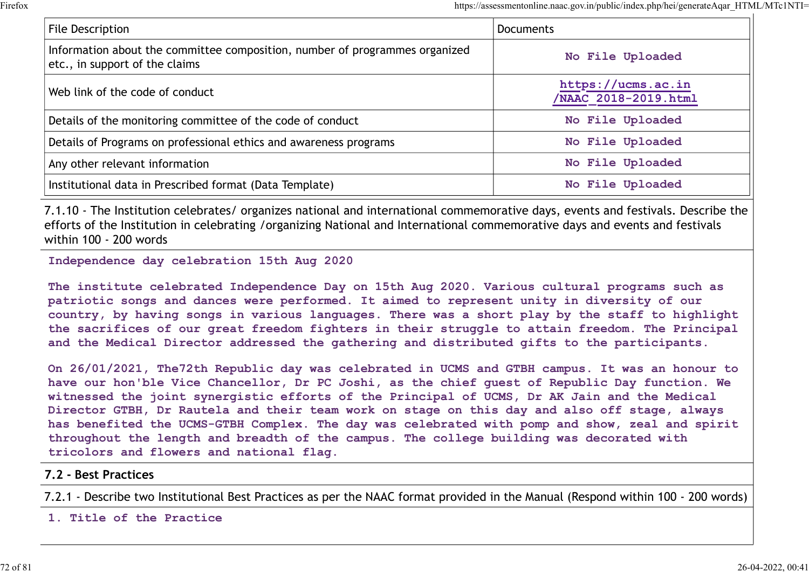| <b>File Description</b>                                                     | https://assessmentonline.naac.gov.in/public/index.php/hei/generateAqar HTML/MTc1NTI=<br><b>Documents</b> |
|-----------------------------------------------------------------------------|----------------------------------------------------------------------------------------------------------|
| Information about the committee composition, number of programmes organized |                                                                                                          |
| etc., in support of the claims                                              | No File Uploaded                                                                                         |
| Web link of the code of conduct                                             | https://ucms.ac.in<br>/NAAC 2018-2019.html                                                               |
| Details of the monitoring committee of the code of conduct                  | No File Uploaded                                                                                         |
|                                                                             |                                                                                                          |
| Details of Programs on professional ethics and awareness programs           | No File Uploaded                                                                                         |
| Any other relevant information                                              | No File Uploaded                                                                                         |

7.1.10 - The Institution celebrates/ organizes national and international commemorative days, events and festivals. Describe the efforts of the Institution in celebrating /organizing National and International commemorative days and events and festivals within 100 - 200 words

Independence day celebration 15th Aug 2020

The institute celebrated Independence Day on 15th Aug 2020. Various cultural programs such as patriotic songs and dances were performed. It aimed to represent unity in diversity of our country, by having songs in various languages. There was a short play by the staff to highlight the sacrifices of our great freedom fighters in their struggle to attain freedom. The Principal and the Medical Director addressed the gathering and distributed gifts to the participants.

On 26/01/2021, The72th Republic day was celebrated in UCMS and GTBH campus. It was an honour to have our hon'ble Vice Chancellor, Dr PC Joshi, as the chief guest of Republic Day function. We witnessed the joint synergistic efforts of the Principal of UCMS, Dr AK Jain and the Medical Director GTBH, Dr Rautela and their team work on stage on this day and also off stage, always has benefited the UCMS-GTBH Complex. The day was celebrated with pomp and show, zeal and spirit throughout the length and breadth of the campus. The college building was decorated with tricolors and flowers and national flag.

### 7.2 - Best Practices

7.2.1 - Describe two Institutional Best Practices as per the NAAC format provided in the Manual (Respond within 100 - 200 words)

1. Title of the Practice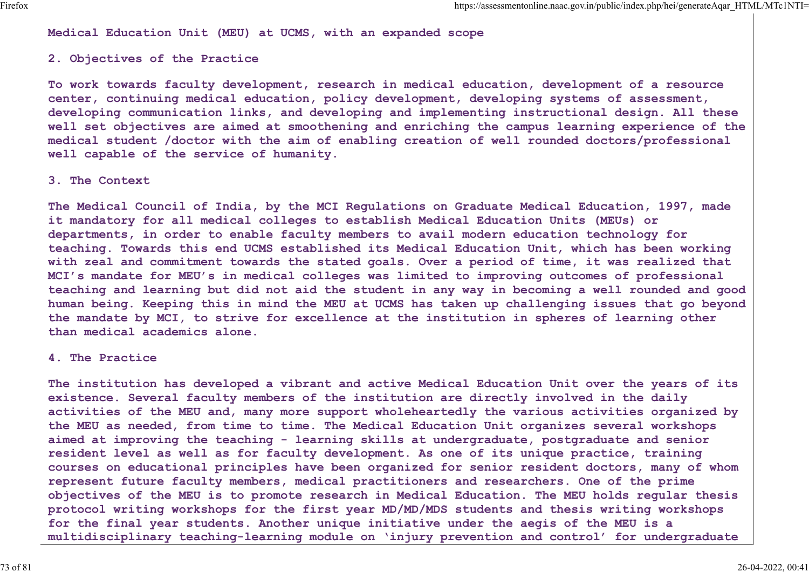Medical Education Unit (MEU) at UCMS, with an expanded scope

## 2. Objectives of the Practice

To work towards faculty development, research in medical education, development of a resource center, continuing medical education, policy development, developing systems of assessment, developing communication links, and developing and implementing instructional design. All these well set objectives are aimed at smoothening and enriching the campus learning experience of the medical student /doctor with the aim of enabling creation of well rounded doctors/professional well capable of the service of humanity.

### 3. The Context

The Medical Council of India, by the MCI Regulations on Graduate Medical Education, 1997, made it mandatory for all medical colleges to establish Medical Education Units (MEUs) or departments, in order to enable faculty members to avail modern education technology for teaching. Towards this end UCMS established its Medical Education Unit, which has been working with zeal and commitment towards the stated goals. Over a period of time, it was realized that MCI's mandate for MEU's in medical colleges was limited to improving outcomes of professional teaching and learning but did not aid the student in any way in becoming a well rounded and good human being. Keeping this in mind the MEU at UCMS has taken up challenging issues that go beyond the mandate by MCI, to strive for excellence at the institution in spheres of learning other than medical academics alone.

### 4. The Practice

The institution has developed a vibrant and active Medical Education Unit over the years of its existence. Several faculty members of the institution are directly involved in the daily activities of the MEU and, many more support wholeheartedly the various activities organized by the MEU as needed, from time to time. The Medical Education Unit organizes several workshops aimed at improving the teaching - learning skills at undergraduate, postgraduate and senior resident level as well as for faculty development. As one of its unique practice, training courses on educational principles have been organized for senior resident doctors, many of whom represent future faculty members, medical practitioners and researchers. One of the prime objectives of the MEU is to promote research in Medical Education. The MEU holds regular thesis protocol writing workshops for the first year MD/MD/MDS students and thesis writing workshops for the final year students. Another unique initiative under the aegis of the MEU is a multidisciplinary teaching-learning module on 'injury prevention and control' for undergraduate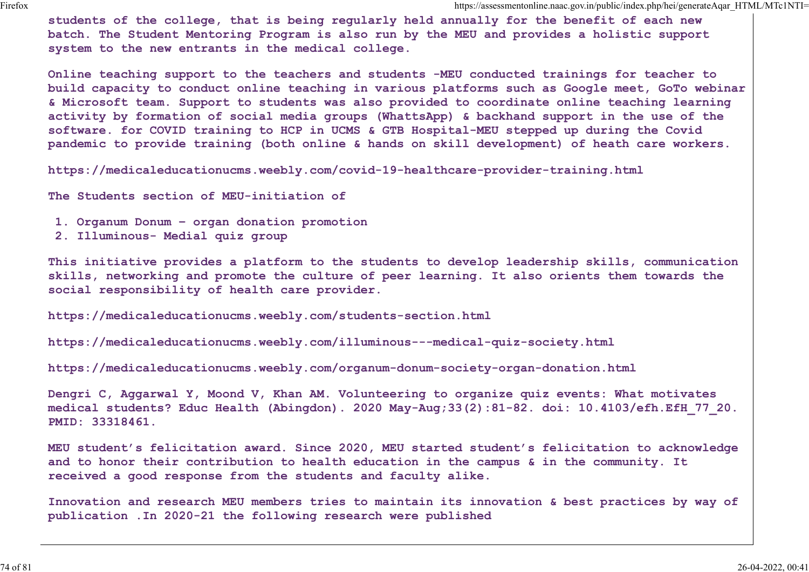students of the college, that is being regularly held annually for the benefit of each new batch. The Student Mentoring Program is also run by the MEU and provides a holistic support system to the new entrants in the medical college.

Online teaching support to the teachers and students -MEU conducted trainings for teacher to build capacity to conduct online teaching in various platforms such as Google meet, GoTo webinar & Microsoft team. Support to students was also provided to coordinate online teaching learning activity by formation of social media groups (WhattsApp) & backhand support in the use of the software. for COVID training to HCP in UCMS & GTB Hospital-MEU stepped up during the Covid pandemic to provide training (both online & hands on skill development) of heath care workers.

https://medicaleducationucms.weebly.com/covid-19-healthcare-provider-training.html

The Students section of MEU-initiation of

- 1. Organum Donum organ donation promotion
- 2. Illuminous- Medial quiz group

This initiative provides a platform to the students to develop leadership skills, communication skills, networking and promote the culture of peer learning. It also orients them towards the social responsibility of health care provider.

https://medicaleducationucms.weebly.com/students-section.html

https://medicaleducationucms.weebly.com/illuminous---medical-quiz-society.html

https://medicaleducationucms.weebly.com/organum-donum-society-organ-donation.html

Dengri C, Aggarwal Y, Moond V, Khan AM. Volunteering to organize quiz events: What motivates medical students? Educ Health (Abingdon). 2020 May-Aug;33(2):81-82. doi: 10.4103/efh.EfH\_77\_20. PMID: 33318461.

MEU student's felicitation award. Since 2020, MEU started student's felicitation to acknowledge and to honor their contribution to health education in the campus & in the community. It received a good response from the students and faculty alike.

Innovation and research MEU members tries to maintain its innovation & best practices by way of publication .In 2020-21 the following research were published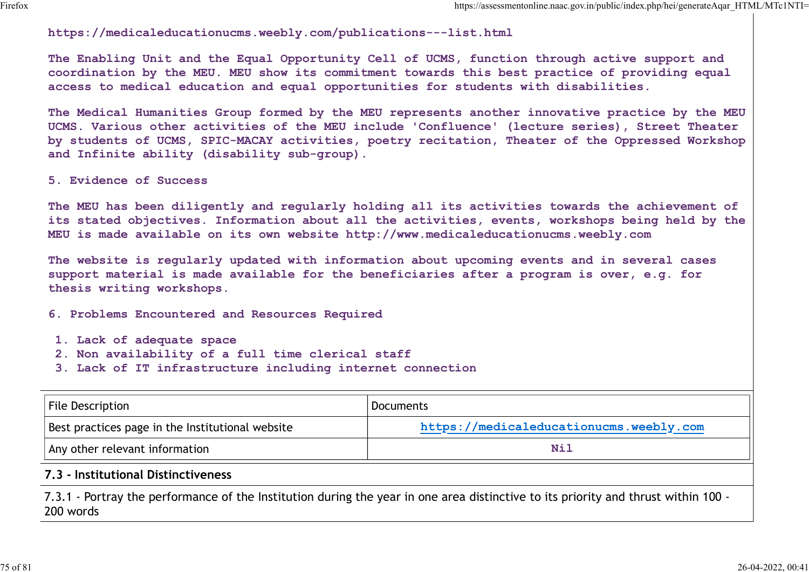## https://medicaleducationucms.weebly.com/publications---list.html

The Enabling Unit and the Equal Opportunity Cell of UCMS, function through active support and coordination by the MEU. MEU show its commitment towards this best practice of providing equal access to medical education and equal opportunities for students with disabilities.

The Medical Humanities Group formed by the MEU represents another innovative practice by the MEU UCMS. Various other activities of the MEU include 'Confluence' (lecture series), Street Theater by students of UCMS, SPIC-MACAY activities, poetry recitation, Theater of the Oppressed Workshop and Infinite ability (disability sub-group).

- 1. Lack of adequate space
- 2. Non availability of a full time clerical staff
- 3. Lack of IT infrastructure including internet connection

| 5. Evidence of Success                                                                                                                       |                                                                                                                                                                                                     |
|----------------------------------------------------------------------------------------------------------------------------------------------|-----------------------------------------------------------------------------------------------------------------------------------------------------------------------------------------------------|
| MEU is made available on its own website http://www.medicaleducationucms.weebly.com                                                          | The MEU has been diligently and regularly holding all its activities towards the achievement of<br>its stated objectives. Information about all the activities, events, workshops being held by the |
| thesis writing workshops.                                                                                                                    | The website is regularly updated with information about upcoming events and in several cases<br>support material is made available for the beneficiaries after a program is over, e.g. for          |
| 6. Problems Encountered and Resources Required                                                                                               |                                                                                                                                                                                                     |
| 1. Lack of adequate space<br>2. Non availability of a full time clerical staff<br>3. Lack of IT infrastructure including internet connection |                                                                                                                                                                                                     |
| <b>File Description</b>                                                                                                                      | <b>Documents</b>                                                                                                                                                                                    |
| Best practices page in the Institutional website                                                                                             | https://medicaleducationucms.weebly.com                                                                                                                                                             |
| Any other relevant information                                                                                                               | <b>Nil</b>                                                                                                                                                                                          |
|                                                                                                                                              |                                                                                                                                                                                                     |

## 7.3 - Institutional Distinctiveness

7.3.1 - Portray the performance of the Institution during the year in one area distinctive to its priority and thrust within 100 - 200 words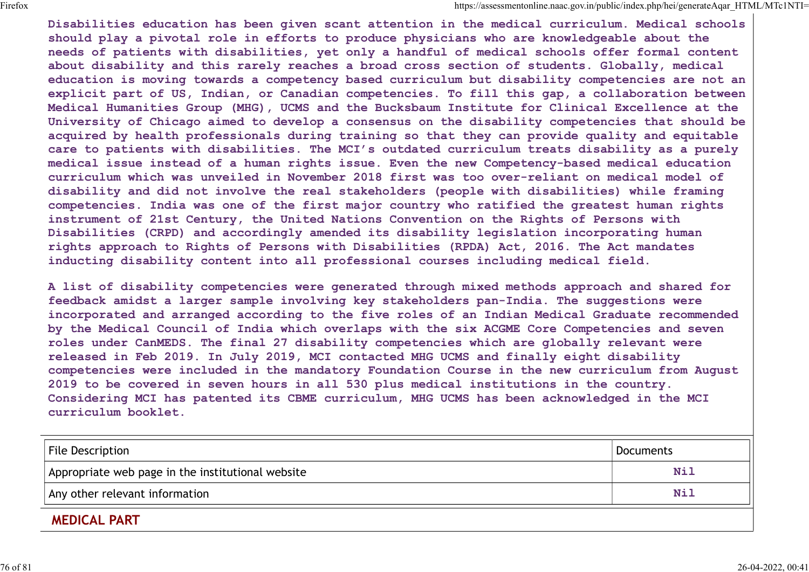Disabilities education has been given scant attention in the medical curriculum. Medical schools should play a pivotal role in efforts to produce physicians who are knowledgeable about the needs of patients with disabilities, yet only a handful of medical schools offer formal content about disability and this rarely reaches a broad cross section of students. Globally, medical education is moving towards a competency based curriculum but disability competencies are not an explicit part of US, Indian, or Canadian competencies. To fill this gap, a collaboration between Medical Humanities Group (MHG), UCMS and the Bucksbaum Institute for Clinical Excellence at the University of Chicago aimed to develop a consensus on the disability competencies that should be acquired by health professionals during training so that they can provide quality and equitable care to patients with disabilities. The MCI's outdated curriculum treats disability as a purely medical issue instead of a human rights issue. Even the new Competency-based medical education curriculum which was unveiled in November 2018 first was too over-reliant on medical model of disability and did not involve the real stakeholders (people with disabilities) while framing competencies. India was one of the first major country who ratified the greatest human rights instrument of 21st Century, the United Nations Convention on the Rights of Persons with Disabilities (CRPD) and accordingly amended its disability legislation incorporating human rights approach to Rights of Persons with Disabilities (RPDA) Act, 2016. The Act mandates inducting disability content into all professional courses including medical field.

A list of disability competencies were generated through mixed methods approach and shared for feedback amidst a larger sample involving key stakeholders pan-India. The suggestions were incorporated and arranged according to the five roles of an Indian Medical Graduate recommended by the Medical Council of India which overlaps with the six ACGME Core Competencies and seven roles under CanMEDS. The final 27 disability competencies which are globally relevant were released in Feb 2019. In July 2019, MCI contacted MHG UCMS and finally eight disability competencies were included in the mandatory Foundation Course in the new curriculum from August 2019 to be covered in seven hours in all 530 plus medical institutions in the country. Considering MCI has patented its CBME curriculum, MHG UCMS has been acknowledged in the MCI curriculum booklet. competencies. This was one of the first major country who ratified the grastest human rights<br>instrument of 21st Century, the United Nations Convention on the Rights of Persons with<br>Disabilities (CRP) and accordingly amende

| File Description                                  | Documents  |
|---------------------------------------------------|------------|
| Appropriate web page in the institutional website | Nil        |
| Any other relevant information                    | <b>Nil</b> |
| <b>MEDICAL PART</b>                               |            |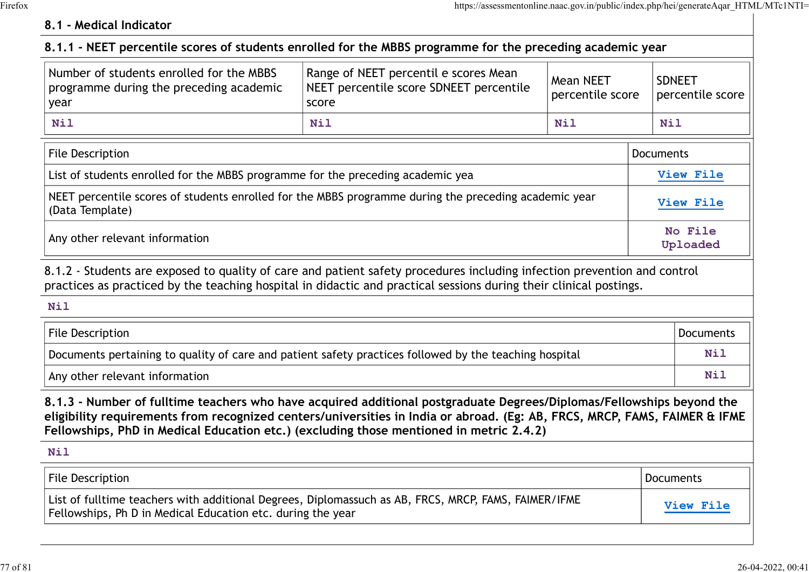# 8.1 - Medical Indicator

| 8.1 - Medical Indicator                                                                                                                                                                                                                                                                                                                        |                                                                                           |                                      |                                   |
|------------------------------------------------------------------------------------------------------------------------------------------------------------------------------------------------------------------------------------------------------------------------------------------------------------------------------------------------|-------------------------------------------------------------------------------------------|--------------------------------------|-----------------------------------|
| 8.1.1 - NEET percentile scores of students enrolled for the MBBS programme for the preceding academic year                                                                                                                                                                                                                                     |                                                                                           |                                      |                                   |
| Number of students enrolled for the MBBS<br>programme during the preceding academic<br>year                                                                                                                                                                                                                                                    | Range of NEET percentil e scores Mean<br>NEET percentile score SDNEET percentile<br>score | <b>Mean NEET</b><br>percentile score | <b>SDNEET</b><br>percentile score |
| Nil                                                                                                                                                                                                                                                                                                                                            | Nil                                                                                       | <b>Nil</b>                           | Nil                               |
| <b>File Description</b>                                                                                                                                                                                                                                                                                                                        |                                                                                           |                                      | Documents                         |
| List of students enrolled for the MBBS programme for the preceding academic yea                                                                                                                                                                                                                                                                |                                                                                           |                                      | View File                         |
| NEET percentile scores of students enrolled for the MBBS programme during the preceding academic year<br>(Data Template)                                                                                                                                                                                                                       |                                                                                           |                                      | View File                         |
| Any other relevant information                                                                                                                                                                                                                                                                                                                 |                                                                                           | No File<br>Uploaded                  |                                   |
| 8.1.2 - Students are exposed to quality of care and patient safety procedures including infection prevention and control<br>practices as practiced by the teaching hospital in didactic and practical sessions during their clinical postings.                                                                                                 |                                                                                           |                                      |                                   |
| <b>Nil</b>                                                                                                                                                                                                                                                                                                                                     |                                                                                           |                                      |                                   |
| File Description                                                                                                                                                                                                                                                                                                                               |                                                                                           |                                      | Documents                         |
| Documents pertaining to quality of care and patient safety practices followed by the teaching hospital                                                                                                                                                                                                                                         |                                                                                           |                                      | Nil                               |
| Any other relevant information                                                                                                                                                                                                                                                                                                                 |                                                                                           |                                      | Nil                               |
| 8.1.3 - Number of fulltime teachers who have acquired additional postgraduate Degrees/Diplomas/Fellowships beyond the<br>eligibility requirements from recognized centers/universities in India or abroad. (Eg: AB, FRCS, MRCP, FAMS, FAIMER & IFME<br>Fellowships, PhD in Medical Education etc.) (excluding those mentioned in metric 2.4.2) |                                                                                           |                                      |                                   |
| <b>Nil</b>                                                                                                                                                                                                                                                                                                                                     |                                                                                           |                                      |                                   |
| <b>File Description</b>                                                                                                                                                                                                                                                                                                                        |                                                                                           |                                      | <b>Documents</b>                  |
| List of fulltime teachers with additional Degrees, Diplomassuch as AB, FRCS, MRCP, FAMS, FAIMER/IFME                                                                                                                                                                                                                                           | Fellowships, Ph D in Medical Education etc. during the year                               |                                      | View File                         |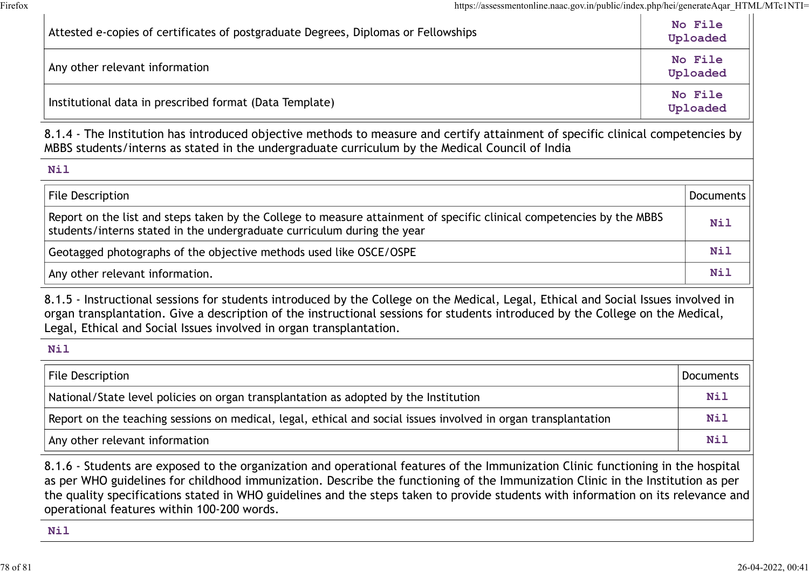| https://assessmentonline.naac.gov.in/public/index.php/hei/generateAqar_HTML/MTc1NTI=                                                                                                                                                                                                                                                        |                     |
|---------------------------------------------------------------------------------------------------------------------------------------------------------------------------------------------------------------------------------------------------------------------------------------------------------------------------------------------|---------------------|
| Attested e-copies of certificates of postgraduate Degrees, Diplomas or Fellowships                                                                                                                                                                                                                                                          | No File<br>Uploaded |
| Any other relevant information                                                                                                                                                                                                                                                                                                              | No File<br>Uploaded |
| No File<br>Institutional data in prescribed format (Data Template)<br>Uploaded                                                                                                                                                                                                                                                              |                     |
| 8.1.4 - The Institution has introduced objective methods to measure and certify attainment of specific clinical competencies by<br>MBBS students/interns as stated in the undergraduate curriculum by the Medical Council of India                                                                                                          |                     |
| Nil                                                                                                                                                                                                                                                                                                                                         |                     |
| <b>File Description</b>                                                                                                                                                                                                                                                                                                                     | <b>Documents</b>    |
| Report on the list and steps taken by the College to measure attainment of specific clinical competencies by the MBBS<br>students/interns stated in the undergraduate curriculum during the year                                                                                                                                            |                     |
| Geotagged photographs of the objective methods used like OSCE/OSPE                                                                                                                                                                                                                                                                          |                     |
| Any other relevant information.                                                                                                                                                                                                                                                                                                             | Nil                 |
| 8.1.5 - Instructional sessions for students introduced by the College on the Medical, Legal, Ethical and Social Issues involved in<br>organ transplantation. Give a description of the instructional sessions for students introduced by the College on the Medical,<br>Legal, Ethical and Social Issues involved in organ transplantation. |                     |
| Nil                                                                                                                                                                                                                                                                                                                                         |                     |
| File Description                                                                                                                                                                                                                                                                                                                            | <b>Documents</b>    |
| National/State level policies on organ transplantation as adopted by the Institution                                                                                                                                                                                                                                                        |                     |
|                                                                                                                                                                                                                                                                                                                                             |                     |
| Report on the teaching sessions on medical, legal, ethical and social issues involved in organ transplantation                                                                                                                                                                                                                              | Nil                 |

the quality specifications stated in WHO guidelines and the steps taken to provide students with information on its relevance and operational features within 100-200 words.

Nil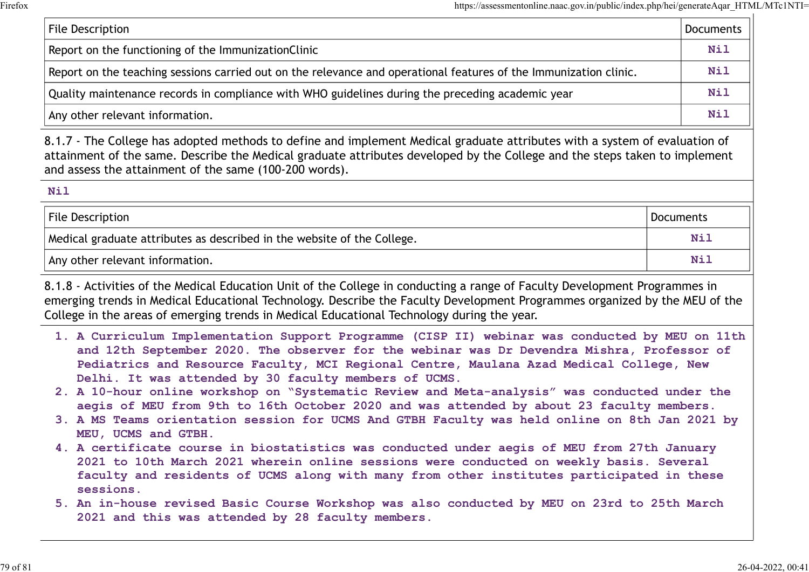| https://assessmentonline.naac.gov.in/public/index.php/hei/generateAqar_HTML/MTc1NTI=                                                                                                                                                                                                                               |                  |
|--------------------------------------------------------------------------------------------------------------------------------------------------------------------------------------------------------------------------------------------------------------------------------------------------------------------|------------------|
| <b>File Description</b>                                                                                                                                                                                                                                                                                            | <b>Documents</b> |
| Report on the functioning of the ImmunizationClinic                                                                                                                                                                                                                                                                | <b>Nil</b>       |
| Report on the teaching sessions carried out on the relevance and operational features of the Immunization clinic.                                                                                                                                                                                                  | <b>Nil</b>       |
| Quality maintenance records in compliance with WHO guidelines during the preceding academic year                                                                                                                                                                                                                   | <b>Nil</b>       |
| Any other relevant information.                                                                                                                                                                                                                                                                                    | <b>Nil</b>       |
| 8.1.7 - The College has adopted methods to define and implement Medical graduate attributes with a system of evaluation of<br>attainment of the same. Describe the Medical graduate attributes developed by the College and the steps taken to implement<br>and assess the attainment of the same (100-200 words). |                  |
| <b>Nil</b>                                                                                                                                                                                                                                                                                                         |                  |
| File Description                                                                                                                                                                                                                                                                                                   | Documents        |
| Medical graduate attributes as described in the website of the College.                                                                                                                                                                                                                                            | <b>Nil</b>       |
| Any other relevant information.                                                                                                                                                                                                                                                                                    | <b>Nil</b>       |
|                                                                                                                                                                                                                                                                                                                    |                  |

| Nil                                                                     |            |
|-------------------------------------------------------------------------|------------|
| File Description                                                        | Documents  |
| Medical graduate attributes as described in the website of the College. | Nil        |
| Any other relevant information.                                         | <b>Nil</b> |

8.1.8 - Activities of the Medical Education Unit of the College in conducting a range of Faculty Development Programmes in emerging trends in Medical Educational Technology. Describe the Faculty Development Programmes organized by the MEU of the College in the areas of emerging trends in Medical Educational Technology during the year.

- 1. A Curriculum Implementation Support Programme (CISP II) webinar was conducted by MEU on 11th and 12th September 2020. The observer for the webinar was Dr Devendra Mishra, Professor of Pediatrics and Resource Faculty, MCI Regional Centre, Maulana Azad Medical College, New Delhi. It was attended by 30 faculty members of UCMS.
- 2. A 10-hour online workshop on "Systematic Review and Meta-analysis" was conducted under the aegis of MEU from 9th to 16th October 2020 and was attended by about 23 faculty members.
- 3. A MS Teams orientation session for UCMS And GTBH Faculty was held online on 8th Jan 2021 by MEU, UCMS and GTBH.
- 4. A certificate course in biostatistics was conducted under aegis of MEU from 27th January 2021 to 10th March 2021 wherein online sessions were conducted on weekly basis. Several faculty and residents of UCMS along with many from other institutes participated in these sessions.
- 5. An in-house revised Basic Course Workshop was also conducted by MEU on 23rd to 25th March 2021 and this was attended by 28 faculty members.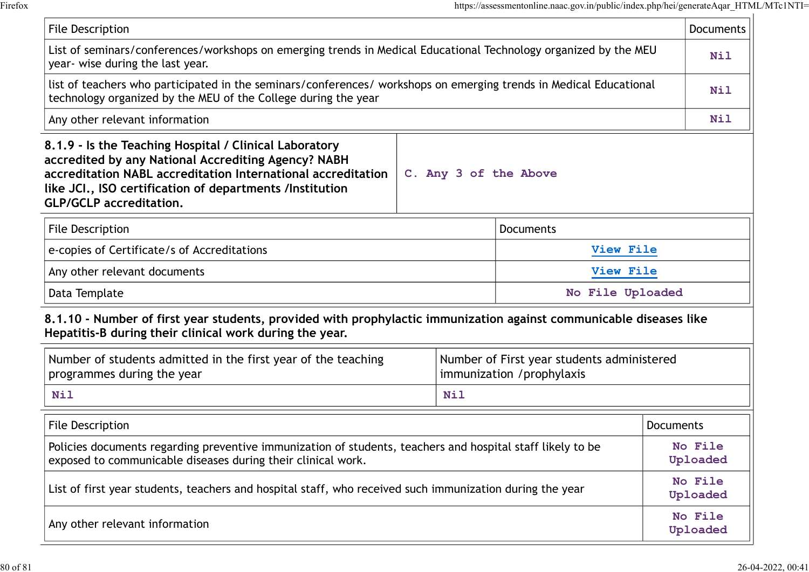|                                                                                                                                                                                                                                                                             |                                                                                                                  | https://assessmentonline.naac.gov.in/public/index.php/hei/generateAqar_HTML/MTc1NTI= |                     |
|-----------------------------------------------------------------------------------------------------------------------------------------------------------------------------------------------------------------------------------------------------------------------------|------------------------------------------------------------------------------------------------------------------|--------------------------------------------------------------------------------------|---------------------|
| File Description                                                                                                                                                                                                                                                            |                                                                                                                  |                                                                                      | Documents           |
| year- wise during the last year.                                                                                                                                                                                                                                            | List of seminars/conferences/workshops on emerging trends in Medical Educational Technology organized by the MEU |                                                                                      |                     |
| list of teachers who participated in the seminars/conferences/ workshops on emerging trends in Medical Educational<br>technology organized by the MEU of the College during the year                                                                                        |                                                                                                                  |                                                                                      | Nil                 |
| Any other relevant information                                                                                                                                                                                                                                              |                                                                                                                  |                                                                                      | Nil                 |
| 8.1.9 - Is the Teaching Hospital / Clinical Laboratory<br>accredited by any National Accrediting Agency? NABH<br>accreditation NABL accreditation International accreditation<br>like JCI., ISO certification of departments /Institution<br><b>GLP/GCLP</b> accreditation. | C. Any 3 of the Above                                                                                            |                                                                                      |                     |
| <b>File Description</b>                                                                                                                                                                                                                                                     |                                                                                                                  | <b>Documents</b>                                                                     |                     |
| e-copies of Certificate/s of Accreditations                                                                                                                                                                                                                                 |                                                                                                                  | View File                                                                            |                     |
| View File<br>Any other relevant documents                                                                                                                                                                                                                                   |                                                                                                                  |                                                                                      |                     |
| Data Template                                                                                                                                                                                                                                                               |                                                                                                                  | No File Uploaded                                                                     |                     |
| 8.1.10 - Number of first year students, provided with prophylactic immunization against communicable diseases like<br>Hepatitis-B during their clinical work during the year.                                                                                               |                                                                                                                  |                                                                                      |                     |
| Number of students admitted in the first year of the teaching<br>programmes during the year                                                                                                                                                                                 | Number of First year students administered<br>immunization /prophylaxis                                          |                                                                                      |                     |
| <b>Nil</b>                                                                                                                                                                                                                                                                  | Nil                                                                                                              |                                                                                      |                     |
| File Description                                                                                                                                                                                                                                                            |                                                                                                                  |                                                                                      | <b>Documents</b>    |
| Policies documents regarding preventive immunization of students, teachers and hospital staff likely to be<br>exposed to communicable diseases during their clinical work.                                                                                                  |                                                                                                                  |                                                                                      | No File<br>Uploaded |
| List of first year students, teachers and hospital staff, who received such immunization during the year                                                                                                                                                                    |                                                                                                                  |                                                                                      | No File<br>Uploaded |
| Any other relevant information                                                                                                                                                                                                                                              |                                                                                                                  |                                                                                      | No File<br>Uploaded |